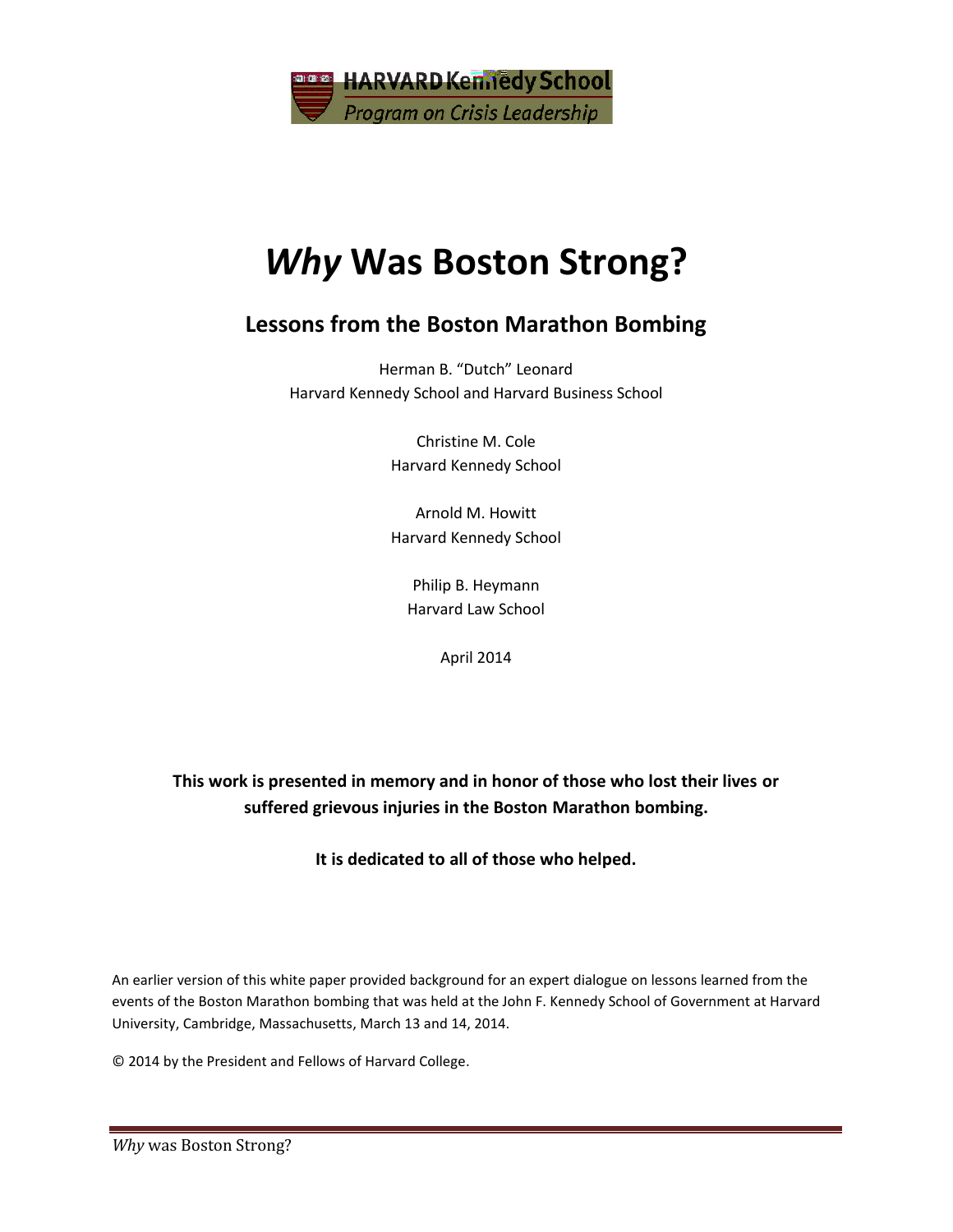

# *Why* **Was Boston Strong?**

# **Lessons from the Boston Marathon Bombing**

Herman B. "Dutch" Leonard Harvard Kennedy School and Harvard Business School

> Christine M. Cole Harvard Kennedy School

> Arnold M. Howitt Harvard Kennedy School

Philip B. Heymann Harvard Law School

April 2014

**This work is presented in memory and in honor of those who lost their lives or suffered grievous injuries in the Boston Marathon bombing.**

**It is dedicated to all of those who helped.**

An earlier version of this white paper provided background for an expert dialogue on lessons learned from the events of the Boston Marathon bombing that was held at the John F. Kennedy School of Government at Harvard University, Cambridge, Massachusetts, March 13 and 14, 2014.

© 2014 by the President and Fellows of Harvard College.

**Why** was Boston Strong?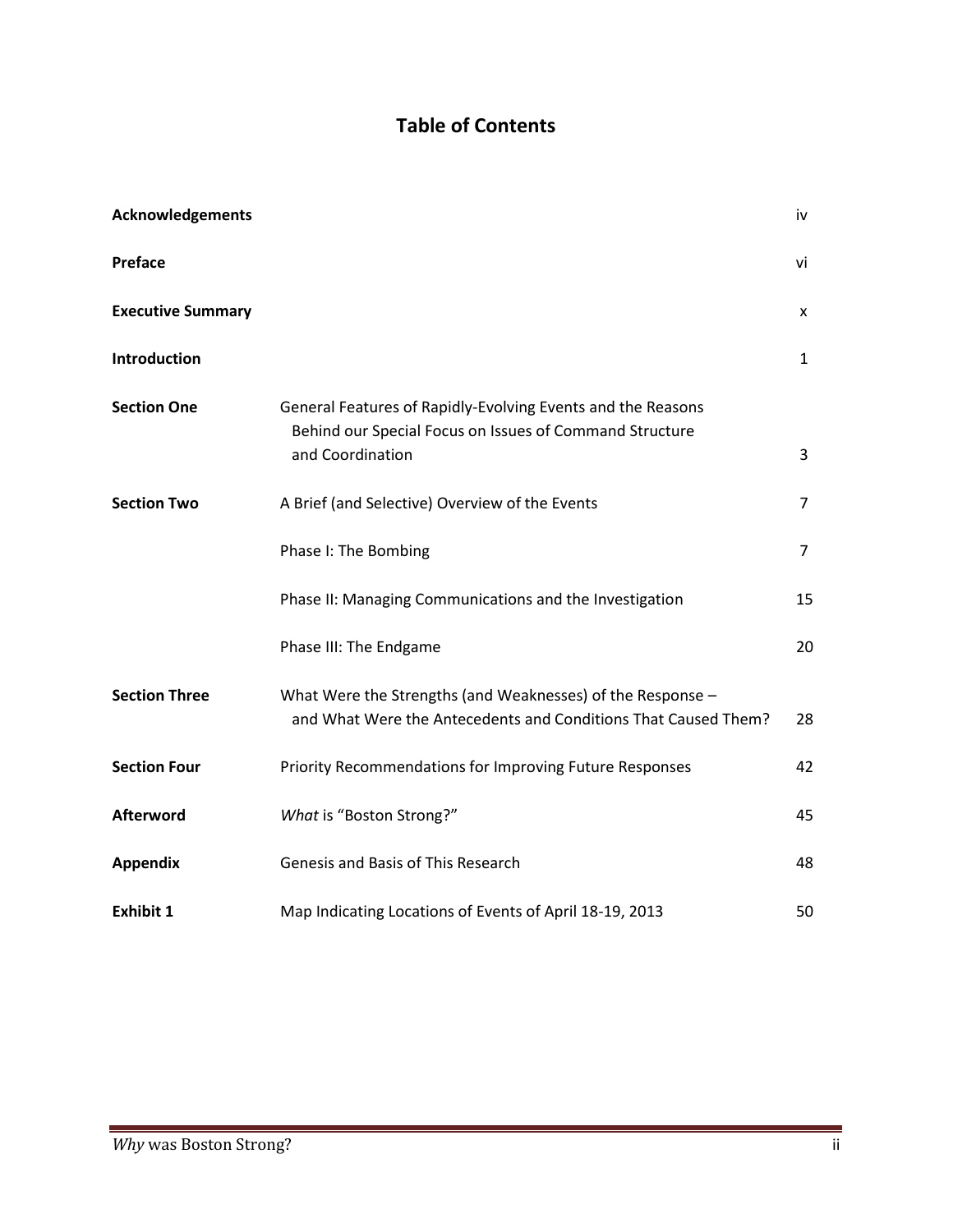# **Table of Contents**

| Acknowledgements         |                                                                                                                                            | iv             |
|--------------------------|--------------------------------------------------------------------------------------------------------------------------------------------|----------------|
| Preface                  |                                                                                                                                            | vi             |
| <b>Executive Summary</b> |                                                                                                                                            | X              |
| Introduction             |                                                                                                                                            | $\mathbf{1}$   |
| <b>Section One</b>       | General Features of Rapidly-Evolving Events and the Reasons<br>Behind our Special Focus on Issues of Command Structure<br>and Coordination | 3              |
| <b>Section Two</b>       | A Brief (and Selective) Overview of the Events                                                                                             | 7              |
|                          | Phase I: The Bombing                                                                                                                       | $\overline{7}$ |
|                          | Phase II: Managing Communications and the Investigation                                                                                    | 15             |
|                          | Phase III: The Endgame                                                                                                                     | 20             |
| <b>Section Three</b>     | What Were the Strengths (and Weaknesses) of the Response -<br>and What Were the Antecedents and Conditions That Caused Them?               | 28             |
| <b>Section Four</b>      | Priority Recommendations for Improving Future Responses                                                                                    | 42             |
| <b>Afterword</b>         | What is "Boston Strong?"                                                                                                                   | 45             |
| <b>Appendix</b>          | Genesis and Basis of This Research                                                                                                         | 48             |
| <b>Exhibit 1</b>         | Map Indicating Locations of Events of April 18-19, 2013                                                                                    | 50             |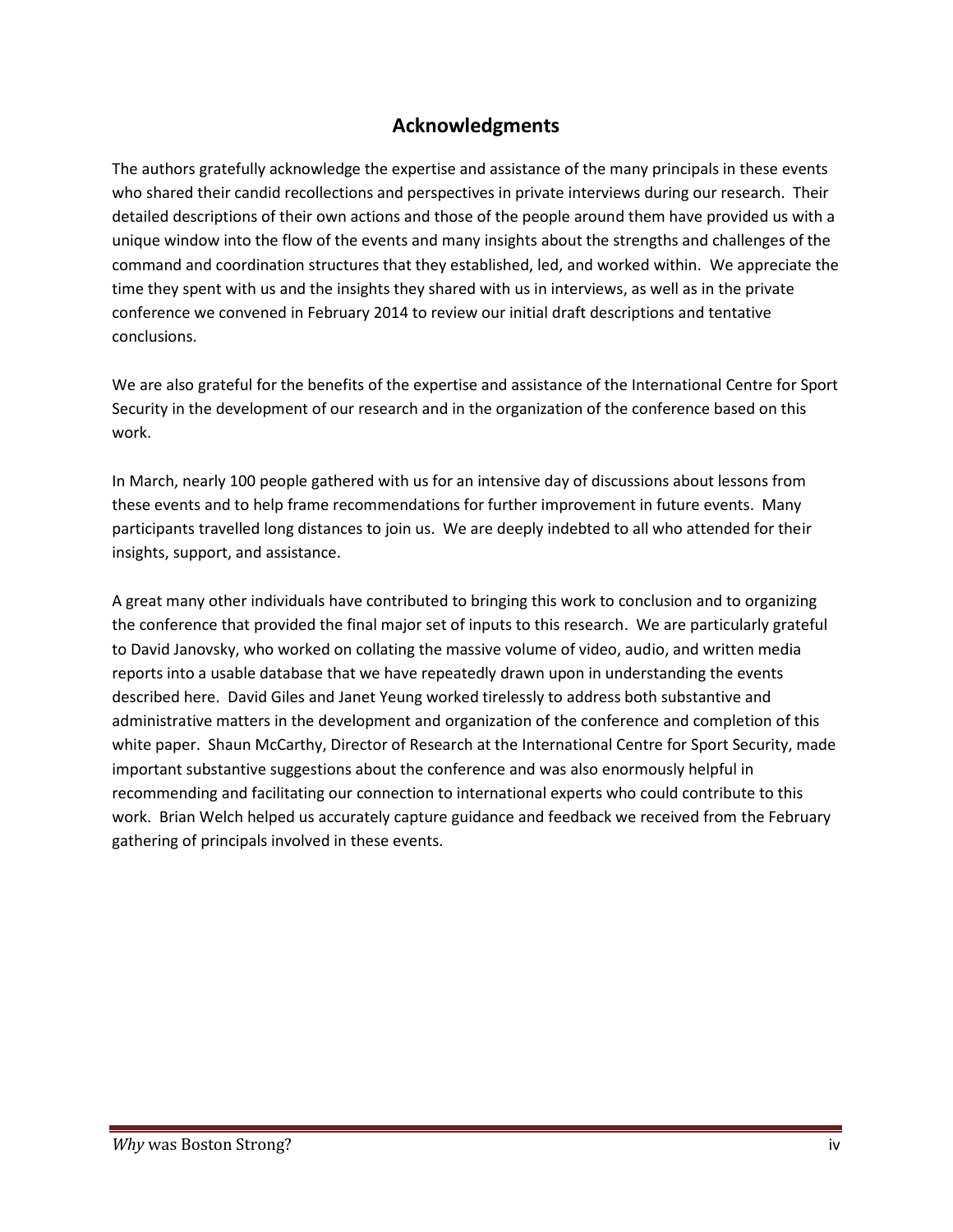#### **Acknowledgments**

The authors gratefully acknowledge the expertise and assistance of the many principals in these events who shared their candid recollections and perspectives in private interviews during our research. Their detailed descriptions of their own actions and those of the people around them have provided us with a unique window into the flow of the events and many insights about the strengths and challenges of the command and coordination structures that they established, led, and worked within. We appreciate the time they spent with us and the insights they shared with us in interviews, as well as in the private conference we convened in February 2014 to review our initial draft descriptions and tentative conclusions.

We are also grateful for the benefits of the expertise and assistance of the International Centre for Sport Security in the development of our research and in the organization of the conference based on this work.

In March, nearly 100 people gathered with us for an intensive day of discussions about lessons from these events and to help frame recommendations for further improvement in future events. Many participants travelled long distances to join us. We are deeply indebted to all who attended for their insights, support, and assistance.

A great many other individuals have contributed to bringing this work to conclusion and to organizing the conference that provided the final major set of inputs to this research. We are particularly grateful to David Janovsky, who worked on collating the massive volume of video, audio, and written media reports into a usable database that we have repeatedly drawn upon in understanding the events described here. David Giles and Janet Yeung worked tirelessly to address both substantive and administrative matters in the development and organization of the conference and completion of this white paper. Shaun McCarthy, Director of Research at the International Centre for Sport Security, made important substantive suggestions about the conference and was also enormously helpful in recommending and facilitating our connection to international experts who could contribute to this work. Brian Welch helped us accurately capture guidance and feedback we received from the February gathering of principals involved in these events.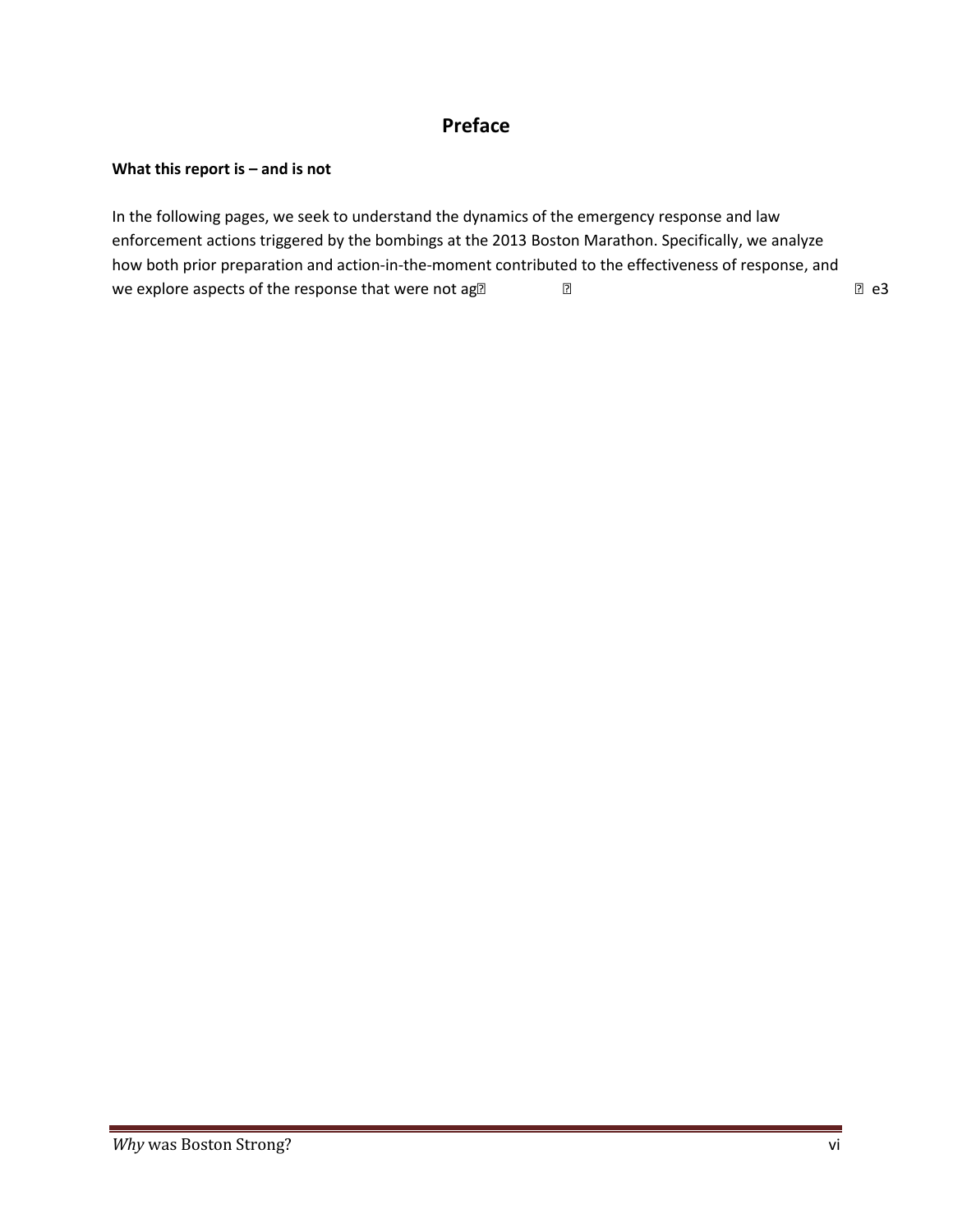#### **Preface**

#### **What this report is – and is not**

In the following pages, we seek to understand the dynamics of the emergency response and law enforcement actions triggered by the bombings at the 2013 Boston Marathon. Specifically, we analyze how both prior preparation and action-in-the-moment contributed to the effectiveness of response, and we explore aspects of the response that were not ag〰⁔稊䉔ⴲ⠩ㄱ⠀攩ⴲ⠀挩ⴱ⠀琩ⴱ⠀椩ㄲⴀ瀀e3

examin

the

p i g

# *W* was oston Strong? The contract of the contract of the contract of the contract of the contract of the contract of the contract of the contract of the contract of the contract of the contract of the contract of the co **Braus mediana ber** Examine and Der at the secondary is meand ber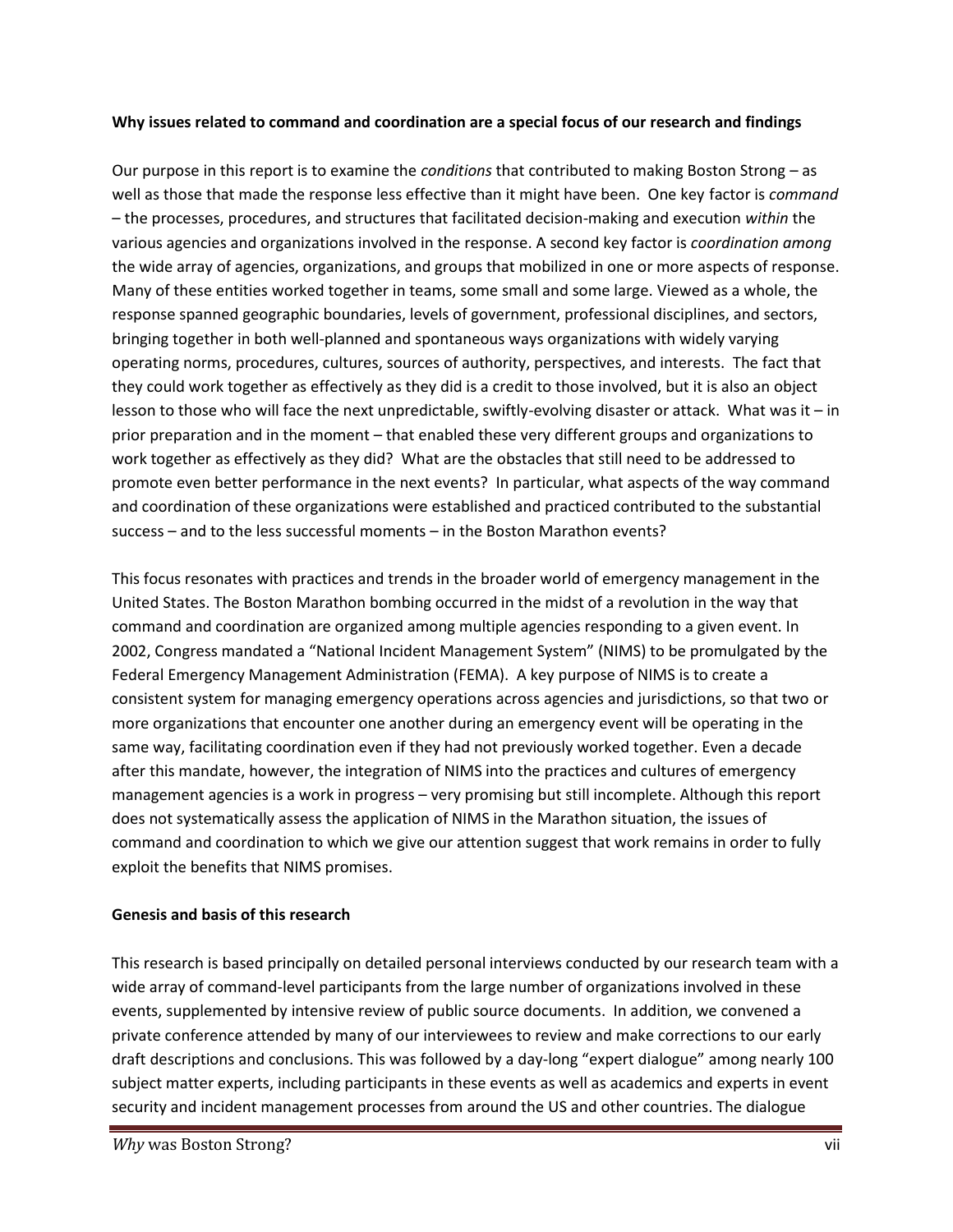#### **Why issues related to command and coordination are a special focus of our research and findings**

Our purpose in this report is to examine the *conditions* that contributed to making Boston Strong – as well as those that made the response less effective than it might have been. One key factor is *command* – the processes, procedures, and structures that facilitated decision-making and execution *within* the various agencies and organizations involved in the response. A second key factor is *coordination among* the wide array of agencies, organizations, and groups that mobilized in one or more aspects of response. Many of these entities worked together in teams, some small and some large. Viewed as a whole, the response spanned geographic boundaries, levels of government, professional disciplines, and sectors, bringing together in both well-planned and spontaneous ways organizations with widely varying operating norms, procedures, cultures, sources of authority, perspectives, and interests. The fact that they could work together as effectively as they did is a credit to those involved, but it is also an object lesson to those who will face the next unpredictable, swiftly-evolving disaster or attack. What was it – in prior preparation and in the moment – that enabled these very different groups and organizations to work together as effectively as they did? What are the obstacles that still need to be addressed to promote even better performance in the next events? In particular, what aspects of the way command and coordination of these organizations were established and practiced contributed to the substantial success – and to the less successful moments – in the Boston Marathon events?

This focus resonates with practices and trends in the broader world of emergency management in the United States. The Boston Marathon bombing occurred in the midst of a revolution in the way that command and coordination are organized among multiple agencies responding to a given event. In 2002, Congress mandated a "National Incident Management System" (NIMS) to be promulgated by the Federal Emergency Management Administration (FEMA). A key purpose of NIMS is to create a consistent system for managing emergency operations across agencies and jurisdictions, so that two or more organizations that encounter one another during an emergency event will be operating in the same way, facilitating coordination even if they had not previously worked together. Even a decade after this mandate, however, the integration of NIMS into the practices and cultures of emergency management agencies is a work in progress – very promising but still incomplete. Although this report does not systematically assess the application of NIMS in the Marathon situation, the issues of command and coordination to which we give our attention suggest that work remains in order to fully exploit the benefits that NIMS promises.

#### **Genesis and basis of this research**

This research is based principally on detailed personal interviews conducted by our research team with a wide array of command-level participants from the large number of organizations involved in these events, supplemented by intensive review of public source documents. In addition, we convened a private conference attended by many of our interviewees to review and make corrections to our early draft descriptions and conclusions. This was followed by a day-long "expert dialogue" among nearly 100 subject matter experts, including participants in these events as well as academics and experts in event security and incident management processes from around the US and other countries. The dialogue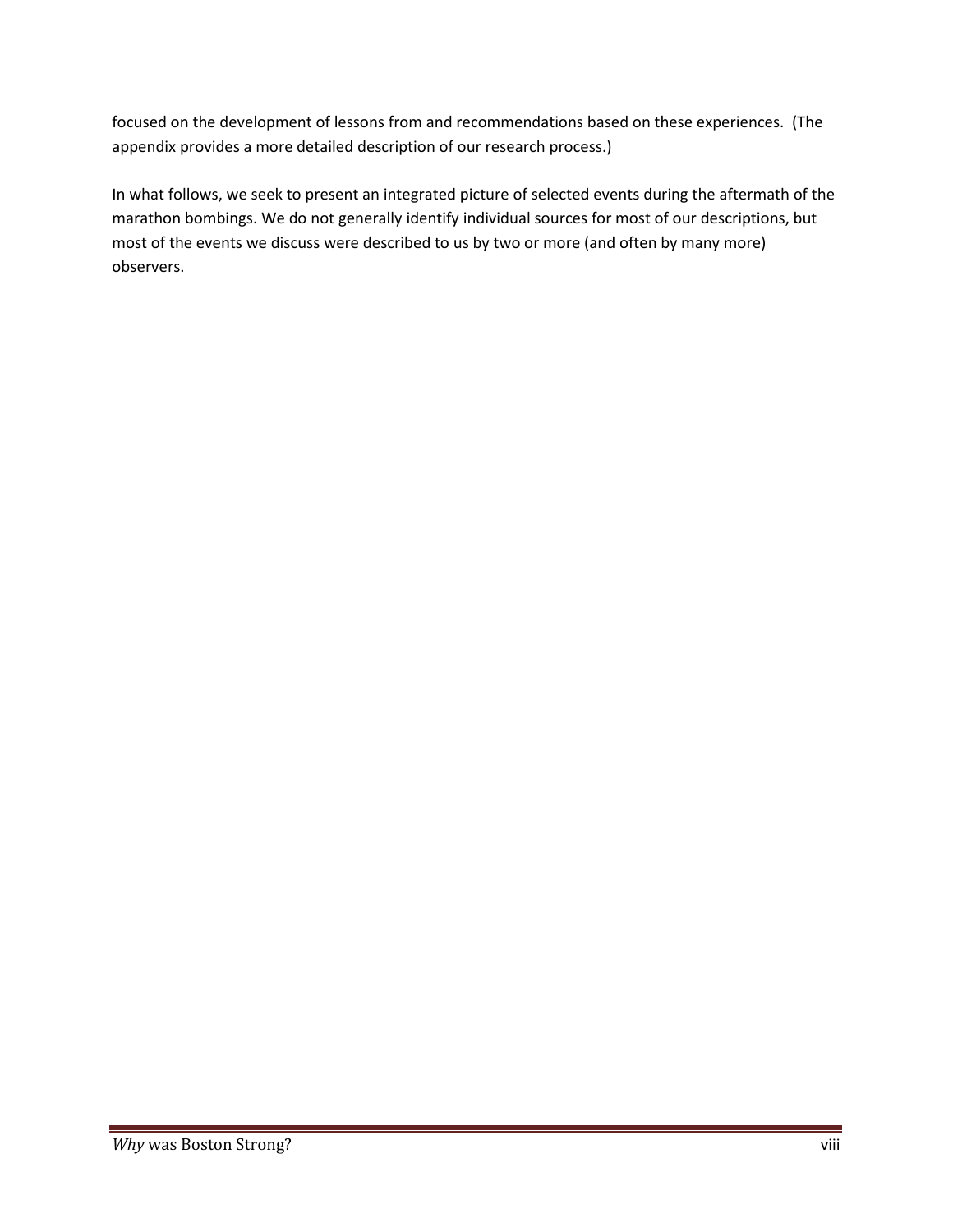focused on the development of lessons from and recommendations based on these experiences. (The appendix provides a more detailed description of our research process.)

In what follows, we seek to present an integrated picture of selected events during the aftermath of the marathon bombings. We do not generally identify individual sources for most of our descriptions, but most of the events we discuss were described to us by two or more (and often by many more) observers.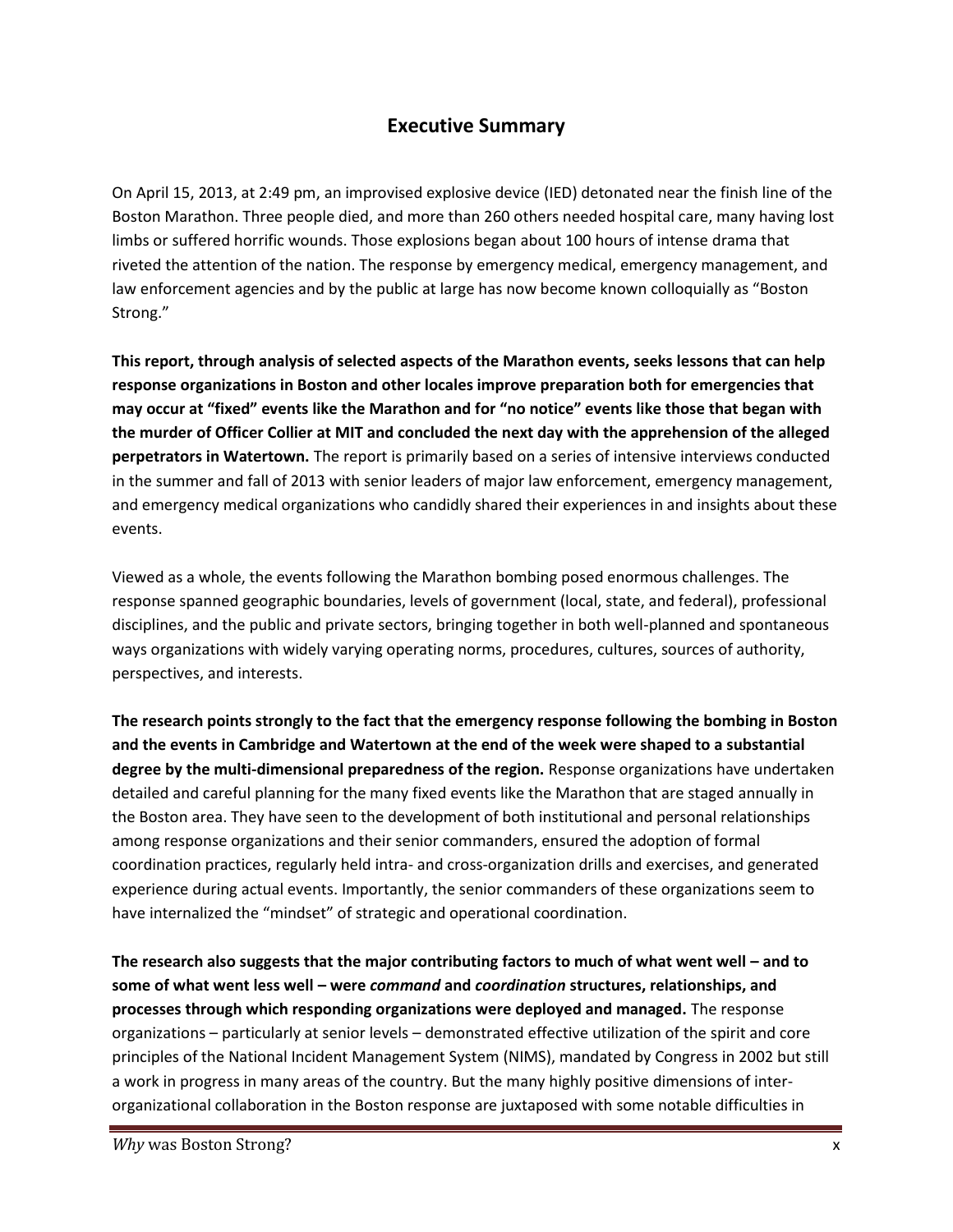#### **Executive Summary**

On April 15, 2013, at 2:49 pm, an improvised explosive device (IED) detonated near the finish line of the Boston Marathon. Three people died, and more than 260 others needed hospital care, many having lost limbs or suffered horrific wounds. Those explosions began about 100 hours of intense drama that riveted the attention of the nation. The response by emergency medical, emergency management, and law enforcement agencies and by the public at large has now become known colloquially as "Boston Strong."

**This report, through analysis of selected aspects of the Marathon events, seeks lessons that can help response organizations in Boston and other locales improve preparation both for emergencies that may occur at "fixed" events like the Marathon and for "no notice" events like those that began with the murder of Officer Collier at MIT and concluded the next day with the apprehension of the alleged perpetrators in Watertown.** The report is primarily based on a series of intensive interviews conducted in the summer and fall of 2013 with senior leaders of major law enforcement, emergency management, and emergency medical organizations who candidly shared their experiences in and insights about these events.

Viewed as a whole, the events following the Marathon bombing posed enormous challenges. The response spanned geographic boundaries, levels of government (local, state, and federal), professional disciplines, and the public and private sectors, bringing together in both well-planned and spontaneous ways organizations with widely varying operating norms, procedures, cultures, sources of authority, perspectives, and interests.

**The research points strongly to the fact that the emergency response following the bombing in Boston and the events in Cambridge and Watertown at the end of the week were shaped to a substantial degree by the multi-dimensional preparedness of the region.** Response organizations have undertaken detailed and careful planning for the many fixed events like the Marathon that are staged annually in the Boston area. They have seen to the development of both institutional and personal relationships among response organizations and their senior commanders, ensured the adoption of formal coordination practices, regularly held intra- and cross-organization drills and exercises, and generated experience during actual events. Importantly, the senior commanders of these organizations seem to have internalized the "mindset" of strategic and operational coordination.

**The research also suggests that the major contributing factors to much of what went well – and to some of what went less well – were** *command* **and** *coordination* **structures, relationships, and processes through which responding organizations were deployed and managed.** The response organizations – particularly at senior levels – demonstrated effective utilization of the spirit and core principles of the National Incident Management System (NIMS), mandated by Congress in 2002 but still a work in progress in many areas of the country. But the many highly positive dimensions of inter organizational collaboration in the Boston response are juxtaposed with some notable difficulties in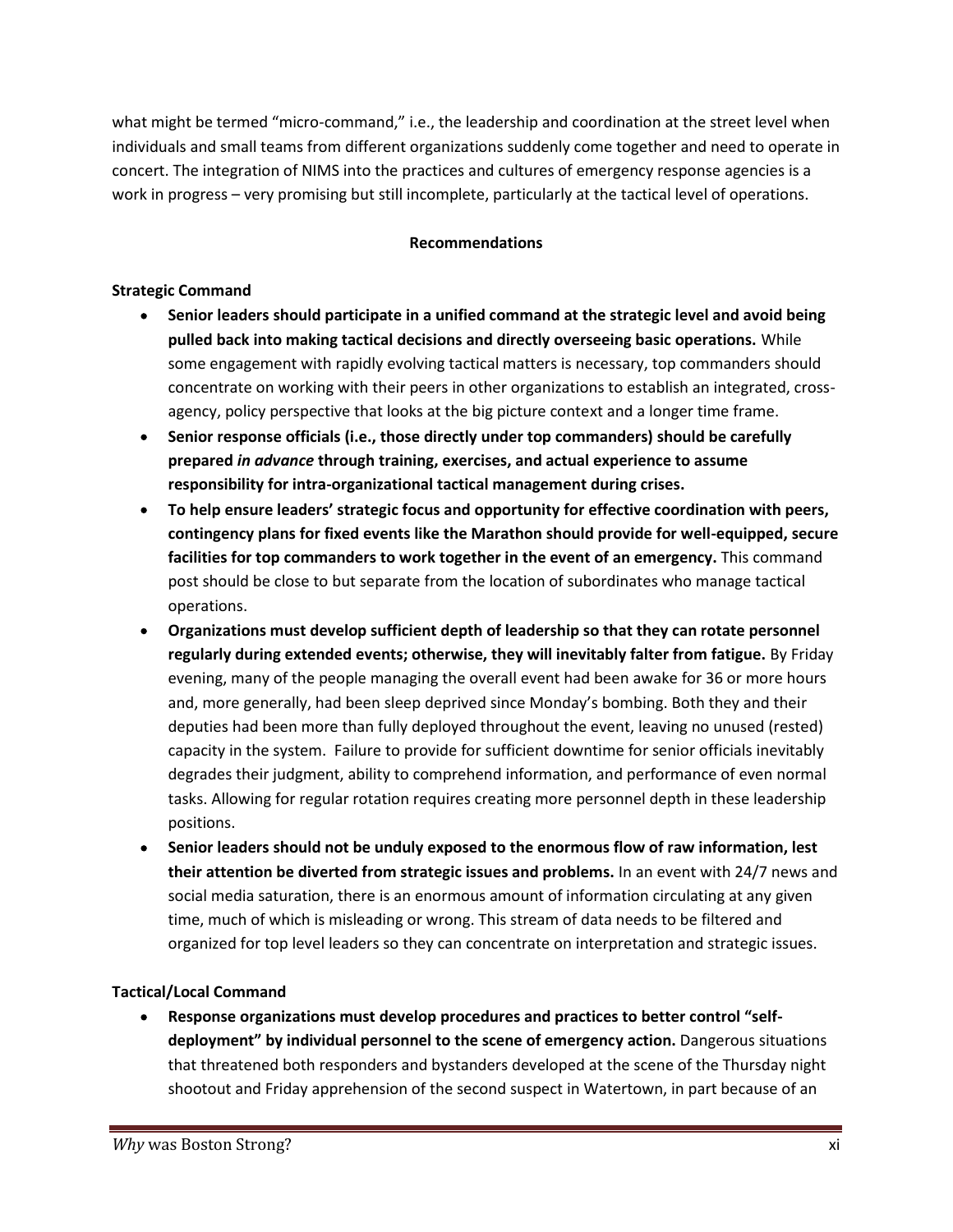what might be termed "micro-command," i.e., the leadership and coordination at the street level when individuals and small teams from different organizations suddenly come together and need to operate in concert. The integration of NIMS into the practices and cultures of emergency response agencies is a work in progress – very promising but still incomplete, particularly at the tactical level of operations.

#### **Recommendations**

#### **Strategic Command**

- **Senior leaders should participate in a unified command at the strategic level and avoid being pulled back into making tactical decisions and directly overseeing basic operations.** While some engagement with rapidly evolving tactical matters is necessary, top commanders should concentrate on working with their peers in other organizations to establish an integrated, cross agency, policy perspective that looks at the big picture context and a longer time frame.
- **Senior response officials (i.e., those directly under top commanders) should be carefully prepared** *in advance* **through training, exercises, and actual experience to assume responsibility for intra-organizational tactical management during crises.**
- **To help ensure leaders' strategic focus and opportunity for effective coordination with peers, contingency plans for fixed events like the Marathon should provide for well-equipped, secure facilities for top commanders to work together in the event of an emergency.** This command post should be close to but separate from the location of subordinates who manage tactical operations.
- **Organizations must develop sufficient depth of leadership so that they can rotate personnel regularly during extended events; otherwise, they will inevitably falter from fatigue.** By Friday evening, many of the people managing the overall event had been awake for 36 or more hours and, more generally, had been sleep deprived since Monday's bombing. Both they and their deputies had been more than fully deployed throughout the event, leaving no unused (rested) capacity in the system. Failure to provide for sufficient downtime for senior officials inevitably degrades their judgment, ability to comprehend information, and performance of even normal tasks. Allowing for regular rotation requires creating more personnel depth in these leadership positions.
- **Senior leaders should not be unduly exposed to the enormous flow of raw information, lest their attention be diverted from strategic issues and problems.** In an event with 24/7 news and social media saturation, there is an enormous amount of information circulating at any given time, much of which is misleading or wrong. This stream of data needs to be filtered and organized for top level leaders so they can concentrate on interpretation and strategic issues.

#### **Tactical/Local Command**

**Response organizations must develop procedures and practices to better control "self-**  $\bullet$ **deployment" by individual personnel to the scene of emergency action.** Dangerous situations that threatened both responders and bystanders developed at the scene of the Thursday night shootout and Friday apprehension of the second suspect in Watertown, in part because of an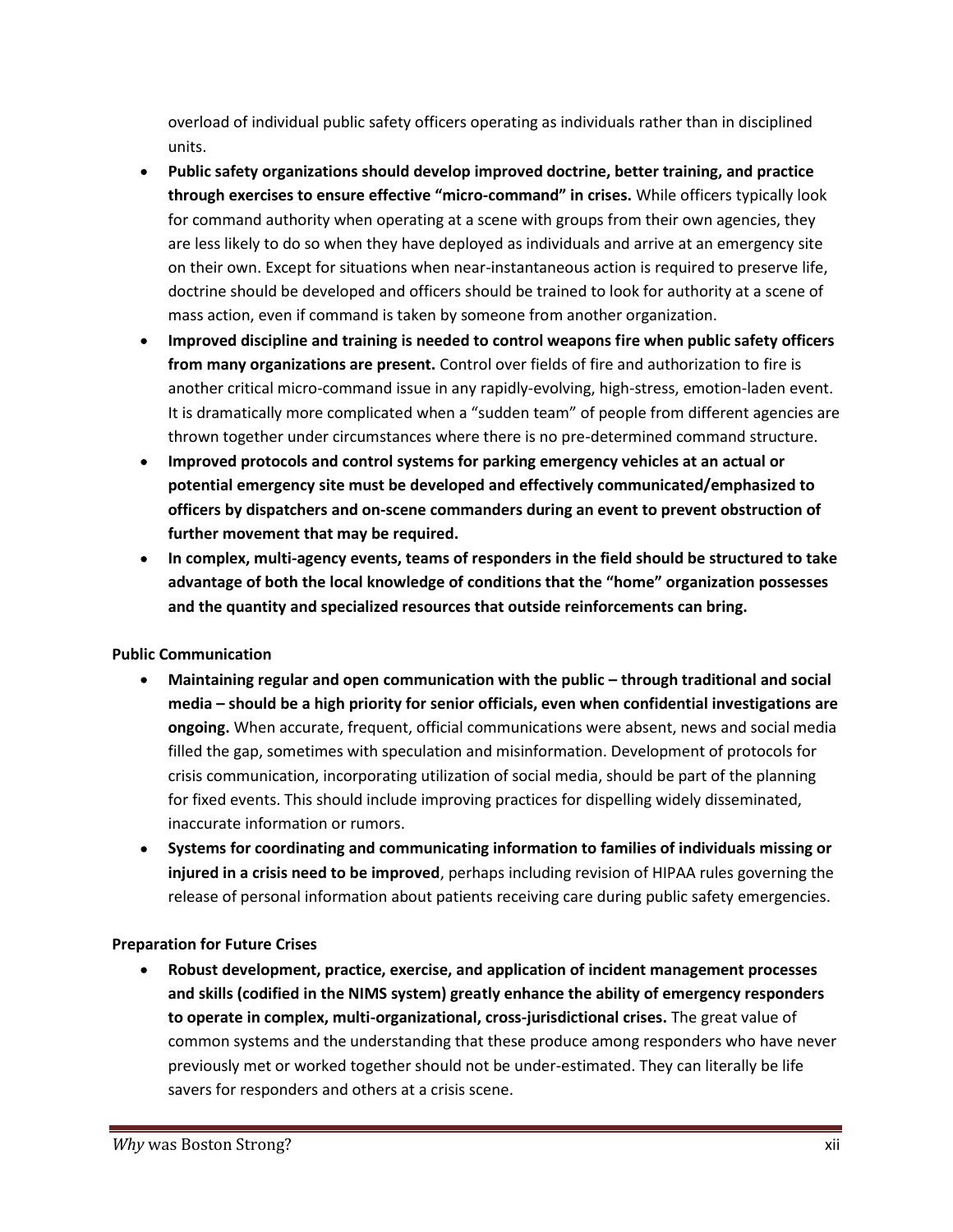overload of individual public safety officers operating as individuals rather than in disciplined units.

- **Public safety organizations should develop improved doctrine, better training, and practice through exercises to ensure effective "micro-command" in crises.** While officers typically look for command authority when operating at a scene with groups from their own agencies, they are less likely to do so when they have deployed as individuals and arrive at an emergency site on their own. Except for situations when near-instantaneous action is required to preserve life, doctrine should be developed and officers should be trained to look for authority at a scene of mass action, even if command is taken by someone from another organization.
- **Improved discipline and training is needed to control weapons fire when public safety officers from many organizations are present.** Control over fields of fire and authorization to fire is another critical micro-command issue in any rapidly-evolving, high-stress, emotion-laden event. It is dramatically more complicated when a "sudden team" of people from different agencies are thrown together under circumstances where there is no pre-determined command structure.
- **Improved protocols and control systems for parking emergency vehicles at an actual or potential emergency site must be developed and effectively communicated/emphasized to officers by dispatchers and on-scene commanders during an event to prevent obstruction of further movement that may be required.**
- **In complex, multi-agency events, teams of responders in the field should be structured to take advantage of both the local knowledge of conditions that the "home" organization possesses and the quantity and specialized resources that outside reinforcements can bring.**

#### **Public Communication**

- **Maintaining regular and open communication with the public – through traditional and social media – should be a high priority for senior officials, even when confidential investigations are ongoing.** When accurate, frequent, official communications were absent, news and social media filled the gap, sometimes with speculation and misinformation. Development of protocols for crisis communication, incorporating utilization of social media, should be part of the planning for fixed events. This should include improving practices for dispelling widely disseminated, inaccurate information or rumors.
- **Systems for coordinating and communicating information to families of individuals missing or injured in a crisis need to be improved**, perhaps including revision of HIPAA rules governing the release of personal information about patients receiving care during public safety emergencies.

#### **Preparation for Future Crises**

**Robust development, practice, exercise, and application of incident management processes and skills (codified in the NIMS system) greatly enhance the ability of emergency responders to operate in complex, multi-organizational, cross-jurisdictional crises.** The great value of common systems and the understanding that these produce among responders who have never previously met or worked together should not be under-estimated. They can literally be life savers for responders and others at a crisis scene.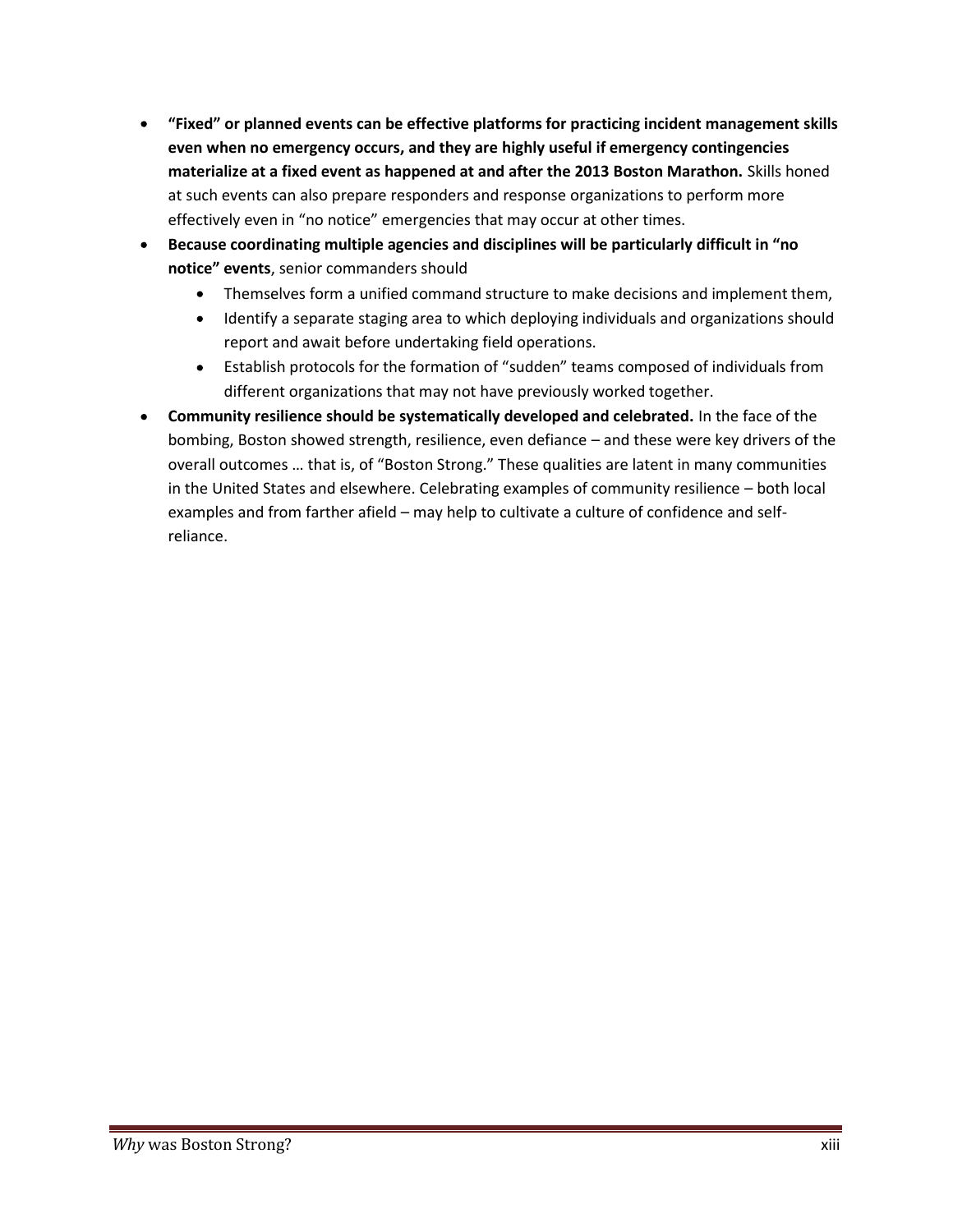- **"Fixed" or planned events can be effective platforms for practicing incident management skills even when no emergency occurs, and they are highly useful if emergency contingencies materialize at a fixed event as happened at and after the 2013 Boston Marathon.** Skills honed at such events can also prepare responders and response organizations to perform more effectively even in "no notice" emergencies that may occur at other times.
- **Because coordinating multiple agencies and disciplines will be particularly difficult in "no notice" events**, senior commanders should
	- Themselves form a unified command structure to make decisions and implement them,  $\bullet$
	- $\bullet$ Identify a separate staging area to which deploying individuals and organizations should report and await before undertaking field operations.
	- Establish protocols for the formation of "sudden" teams composed of individuals from  $\bullet$ different organizations that may not have previously worked together.
- **Community resilience should be systematically developed and celebrated.** In the face of the bombing, Boston showed strength, resilience, even defiance – and these were key drivers of the overall outcomes … that is, of "Boston Strong." These qualities are latent in many communities in the United States and elsewhere. Celebrating examples of community resilience – both local examples and from farther afield – may help to cultivate a culture of confidence and self reliance.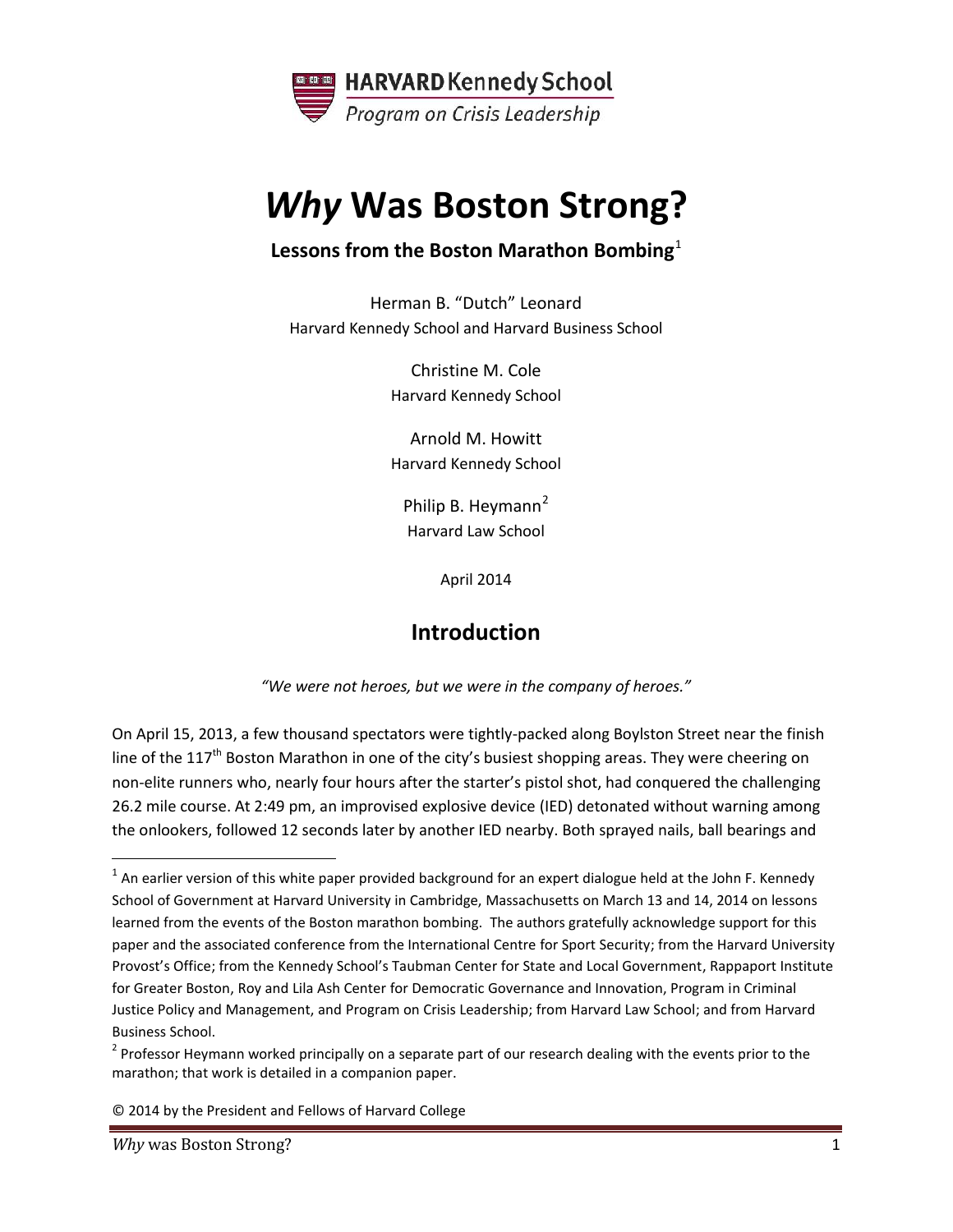

# *Why* **Was Boston Strong?**

#### **Lessons from the Boston Marathon Bombing**<sup>1</sup>

Herman B. "Dutch" Leonard Harvard Kennedy School and Harvard Business School

> Christine M. Cole Harvard Kennedy School

> Arnold M. Howitt Harvard Kennedy School

Philip B. Heymann<sup>2</sup> Harvard Law School

April 2014

# **Introduction**

*"We were not heroes, but we were in the company of heroes."*

On April 15, 2013, a few thousand spectators were tightly-packed along Boylston Street near the finish line of the 117<sup>th</sup> Boston Marathon in one of the city's busiest shopping areas. They were cheering on non-elite runners who, nearly four hours after the starter's pistol shot, had conquered the challenging 26.2 mile course. At 2:49 pm, an improvised explosive device (IED) detonated without warning among the onlookers, followed 12 seconds later by another IED nearby. Both sprayed nails, ball bearings and

 $1$  An earlier version of this white paper provided background for an expert dialogue held at the John F. Kennedy School of Government at Harvard University in Cambridge, Massachusetts on March 13 and 14, 2014 on lessons learned from the events of the Boston marathon bombing. The authors gratefully acknowledge support for this paper and the associated conference from the International Centre for Sport Security; from the Harvard University Provost's Office; from the Kennedy School's Taubman Center for State and Local Government, Rappaport Institute for Greater Boston, Roy and Lila Ash Center for Democratic Governance and Innovation, Program in Criminal Justice Policy and Management, and Program on Crisis Leadership; from Harvard Law School; and from Harvard Business School.

<sup>&</sup>lt;sup>2</sup> Professor Heymann worked principally on a separate part of our research dealing with the events prior to the marathon; that work is detailed in a companion paper.

<sup>© 2014</sup> by the President and Fellows of Harvard College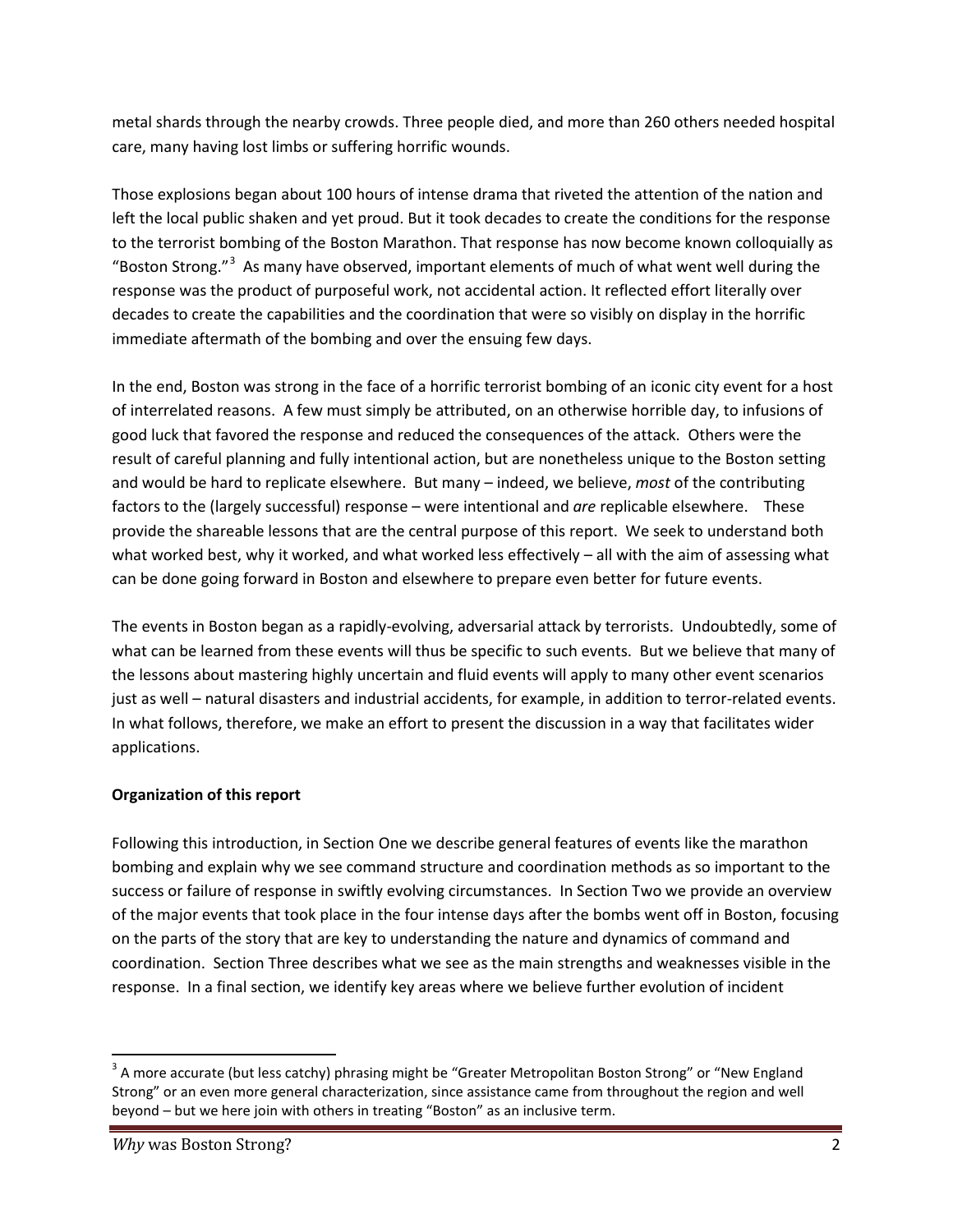metal shards through the nearby crowds. Three people died, and more than 260 others needed hospital care, many having lost limbs or suffering horrific wounds.

Those explosions began about 100 hours of intense drama that riveted the attention of the nation and left the local public shaken and yet proud. But it took decades to create the conditions for the response to the terrorist bombing of the Boston Marathon. That response has now become known colloquially as "Boston Strong."<sup>3</sup> As many have observed, important elements of much of what went well during the response was the product of purposeful work, not accidental action. It reflected effort literally over decades to create the capabilities and the coordination that were so visibly on display in the horrific immediate aftermath of the bombing and over the ensuing few days.

In the end, Boston was strong in the face of a horrific terrorist bombing of an iconic city event for a host of interrelated reasons. A few must simply be attributed, on an otherwise horrible day, to infusions of good luck that favored the response and reduced the consequences of the attack. Others were the result of careful planning and fully intentional action, but are nonetheless unique to the Boston setting and would be hard to replicate elsewhere. But many – indeed, we believe, *most* of the contributing factors to the (largely successful) response – were intentional and *are* replicable elsewhere. These provide the shareable lessons that are the central purpose of this report. We seek to understand both what worked best, why it worked, and what worked less effectively – all with the aim of assessing what can be done going forward in Boston and elsewhere to prepare even better for future events.

The events in Boston began as a rapidly-evolving, adversarial attack by terrorists. Undoubtedly, some of what can be learned from these events will thus be specific to such events. But we believe that many of the lessons about mastering highly uncertain and fluid events will apply to many other event scenarios just as well – natural disasters and industrial accidents, for example, in addition to terror-related events. In what follows, therefore, we make an effort to present the discussion in a way that facilitates wider applications.

#### **Organization of this report**

Following this introduction, in Section One we describe general features of events like the marathon bombing and explain why we see command structure and coordination methods as so important to the success or failure of response in swiftly evolving circumstances. In Section Two we provide an overview of the major events that took place in the four intense days after the bombs went off in Boston, focusing on the parts of the story that are key to understanding the nature and dynamics of command and coordination. Section Three describes what we see as the main strengths and weaknesses visible in the response. In a final section, we identify key areas where we believe further evolution of incident

<sup>&</sup>lt;sup>3</sup> A more accurate (but less catchy) phrasing might be "Greater Metropolitan Boston Strong" or "New England Strong" or an even more general characterization, since assistance came from throughout the region and well beyond – but we here join with others in treating "Boston" as an inclusive term.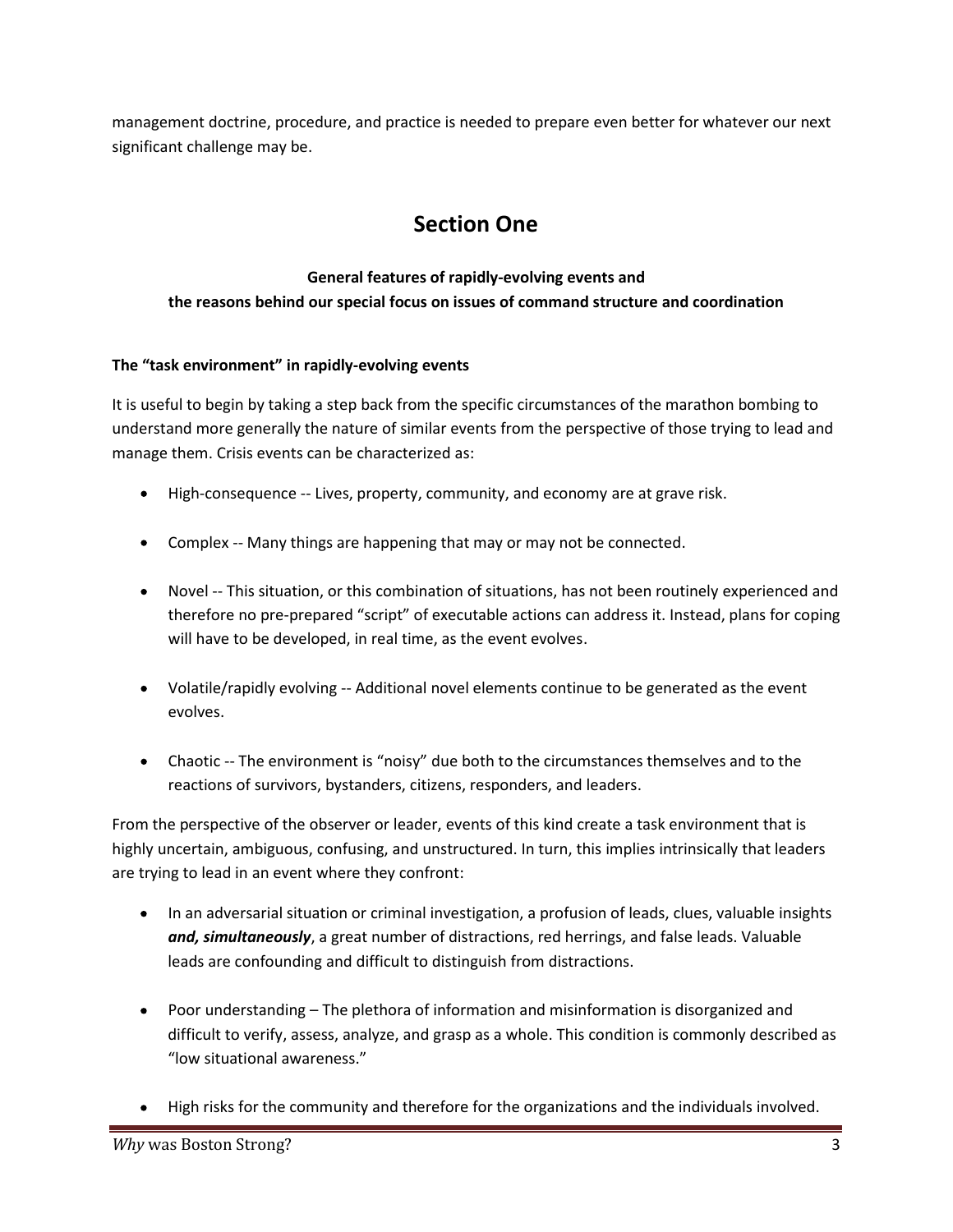management doctrine, procedure, and practice is needed to prepare even better for whatever our next significant challenge may be.

# **Section One**

#### **General features of rapidly-evolving events and the reasons behind our special focus on issues of command structure and coordination**

#### **The "task environment" in rapidly-evolving events**

It is useful to begin by taking a step back from the specific circumstances of the marathon bombing to understand more generally the nature of similar events from the perspective of those trying to lead and manage them. Crisis events can be characterized as:

- High-consequence -- Lives, property, community, and economy are at grave risk.
- Complex -- Many things are happening that may or may not be connected.
- Novel -- This situation, or this combination of situations, has not been routinely experienced and therefore no pre-prepared "script" of executable actions can address it. Instead, plans for coping will have to be developed, in real time, as the event evolves.
- Volatile/rapidly evolving -- Additional novel elements continue to be generated as the event evolves.
- Chaotic --The environment is "noisy" due both to the circumstances themselves and to the reactions of survivors, bystanders, citizens, responders, and leaders.

From the perspective of the observer or leader, events of this kind create a task environment that is highly uncertain, ambiguous, confusing, and unstructured. In turn, this implies intrinsically that leaders are trying to lead in an event where they confront:

- In an adversarial situation or criminal investigation, a profusion of leads, clues, valuable insights *and, simultaneously*, a great number of distractions, red herrings, and false leads. Valuable leads are confounding and difficult to distinguish from distractions.
- Poor understanding The plethora of information and misinformation is disorganized and difficult to verify, assess, analyze, and grasp as a whole. This condition is commonly described as "low situational awareness."
- High risks for the community and therefore for the organizations and the individuals involved.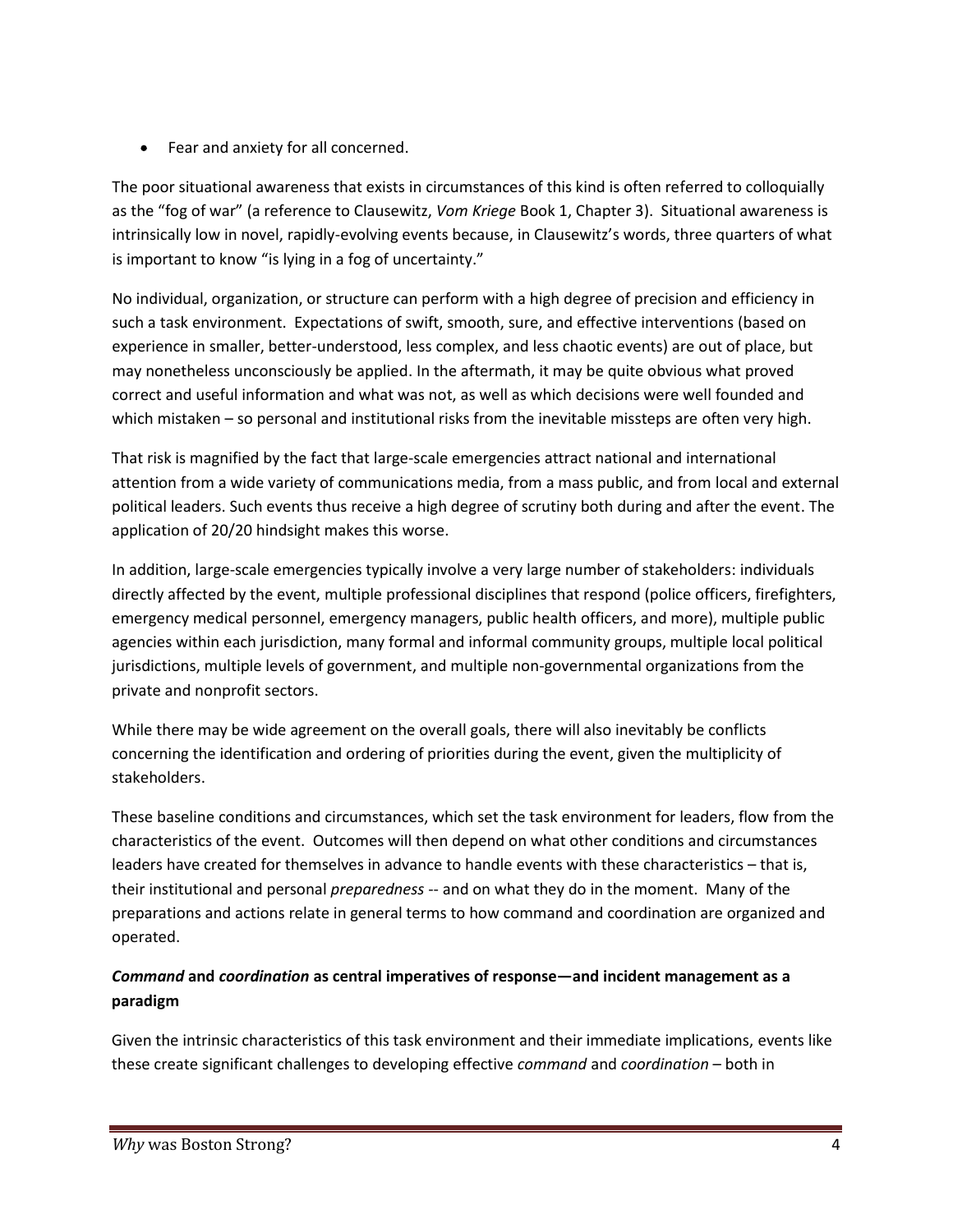Fear and anxiety for all concerned.

The poor situational awareness that exists in circumstances of this kind is often referred to colloquially as the "fog of war" (a reference to Clausewitz, *Vom Kriege* Book 1, Chapter 3). Situational awareness is intrinsically low in novel, rapidly-evolving events because, in Clausewitz's words, three quarters of what is important to know "is lying in a fog of uncertainty."

No individual, organization, or structure can perform with a high degree of precision and efficiency in such a task environment. Expectations of swift, smooth, sure, and effective interventions (based on experience in smaller, better-understood, less complex, and less chaotic events) are out of place, but may nonetheless unconsciously be applied. In the aftermath, it may be quite obvious what proved correct and useful information and what was not, as well as which decisions were well founded and which mistaken – so personal and institutional risks from the inevitable missteps are often very high.

That risk is magnified by the fact that large-scale emergencies attract national and international attention from a wide variety of communications media, from a mass public, and from local and external political leaders. Such events thus receive a high degree of scrutiny both during and after the event. The application of 20/20 hindsight makes this worse.

In addition, large-scale emergencies typically involve a very large number of stakeholders: individuals directly affected by the event, multiple professional disciplines that respond (police officers, firefighters, emergency medical personnel, emergency managers, public health officers, and more), multiple public agencies within each jurisdiction, many formal and informal community groups, multiple local political jurisdictions, multiple levels of government, and multiple non-governmental organizations from the private and nonprofit sectors.

While there may be wide agreement on the overall goals, there will also inevitably be conflicts concerning the identification and ordering of priorities during the event, given the multiplicity of stakeholders.

These baseline conditions and circumstances, which set the task environment for leaders, flow from the characteristics of the event. Outcomes will then depend on what other conditions and circumstances leaders have created for themselves in advance to handle events with these characteristics – that is, their institutional and personal *preparedness* -- and on what they do in the moment. Many of the preparations and actions relate in general terms to how command and coordination are organized and operated.

#### *Command* **and** *coordination* **as central imperatives of response—and incident management as a paradigm**

Given the intrinsic characteristics of this task environment and their immediate implications, events like these create significant challenges to developing effective *command* and *coordination* – both in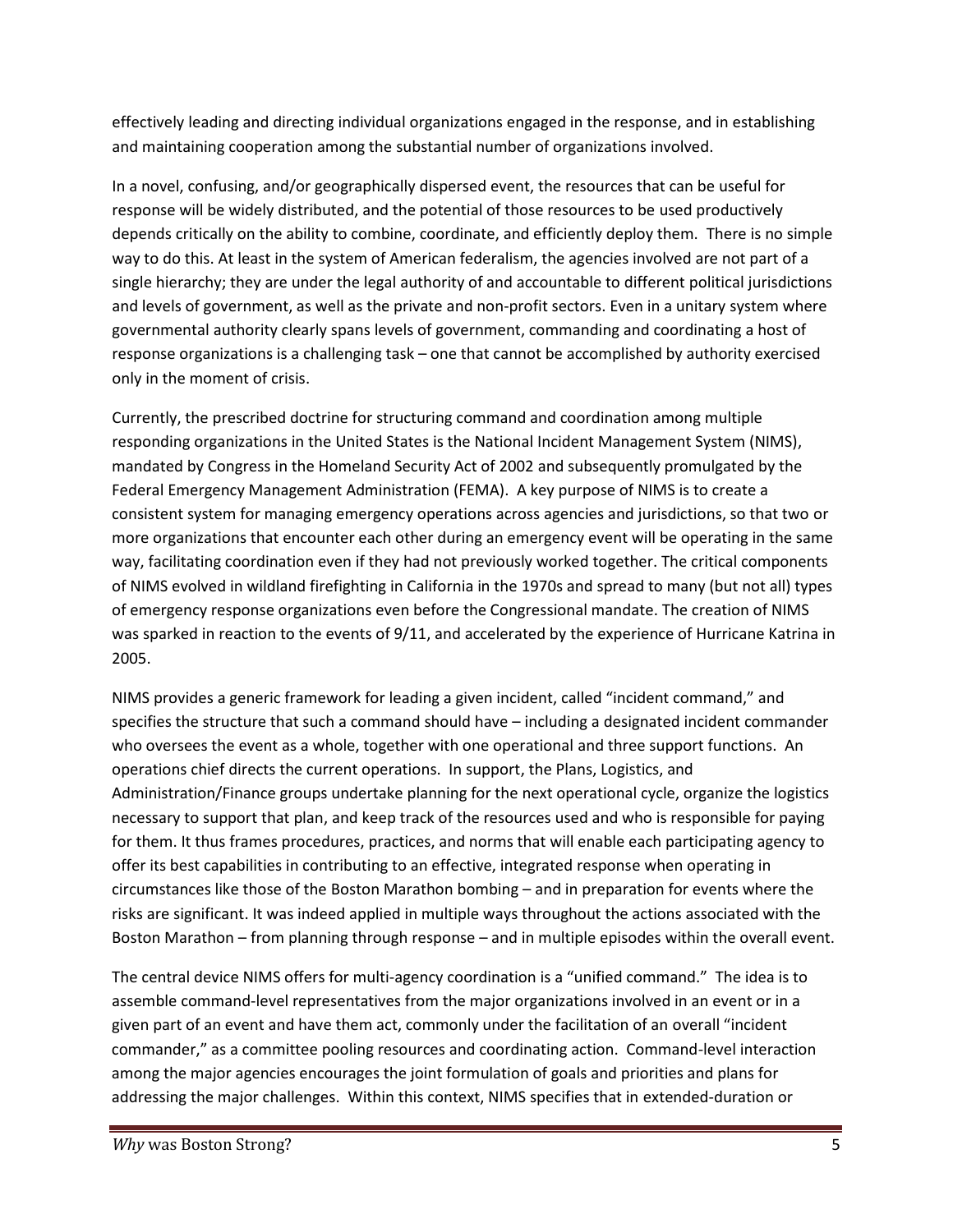effectively leading and directing individual organizations engaged in the response, and in establishing and maintaining cooperation among the substantial number of organizations involved.

In a novel, confusing, and/or geographically dispersed event, the resources that can be useful for response will be widely distributed, and the potential of those resources to be used productively depends critically on the ability to combine, coordinate, and efficiently deploy them. There is no simple way to do this. At least in the system of American federalism, the agencies involved are not part of a single hierarchy; they are under the legal authority of and accountable to different political jurisdictions and levels of government, as well as the private and non-profit sectors. Even in a unitary system where governmental authority clearly spans levels of government, commanding and coordinating a host of response organizations is a challenging task – one that cannot be accomplished by authority exercised only in the moment of crisis.

Currently, the prescribed doctrine for structuring command and coordination among multiple responding organizations in the United States is the National Incident Management System (NIMS), mandated by Congress in the Homeland Security Act of 2002 and subsequently promulgated by the Federal Emergency Management Administration (FEMA). A key purpose of NIMS is to create a consistent system for managing emergency operations across agencies and jurisdictions, so that two or more organizations that encounter each other during an emergency event will be operating in the same way, facilitating coordination even if they had not previously worked together. The critical components of NIMS evolved in wildland firefighting in California in the 1970s and spread to many (but not all) types of emergency response organizations even before the Congressional mandate. The creation of NIMS was sparked in reaction to the events of 9/11, and accelerated by the experience of Hurricane Katrina in 2005.

NIMS provides a generic framework for leading a given incident, called "incident command," and specifies the structure that such a command should have – including a designated incident commander who oversees the event as a whole, together with one operational and three support functions. An operations chief directs the current operations. In support, the Plans, Logistics, and Administration/Finance groups undertake planning for the next operational cycle, organize the logistics necessary to support that plan, and keep track of the resources used and who is responsible for paying for them. It thus frames procedures, practices, and norms that will enable each participating agency to offer its best capabilities in contributing to an effective, integrated response when operating in circumstances like those of the Boston Marathon bombing – and in preparation for events where the risks are significant. It was indeed applied in multiple ways throughout the actions associated with the Boston Marathon – from planning through response – and in multiple episodes within the overall event.

The central device NIMS offers for multi-agency coordination is a "unified command." The idea is to assemble command-level representatives from the major organizations involved in an event or in a given part of an event and have them act, commonly under the facilitation of an overall "incident commander," as a committee pooling resources and coordinating action. Command-level interaction among the major agencies encourages the joint formulation of goals and priorities and plans for addressing the major challenges. Within this context, NIMS specifies that in extended-duration or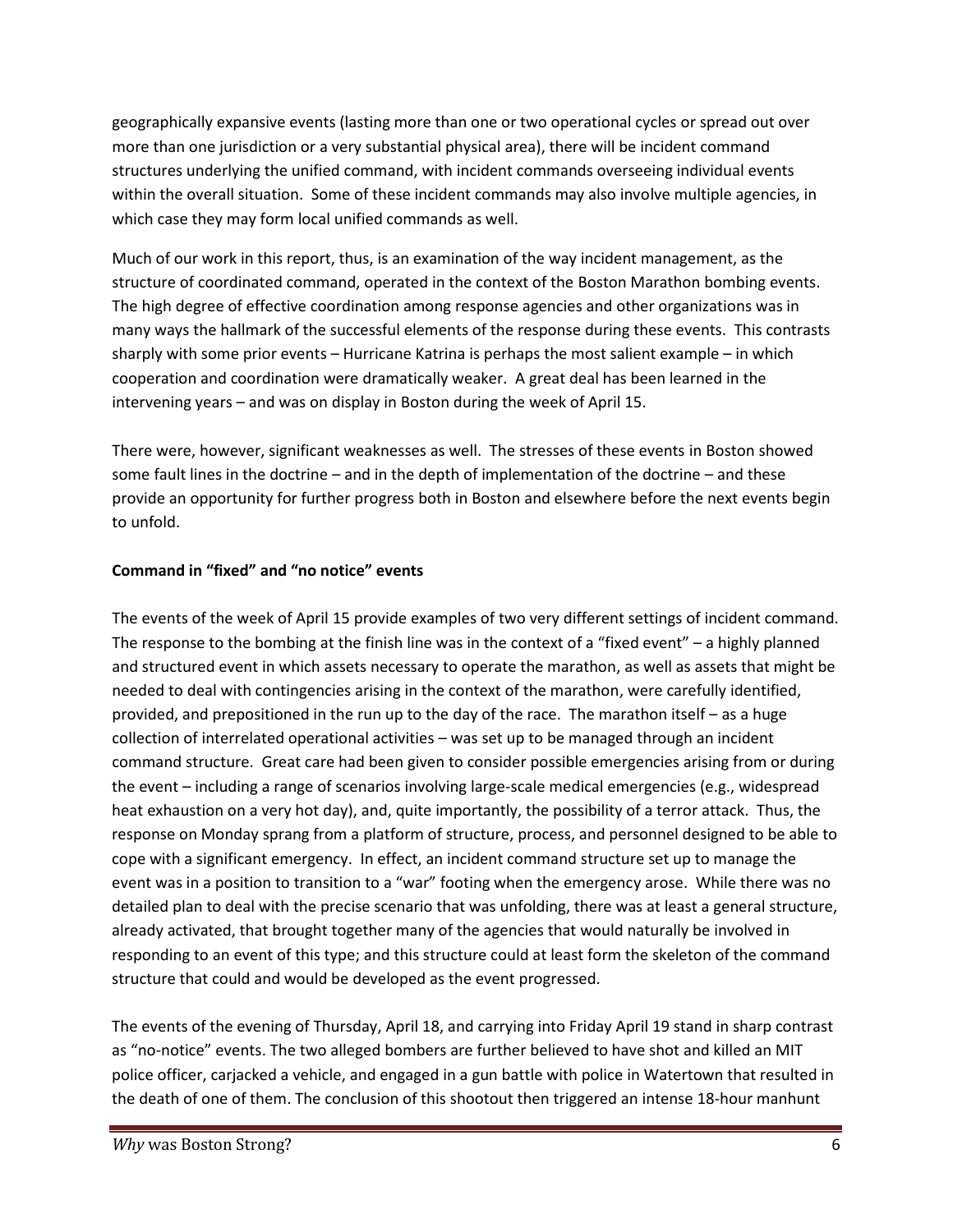geographically expansive events (lasting more than one or two operational cycles or spread out over more than one jurisdiction or a very substantial physical area), there will be incident command structures underlying the unified command, with incident commands overseeing individual events within the overall situation. Some of these incident commands may also involve multiple agencies, in which case they may form local unified commands as well.

Much of our work in this report, thus, is an examination of the way incident management, as the structure of coordinated command, operated in the context of the Boston Marathon bombing events. The high degree of effective coordination among response agencies and other organizations was in many ways the hallmark of the successful elements of the response during these events. This contrasts sharply with some prior events – Hurricane Katrina is perhaps the most salient example – in which cooperation and coordination were dramatically weaker. A great deal has been learned in the intervening years – and was on display in Boston during the week of April 15.

There were, however, significant weaknesses as well. The stresses of these events in Boston showed some fault lines in the doctrine – and in the depth of implementation of the doctrine – and these provide an opportunity for further progress both in Boston and elsewhere before the next events begin to unfold.

#### **Command in "fixed" and "no notice" events**

The events of the week of April 15 provide examples of two very different settings of incident command. The response to the bombing at the finish line was in the context of a "fixed event" – a highly planned and structured event in which assets necessary to operate the marathon, as well as assets that might be needed to deal with contingencies arising in the context of the marathon, were carefully identified, provided, and prepositioned in the run up to the day of the race. The marathon itself – as a huge collection of interrelated operational activities – was set up to be managed through an incident command structure. Great care had been given to consider possible emergencies arising from or during the event – including a range of scenarios involving large-scale medical emergencies (e.g., widespread heat exhaustion on a very hot day), and, quite importantly, the possibility of a terror attack. Thus, the response on Monday sprang from a platform of structure, process, and personnel designed to be able to cope with a significant emergency. In effect, an incident command structure set up to manage the event was in a position to transition to a "war" footing when the emergency arose. While there was no detailed plan to deal with the precise scenario that was unfolding, there was at least a general structure, already activated, that brought together many of the agencies that would naturally be involved in responding to an event of this type; and this structure could at least form the skeleton of the command structure that could and would be developed as the event progressed.

The events of the evening of Thursday, April 18, and carrying into Friday April 19 stand in sharp contrast as "no-notice" events. The two alleged bombers are further believed to have shot and killed an MIT police officer, carjacked a vehicle, and engaged in a gun battle with police in Watertown that resulted in the death of one of them. The conclusion of this shootout then triggered an intense 18-hour manhunt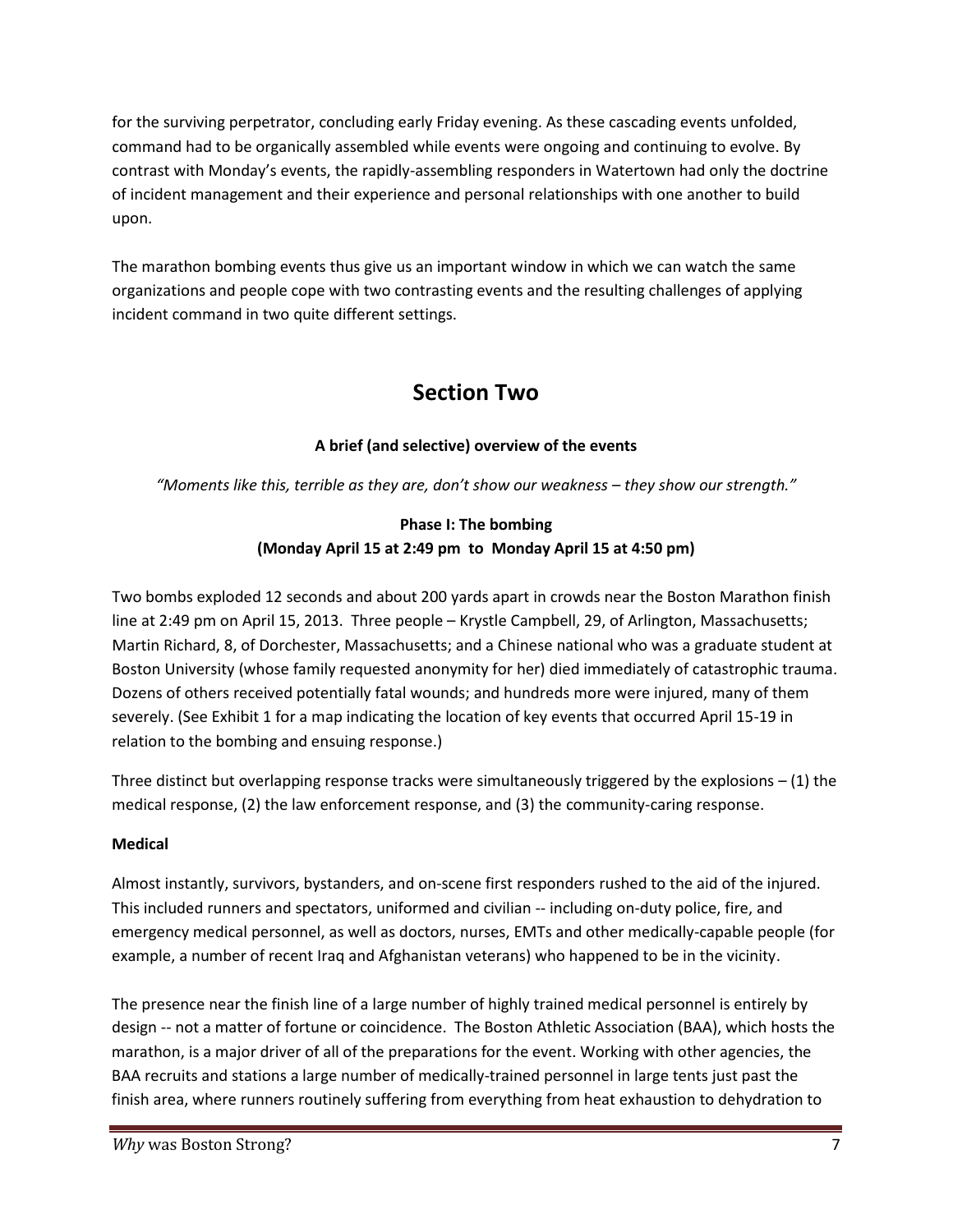for the surviving perpetrator, concluding early Friday evening. As these cascading events unfolded, command had to be organically assembled while events were ongoing and continuing to evolve. By contrast with Monday's events, the rapidly-assembling responders in Watertown had only the doctrine of incident management and their experience and personal relationships with one another to build upon.

The marathon bombing events thus give us an important window in which we can watch the same organizations and people cope with two contrasting events and the resulting challenges of applying incident command in two quite different settings.

# **Section Two**

#### **A brief (and selective) overview of the events**

*"Moments like this, terrible as they are, don't show our weakness – they show our strength."*

#### **Phase I: The bombing (Monday April 15 at 2:49 pm to Monday April 15 at 4:50 pm)**

Two bombs exploded 12 seconds and about 200 yards apart in crowds near the Boston Marathon finish line at 2:49 pm on April 15, 2013. Three people – Krystle Campbell, 29, of Arlington, Massachusetts; Martin Richard, 8, of Dorchester, Massachusetts; and a Chinese national who was a graduate student at Boston University (whose family requested anonymity for her) died immediately of catastrophic trauma. Dozens of others received potentially fatal wounds; and hundreds more were injured, many of them severely. (See Exhibit 1 for a map indicating the location of key events that occurred April 15-19 in relation to the bombing and ensuing response.)

Three distinct but overlapping response tracks were simultaneously triggered by the explosions  $- (1)$  the medical response, (2) the law enforcement response, and (3) the community-caring response.

#### **Medical**

Almost instantly, survivors, bystanders, and on-scene first responders rushed to the aid of the injured. This included runners and spectators, uniformed and civilian -- including on-duty police, fire, and emergency medical personnel, as well as doctors, nurses, EMTs and other medically-capable people (for example, a number of recent Iraq and Afghanistan veterans) who happened to be in the vicinity.

The presence near the finish line of a large number of highly trained medical personnel is entirely by design -- not a matter of fortune or coincidence. The Boston Athletic Association (BAA), which hosts the marathon, is a major driver of all of the preparations for the event. Working with other agencies, the BAA recruits and stations a large number of medically-trained personnel in large tents just past the finish area, where runners routinely suffering from everything from heat exhaustion to dehydration to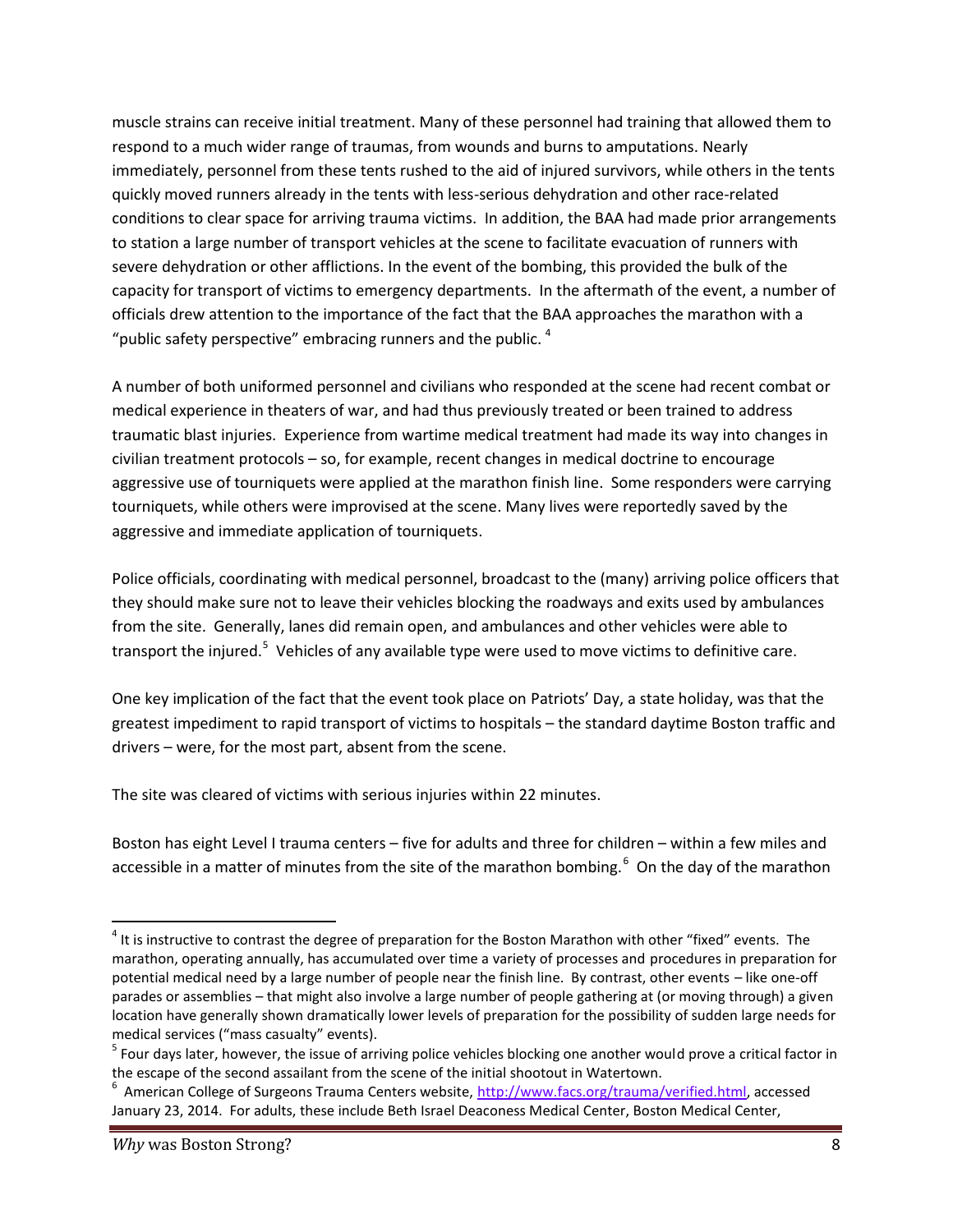muscle strains can receive initial treatment. Many of these personnel had training that allowed them to respond to a much wider range of traumas, from wounds and burns to amputations. Nearly immediately, personnel from these tents rushed to the aid of injured survivors, while others in the tents quickly moved runners already in the tents with less-serious dehydration and other race-related conditions to clear space for arriving trauma victims. In addition, the BAA had made prior arrangements to station a large number of transport vehicles at the scene to facilitate evacuation of runners with severe dehydration or other afflictions. In the event of the bombing, this provided the bulk of the capacity for transport of victims to emergency departments. In the aftermath of the event, a number of officials drew attention to the importance of the fact that the BAA approaches the marathon with a "public safety perspective" embracing runners and the public.  $4$ 

A number of both uniformed personnel and civilians who responded at the scene had recent combat or medical experience in theaters of war, and had thus previously treated or been trained to address traumatic blast injuries. Experience from wartime medical treatment had made its way into changes in civilian treatment protocols – so, for example, recent changes in medical doctrine to encourage aggressive use of tourniquets were applied at the marathon finish line. Some responders were carrying tourniquets, while others were improvised at the scene. Many lives were reportedly saved by the aggressive and immediate application of tourniquets.

Police officials, coordinating with medical personnel, broadcast to the (many) arriving police officers that they should make sure not to leave their vehicles blocking the roadways and exits used by ambulances from the site. Generally, lanes did remain open, and ambulances and other vehicles were able to transport the injured.<sup>5</sup> Vehicles of any available type were used to move victims to definitive care.

One key implication of the fact that the event took place on Patriots' Day, a state holiday, was that the greatest impediment to rapid transport of victims to hospitals – the standard daytime Boston traffic and drivers – were, for the most part, absent from the scene.

The site was cleared of victims with serious injuries within 22 minutes.

Boston has eight Level I trauma centers – five for adults and three for children – within a few miles and accessible in a matter of minutes from the site of the marathon bombing.<sup>6</sup> On the day of the marathon

 $^4$  It is instructive to contrast the degree of preparation for the Boston Marathon with other "fixed" events. The marathon, operating annually, has accumulated over time a variety of processes and procedures in preparation for potential medical need by a large number of people near the finish line. By contrast, other events – like one-off parades or assemblies – that might also involve a large number of people gathering at (or moving through) a given location have generally shown dramatically lower levels of preparation for the possibility of sudden large needs for medical services ("mass casualty" events).<br><sup>5</sup> Four days later, however, the issue of arriving police vehicles blocking one another would prove a critical factor in

the escape of the second assailant from the scene of the initial shootout in Watertown.<br>
<sup>6</sup> American College of Surgeons Trauma Centers website, http://www.facs.org/trauma/verified.html, accessed January 23, 2014. For adults, these include Beth Israel Deaconess Medical Center, Boston Medical Center,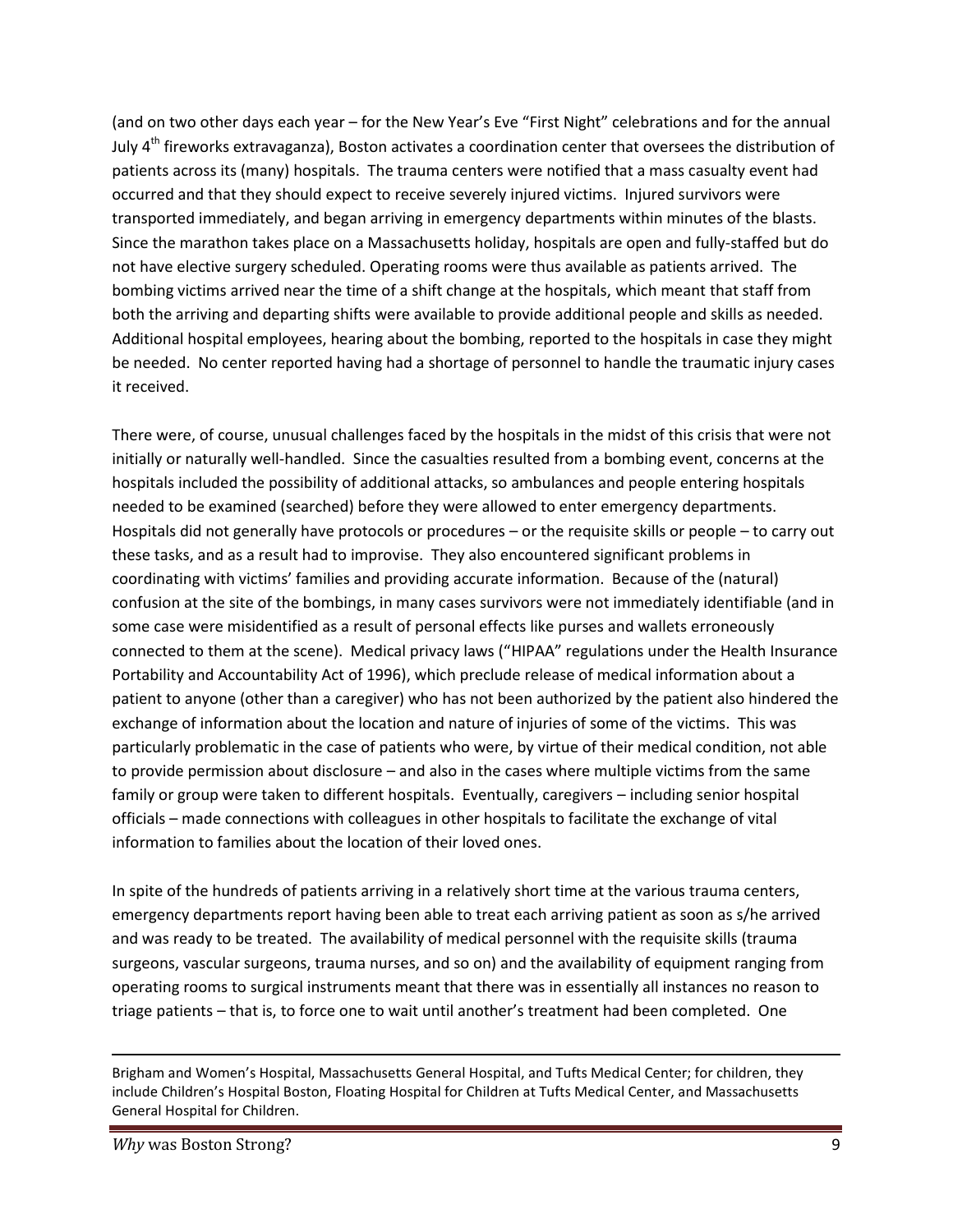(and on two other days each year – for the New Year's Eve "First Night" celebrations and for the annual July  $4<sup>th</sup>$  fireworks extravaganza), Boston activates a coordination center that oversees the distribution of patients across its (many) hospitals. The trauma centers were notified that a mass casualty event had occurred and that they should expect to receive severely injured victims. Injured survivors were transported immediately, and began arriving in emergency departments within minutes of the blasts. Since the marathon takes place on a Massachusetts holiday, hospitals are open and fully-staffed but do not have elective surgery scheduled. Operating rooms were thus available as patients arrived. The bombing victims arrived near the time of a shift change at the hospitals, which meant that staff from both the arriving and departing shifts were available to provide additional people and skills as needed. Additional hospital employees, hearing about the bombing, reported to the hospitals in case they might be needed. No center reported having had a shortage of personnel to handle the traumatic injury cases it received.

There were, of course, unusual challenges faced by the hospitals in the midst of this crisis that were not initially or naturally well-handled. Since the casualties resulted from a bombing event, concerns at the hospitals included the possibility of additional attacks, so ambulances and people entering hospitals needed to be examined (searched) before they were allowed to enter emergency departments. Hospitals did not generally have protocols or procedures – or the requisite skills or people – to carry out these tasks, and as a result had to improvise. They also encountered significant problems in coordinating with victims' families and providing accurate information. Because of the (natural) confusion at the site of the bombings, in many cases survivors were not immediately identifiable (and in some case were misidentified as a result of personal effects like purses and wallets erroneously connected to them at the scene). Medical privacy laws ("HIPAA" regulations under the Health Insurance Portability and Accountability Act of 1996), which preclude release of medical information about a patient to anyone (other than a caregiver) who has not been authorized by the patient also hindered the exchange of information about the location and nature of injuries of some of the victims. This was particularly problematic in the case of patients who were, by virtue of their medical condition, not able to provide permission about disclosure – and also in the cases where multiple victims from the same family or group were taken to different hospitals. Eventually, caregivers – including senior hospital officials – made connections with colleagues in other hospitals to facilitate the exchange of vital information to families about the location of their loved ones.

In spite of the hundreds of patients arriving in a relatively short time at the various trauma centers, emergency departments report having been able to treat each arriving patient as soon as s/he arrived and was ready to be treated. The availability of medical personnel with the requisite skills (trauma surgeons, vascular surgeons, trauma nurses, and so on) and the availability of equipment ranging from operating rooms to surgical instruments meant that there was in essentially all instances no reason to triage patients – that is, to force one to wait until another's treatment had been completed. One

Brigham and Women's Hospital, Massachusetts General Hospital, and Tufts Medical Center; for children, they include Children's Hospital Boston, Floating Hospital for Children at Tufts Medical Center, and Massachusetts General Hospital for Children.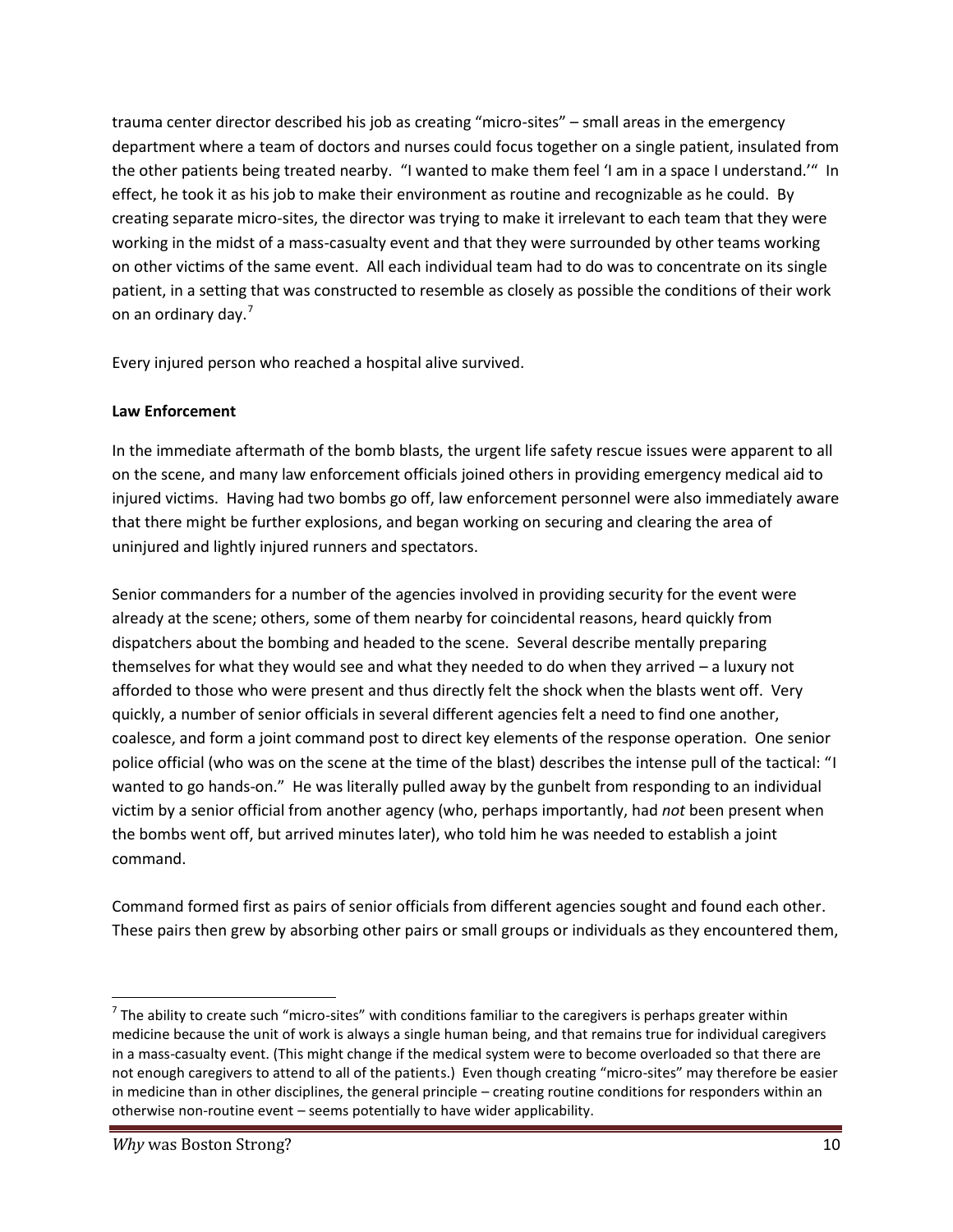trauma center director described his job as creating "micro-sites" – small areas in the emergency department where a team of doctors and nurses could focus together on a single patient, insulated from the other patients being treated nearby. "I wanted to make them feel 'I am in a space I understand.'" In effect, he took it as his job to make their environment as routine and recognizable as he could. By creating separate micro-sites, the director was trying to make it irrelevant to each team that they were working in the midst of a mass-casualty event and that they were surrounded by other teams working on other victims of the same event. All each individual team had to do was to concentrate on its single patient, in a setting that was constructed to resemble as closely as possible the conditions of their work on an ordinary day.<sup>7</sup>

Every injured person who reached a hospital alive survived.

#### **Law Enforcement**

In the immediate aftermath of the bomb blasts, the urgent life safety rescue issues were apparent to all on the scene, and many law enforcement officials joined others in providing emergency medical aid to injured victims. Having had two bombs go off, law enforcement personnel were also immediately aware that there might be further explosions, and began working on securing and clearing the area of uninjured and lightly injured runners and spectators.

Senior commanders for a number of the agencies involved in providing security for the event were already at the scene; others, some of them nearby for coincidental reasons, heard quickly from dispatchers about the bombing and headed to the scene. Several describe mentally preparing themselves for what they would see and what they needed to do when they arrived – a luxury not afforded to those who were present and thus directly felt the shock when the blasts went off. Very quickly, a number of senior officials in several different agencies felt a need to find one another, coalesce, and form a joint command post to direct key elements of the response operation. One senior police official (who was on the scene at the time of the blast) describes the intense pull of the tactical: "I wanted to go hands-on." He was literally pulled away by the gunbelt from responding to an individual victim by a senior official from another agency (who, perhaps importantly, had *not* been present when the bombs went off, but arrived minutes later), who told him he was needed to establish a joint command.

Command formed first as pairs of senior officials from different agencies sought and found each other. These pairs then grew by absorbing other pairs or small groups or individuals as they encountered them,

 $<sup>7</sup>$  The ability to create such "micro-sites" with conditions familiar to the caregivers is perhaps greater within</sup> medicine because the unit of work is always a single human being, and that remains true for individual caregivers in a mass-casualty event. (This might change if the medical system were to become overloaded so that there are not enough caregivers to attend to all of the patients.) Even though creating "micro-sites" may therefore be easier in medicine than in other disciplines, the general principle – creating routine conditions for responders within an otherwise non-routine event – seems potentially to have wider applicability.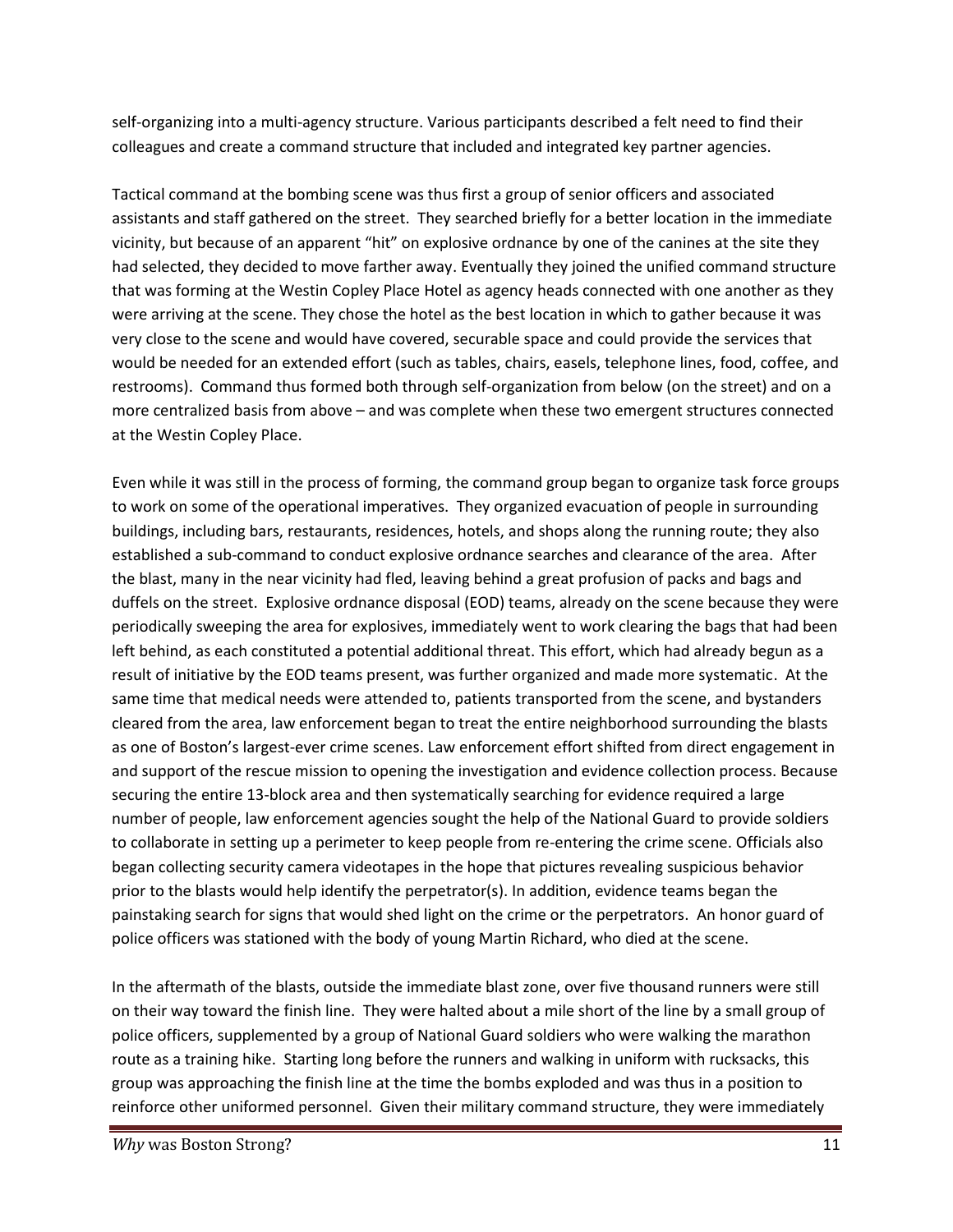self-organizing into a multi-agency structure. Various participants described a felt need to find their colleagues and create a command structure that included and integrated key partner agencies.

Tactical command at the bombing scene was thus first a group of senior officers and associated assistants and staff gathered on the street. They searched briefly for a better location in the immediate vicinity, but because of an apparent "hit" on explosive ordnance by one of the canines at the site they had selected, they decided to move farther away. Eventually they joined the unified command structure that was forming at the Westin Copley Place Hotel as agency heads connected with one another as they were arriving at the scene. They chose the hotel as the best location in which to gather because it was very close to the scene and would have covered, securable space and could provide the services that would be needed for an extended effort (such as tables, chairs, easels, telephone lines, food, coffee, and restrooms). Command thus formed both through self-organization from below (on the street) and on a more centralized basis from above – and was complete when these two emergent structures connected at the Westin Copley Place.

Even while it was still in the process of forming, the command group began to organize task force groups to work on some of the operational imperatives. They organized evacuation of people in surrounding buildings, including bars, restaurants, residences, hotels, and shops along the running route; they also established a sub-command to conduct explosive ordnance searches and clearance of the area. After the blast, many in the near vicinity had fled, leaving behind a great profusion of packs and bags and duffels on the street. Explosive ordnance disposal (EOD) teams, already on the scene because they were periodically sweeping the area for explosives, immediately went to work clearing the bags that had been left behind, as each constituted a potential additional threat. This effort, which had already begun as a result of initiative by the EOD teams present, was further organized and made more systematic. At the same time that medical needs were attended to, patients transported from the scene, and bystanders cleared from the area, law enforcement began to treat the entire neighborhood surrounding the blasts as one of Boston's largest-ever crime scenes. Law enforcement effort shifted from direct engagement in and support of the rescue mission to opening the investigation and evidence collection process. Because securing the entire 13-block area and then systematically searching for evidence required a large number of people, law enforcement agencies sought the help of the National Guard to provide soldiers to collaborate in setting up a perimeter to keep people from re-entering the crime scene. Officials also began collecting security camera videotapes in the hope that pictures revealing suspicious behavior prior to the blasts would help identify the perpetrator(s). In addition, evidence teams began the painstaking search for signs that would shed light on the crime or the perpetrators. An honor guard of police officers was stationed with the body of young Martin Richard, who died at the scene.

In the aftermath of the blasts, outside the immediate blast zone, over five thousand runners were still on their way toward the finish line. They were halted about a mile short of the line by a small group of police officers, supplemented by a group of National Guard soldiers who were walking the marathon route as a training hike. Starting long before the runners and walking in uniform with rucksacks, this group was approaching the finish line at the time the bombs exploded and was thus in a position to reinforce other uniformed personnel. Given their military command structure, they were immediately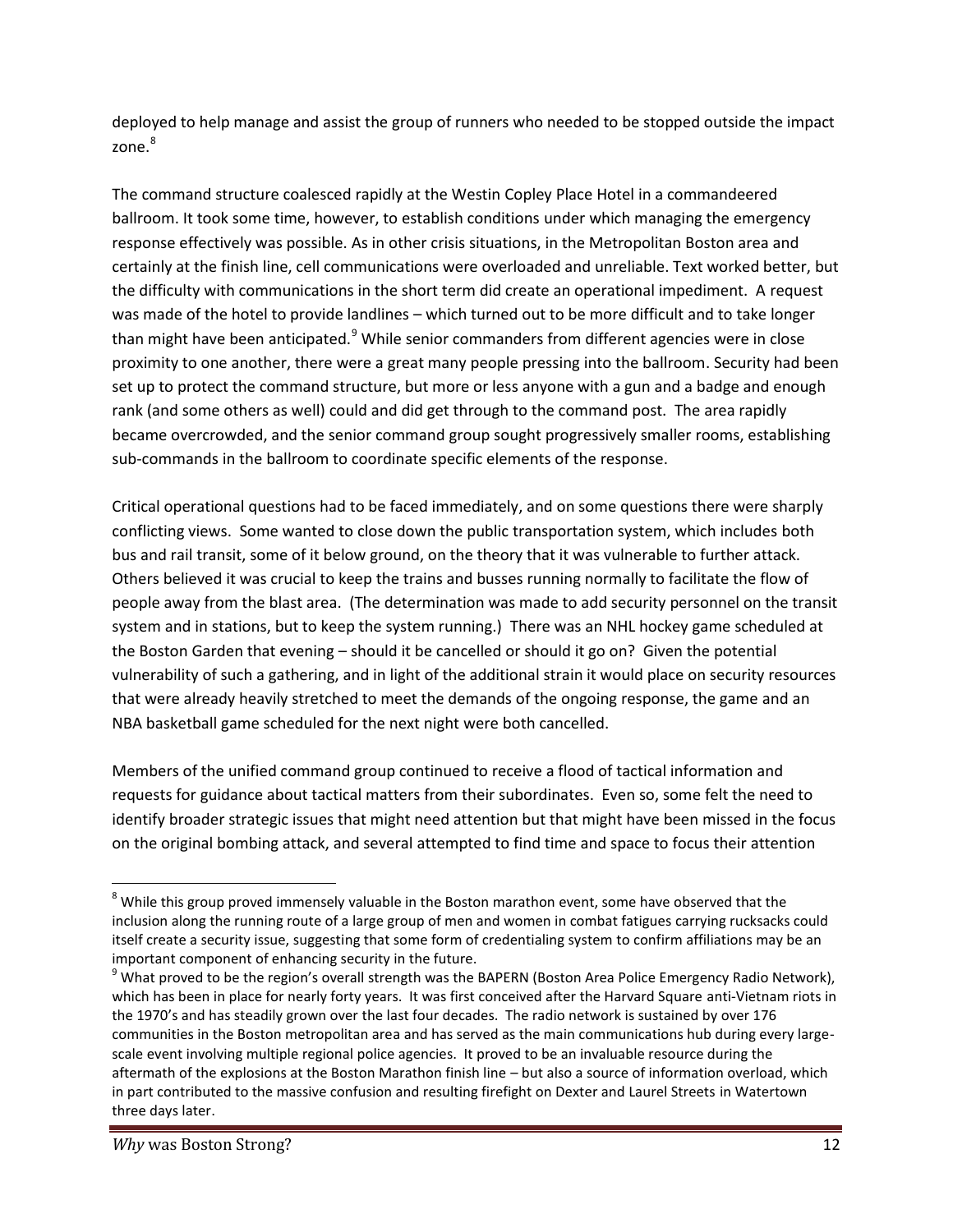deployed to help manage and assist the group of runners who needed to be stopped outside the impact  $z$ one $8$ 

The command structure coalesced rapidly at the Westin Copley Place Hotel in a commandeered ballroom. It took some time, however, to establish conditions under which managing the emergency response effectively was possible. As in other crisis situations, in the Metropolitan Boston area and certainly at the finish line, cell communications were overloaded and unreliable. Text worked better, but the difficulty with communications in the short term did create an operational impediment. A request was made of the hotel to provide landlines – which turned out to be more difficult and to take longer than might have been anticipated.<sup>9</sup> While senior commanders from different agencies were in close proximity to one another, there were a great many people pressing into the ballroom. Security had been set up to protect the command structure, but more or less anyone with a gun and a badge and enough rank (and some others as well) could and did get through to the command post. The area rapidly became overcrowded, and the senior command group sought progressively smaller rooms, establishing sub-commands in the ballroom to coordinate specific elements of the response.

Critical operational questions had to be faced immediately, and on some questions there were sharply conflicting views. Some wanted to close down the public transportation system, which includes both bus and rail transit, some of it below ground, on the theory that it was vulnerable to further attack. Others believed it was crucial to keep the trains and busses running normally to facilitate the flow of people away from the blast area. (The determination was made to add security personnel on the transit system and in stations, but to keep the system running.) There was an NHL hockey game scheduled at the Boston Garden that evening – should it be cancelled or should it go on? Given the potential vulnerability of such a gathering, and in light of the additional strain it would place on security resources that were already heavily stretched to meet the demands of the ongoing response, the game and an NBA basketball game scheduled for the next night were both cancelled.

Members of the unified command group continued to receive a flood of tactical information and requests for guidance about tactical matters from their subordinates. Even so, some felt the need to identify broader strategic issues that might need attention but that might have been missed in the focus on the original bombing attack, and several attempted to find time and space to focus their attention

<sup>&</sup>lt;sup>8</sup> While this group proved immensely valuable in the Boston marathon event, some have observed that the inclusion along the running route of a large group of men and women in combat fatigues carrying rucksacks could itself create a security issue, suggesting that some form of credentialing system to confirm affiliations may be an

important component of enhancing security in the future.<br><sup>9</sup> What proved to be the region's overall strength was the BAPERN (Boston Area Police Emergency Radio Network), which has been in place for nearly forty years. It was first conceived after the Harvard Square anti-Vietnam riots in the 1970's and has steadily grown over the last four decades. The radio network is sustained by over 176 communities in the Boston metropolitan area and has served as the main communications hub during every large scale event involving multiple regional police agencies. It proved to be an invaluable resource during the aftermath of the explosions at the Boston Marathon finish line – but also a source of information overload, which in part contributed to the massive confusion and resulting firefight on Dexter and Laurel Streets in Watertown three days later.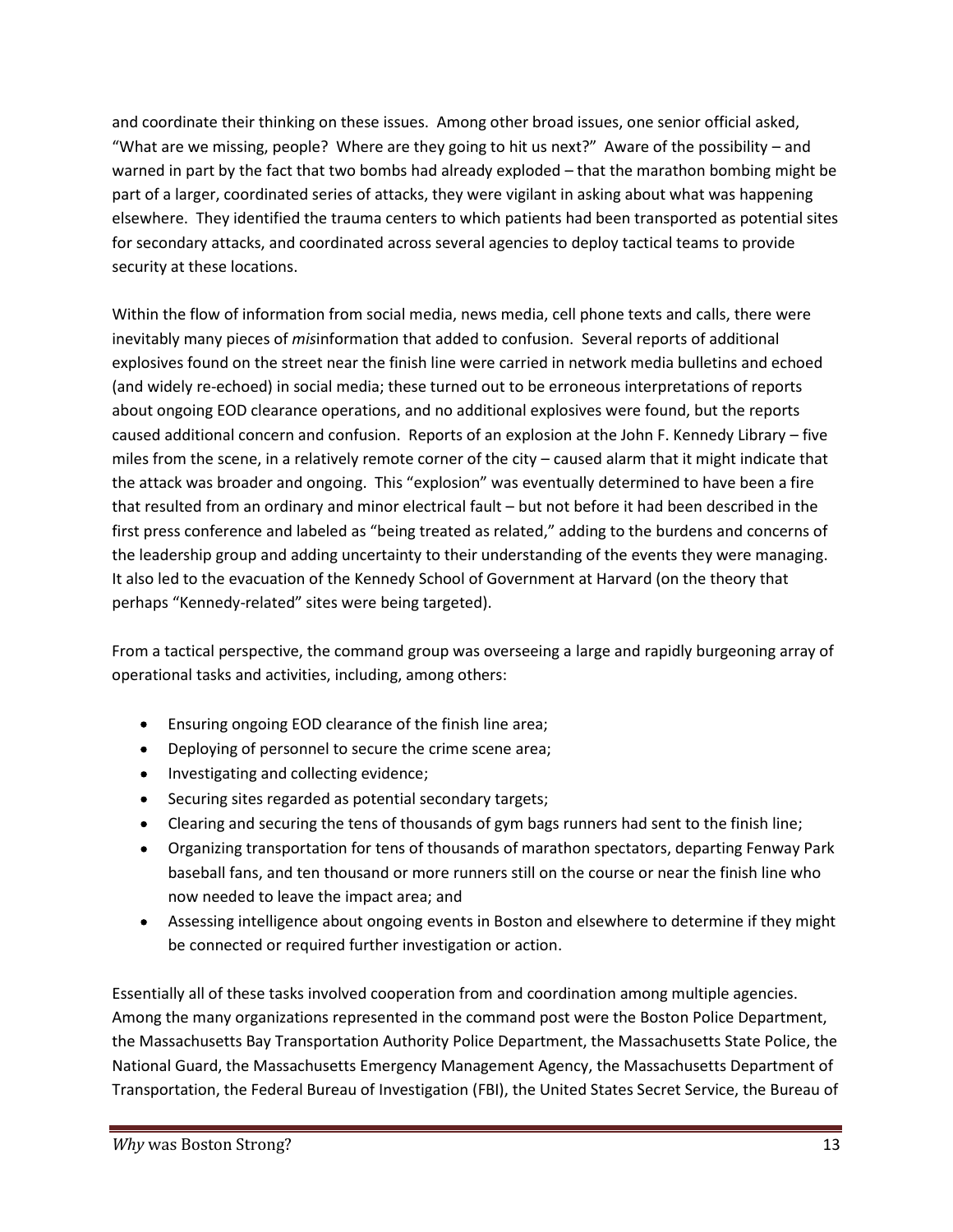and coordinate their thinking on these issues. Among other broad issues, one senior official asked, "What are we missing, people? Where are they going to hit us next?" Aware of the possibility – and warned in part by the fact that two bombs had already exploded – that the marathon bombing might be part of a larger, coordinated series of attacks, they were vigilant in asking about what was happening elsewhere. They identified the trauma centers to which patients had been transported as potential sites for secondary attacks, and coordinated across several agencies to deploy tactical teams to provide security at these locations.

Within the flow of information from social media, news media, cell phone texts and calls, there were inevitably many pieces of *mis*information that added to confusion. Several reports of additional explosives found on the street near the finish line were carried in network media bulletins and echoed (and widely re-echoed) in social media; these turned out to be erroneous interpretations of reports about ongoing EOD clearance operations, and no additional explosives were found, but the reports caused additional concern and confusion. Reports of an explosion at the John F. Kennedy Library – five miles from the scene, in a relatively remote corner of the city – caused alarm that it might indicate that the attack was broader and ongoing. This "explosion" was eventually determined to have been a fire that resulted from an ordinary and minor electrical fault – but not before it had been described in the first press conference and labeled as "being treated as related," adding to the burdens and concerns of the leadership group and adding uncertainty to their understanding of the events they were managing. It also led to the evacuation of the Kennedy School of Government at Harvard (on the theory that perhaps "Kennedy-related" sites were being targeted).

From a tactical perspective, the command group was overseeing a large and rapidly burgeoning array of operational tasks and activities, including, among others:

- Ensuring ongoing EOD clearance of the finish line area;
- Deploying of personnel to secure the crime scene area;
- Investigating and collecting evidence;
- Securing sites regarded as potential secondary targets;
- Clearing and securing the tens of thousands of gym bags runners had sent to the finish line;
- Organizing transportation for tens of thousands of marathon spectators, departing Fenway Park baseball fans, and ten thousand or more runners still on the course or near the finish line who now needed to leave the impact area; and
- Assessing intelligence about ongoing events in Boston and elsewhere to determine if they might be connected or required further investigation or action.

Essentially all of these tasks involved cooperation from and coordination among multiple agencies. Among the many organizations represented in the command post were the Boston Police Department, the Massachusetts Bay Transportation Authority Police Department, the Massachusetts State Police, the National Guard, the Massachusetts Emergency Management Agency, the Massachusetts Department of Transportation, the Federal Bureau of Investigation (FBI), the United States Secret Service, the Bureau of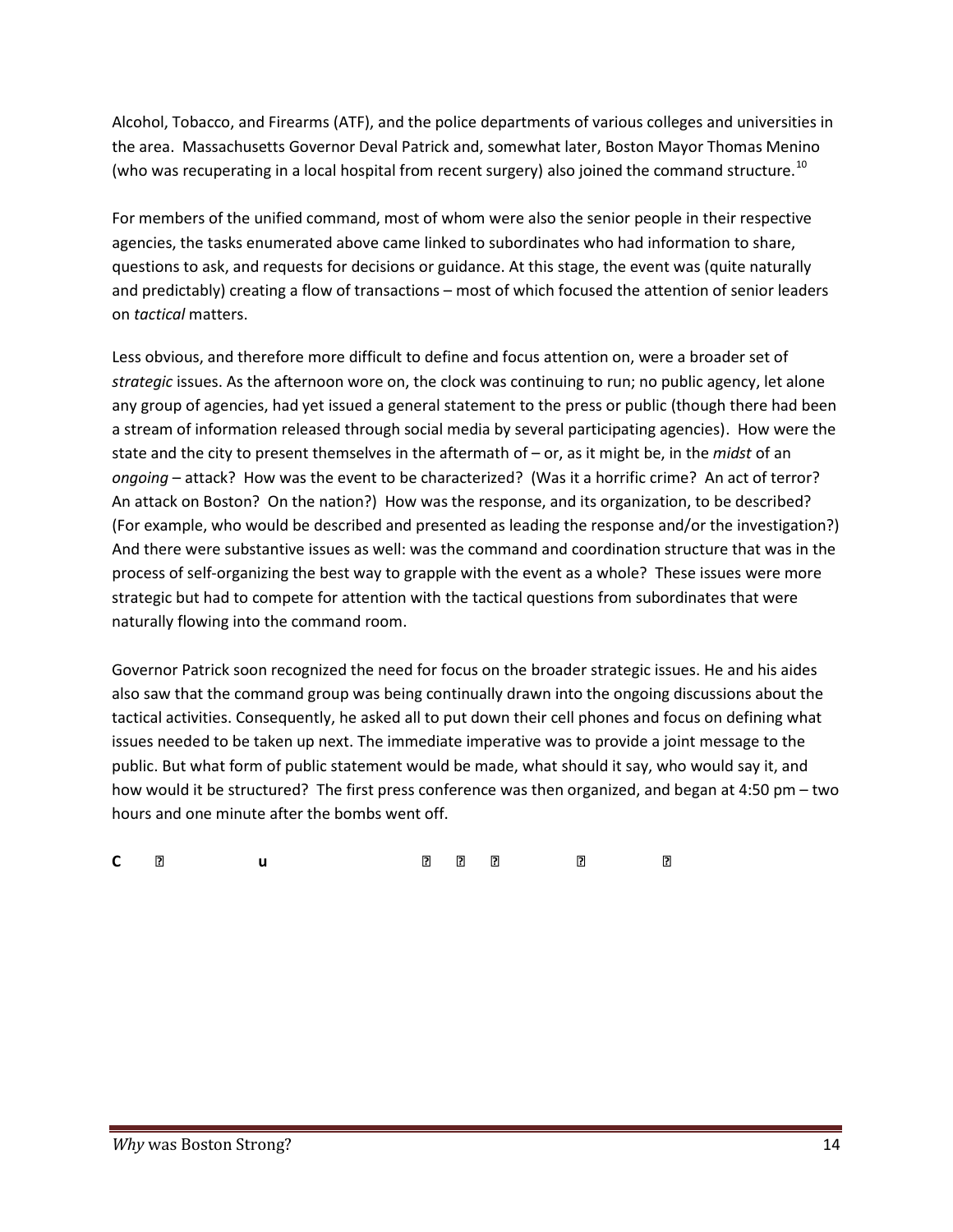Alcohol, Tobacco, and Firearms (ATF), and the police departments of various colleges and universities in the area. Massachusetts Governor Deval Patrick and, somewhat later, Boston Mayor Thomas Menino (who was recuperating in a local hospital from recent surgery) also joined the command structure.<sup>10</sup>

For members of the unified command, most of whom were also the senior people in their respective agencies, the tasks enumerated above came linked to subordinates who had information to share, questions to ask, and requests for decisions or guidance. At this stage, the event was (quite naturally and predictably) creating a flow of transactions – most of which focused the attention of senior leaders on *tactical* matters.

Less obvious, and therefore more difficult to define and focus attention on, were a broader set of *strategic* issues. As the afternoon wore on, the clock was continuing to run; no public agency, let alone any group of agencies, had yet issued a general statement to the press or public (though there had been a stream of information released through social media by several participating agencies). How were the state and the city to present themselves in the aftermath of – or, as it might be, in the *midst* of an *ongoing* – attack? How was the event to be characterized? (Was it a horrific crime? An act of terror? An attack on Boston? On the nation?) How was the response, and its organization, to be described? (For example, who would be described and presented as leading the response and/or the investigation?) And there were substantive issues as well: was the command and coordination structure that was in the process of self-organizing the best way to grapple with the event as a whole? These issues were more strategic but had to compete for attention with the tactical questions from subordinates that were naturally flowing into the command room.

Governor Patrick soon recognized the need for focus on the broader strategic issues. He and his aides also saw that the command group was being continually drawn into the ongoing discussions about the tactical activities. Consequently, he asked all to put down their cell phones and focus on defining what issues needed to be taken up next. The immediate imperative was to provide a joint message to the public. But what form of public statement would be made, what should it say, who would say it, and how would it be structured? The first press conference was then organized, and began at 4:50 pm – two hours and one minute after the bombs went off.

| C 图 U |  |
|-------|--|
|-------|--|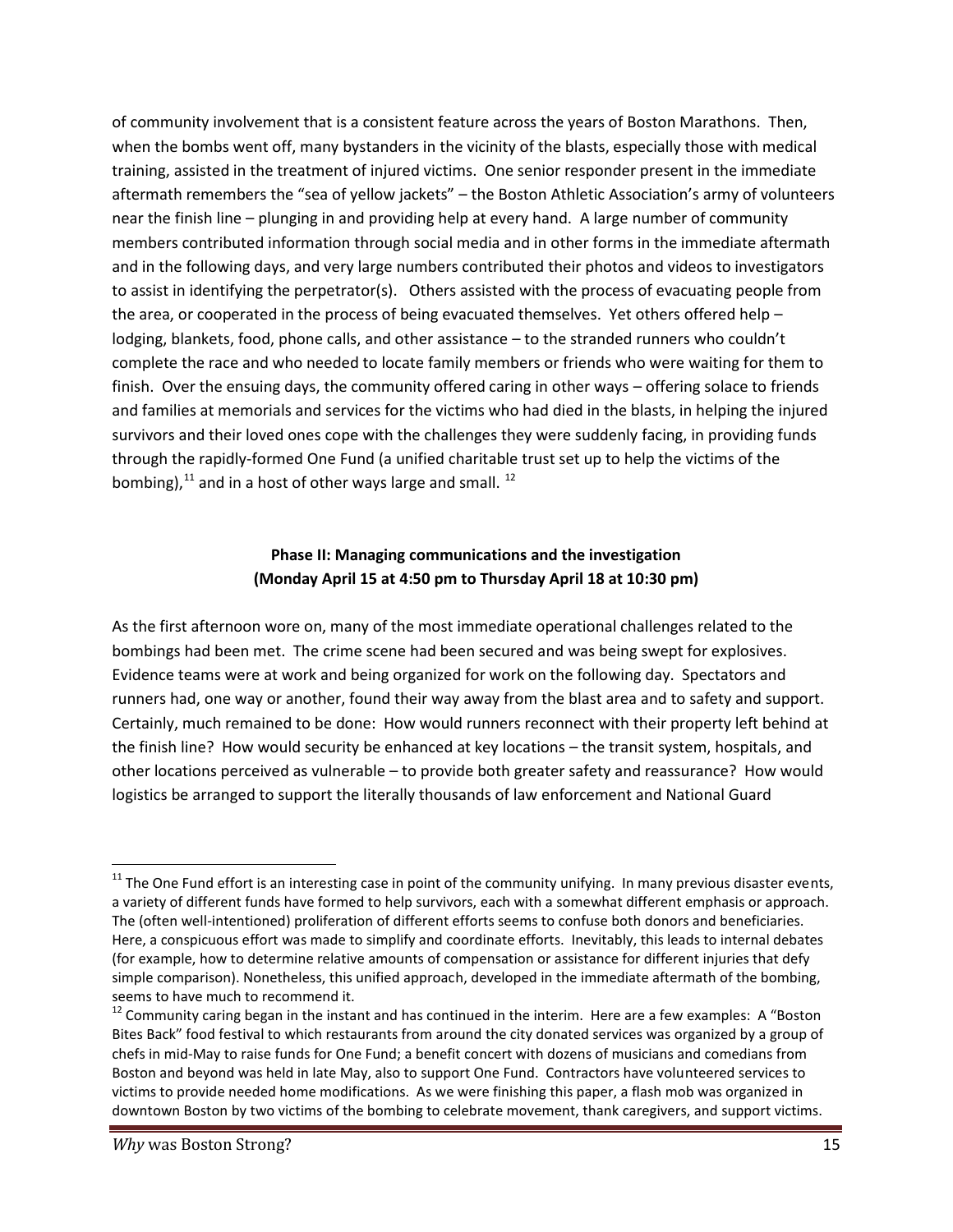of community involvement that is a consistent feature across the years of Boston Marathons. Then, when the bombs went off, many bystanders in the vicinity of the blasts, especially those with medical training, assisted in the treatment of injured victims. One senior responder present in the immediate aftermath remembers the "sea of yellow jackets" – the Boston Athletic Association's army of volunteers near the finish line – plunging in and providing help at every hand. A large number of community members contributed information through social media and in other forms in the immediate aftermath and in the following days, and very large numbers contributed their photos and videos to investigators to assist in identifying the perpetrator(s). Others assisted with the process of evacuating people from the area, or cooperated in the process of being evacuated themselves. Yet others offered help – lodging, blankets, food, phone calls, and other assistance – to the stranded runners who couldn't complete the race and who needed to locate family members or friends who were waiting for them to finish. Over the ensuing days, the community offered caring in other ways – offering solace to friends and families at memorials and services for the victims who had died in the blasts, in helping the injured survivors and their loved ones cope with the challenges they were suddenly facing, in providing funds through the rapidly-formed One Fund (a unified charitable trust set up to help the victims of the bombing), $^{11}$  and in a host of other ways large and small.  $^{12}$ 

#### **Phase II: Managing communications and the investigation (Monday April 15 at 4:50 pm to Thursday April 18 at 10:30 pm)**

As the first afternoon wore on, many of the most immediate operational challenges related to the bombings had been met. The crime scene had been secured and was being swept for explosives. Evidence teams were at work and being organized for work on the following day. Spectators and runners had, one way or another, found their way away from the blast area and to safety and support. Certainly, much remained to be done: How would runners reconnect with their property left behind at the finish line? How would security be enhanced at key locations – the transit system, hospitals, and other locations perceived as vulnerable – to provide both greater safety and reassurance? How would logistics be arranged to support the literally thousands of law enforcement and National Guard

 $11$  The One Fund effort is an interesting case in point of the community unifying. In many previous disaster events, a variety of different funds have formed to help survivors, each with a somewhat different emphasis or approach. The (often well-intentioned) proliferation of different efforts seems to confuse both donors and beneficiaries. Here, a conspicuous effort was made to simplify and coordinate efforts. Inevitably, this leads to internal debates (for example, how to determine relative amounts of compensation or assistance for different injuries that defy simple comparison). Nonetheless, this unified approach, developed in the immediate aftermath of the bombing,

seems to have much to recommend it.<br><sup>12</sup> Community caring began in the instant and has continued in the interim. Here are a few examples: A "Boston Bites Back" food festival to which restaurants from around the city donated services was organized by a group of chefs in mid-May to raise funds for One Fund; a benefit concert with dozens of musicians and comedians from Boston and beyond was held in late May, also to support One Fund. Contractors have volunteered services to victims to provide needed home modifications. As we were finishing this paper, a flash mob was organized in downtown Boston by two victims of the bombing to celebrate movement, thank caregivers, and support victims.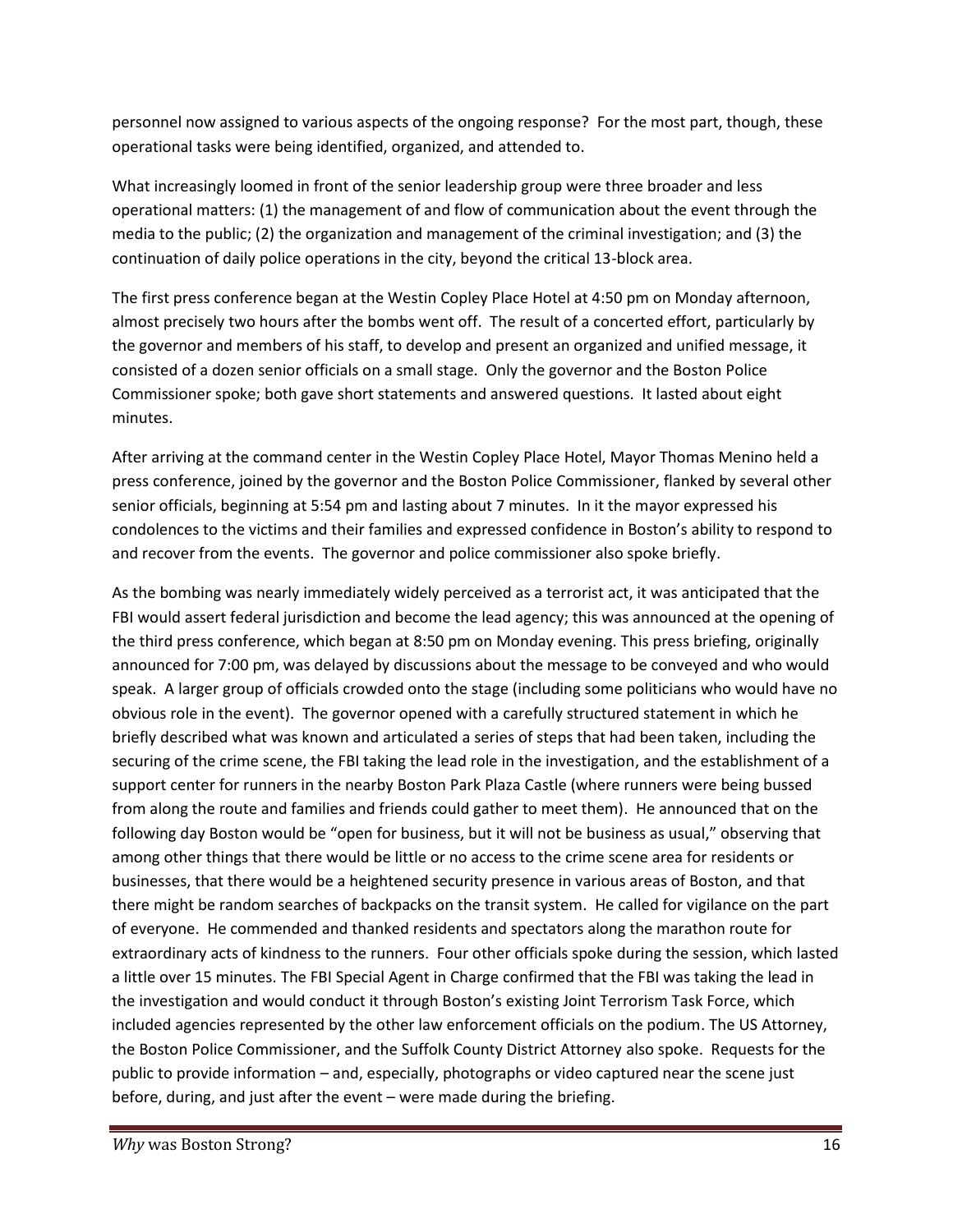personnel now assigned to various aspects of the ongoing response? For the most part, though, these operational tasks were being identified, organized, and attended to.

What increasingly loomed in front of the senior leadership group were three broader and less operational matters: (1) the management of and flow of communication about the event through the media to the public; (2) the organization and management of the criminal investigation; and (3) the continuation of daily police operations in the city, beyond the critical 13-block area.

The first press conference began at the Westin Copley Place Hotel at 4:50 pm on Monday afternoon, almost precisely two hours after the bombs went off. The result of a concerted effort, particularly by the governor and members of his staff, to develop and present an organized and unified message, it consisted of a dozen senior officials on a small stage. Only the governor and the Boston Police Commissioner spoke; both gave short statements and answered questions. It lasted about eight minutes.

After arriving at the command center in the Westin Copley Place Hotel, Mayor Thomas Menino held a press conference, joined by the governor and the Boston Police Commissioner, flanked by several other senior officials, beginning at 5:54 pm and lasting about 7 minutes. In it the mayor expressed his condolences to the victims and their families and expressed confidence in Boston's ability to respond to and recover from the events. The governor and police commissioner also spoke briefly.

As the bombing was nearly immediately widely perceived as a terrorist act, it was anticipated that the FBI would assert federal jurisdiction and become the lead agency; this was announced at the opening of the third press conference, which began at 8:50 pm on Monday evening. This press briefing, originally announced for 7:00 pm, was delayed by discussions about the message to be conveyed and who would speak. A larger group of officials crowded onto the stage (including some politicians who would have no obvious role in the event). The governor opened with a carefully structured statement in which he briefly described what was known and articulated a series of steps that had been taken, including the securing of the crime scene, the FBI taking the lead role in the investigation, and the establishment of a support center for runners in the nearby Boston Park Plaza Castle (where runners were being bussed from along the route and families and friends could gather to meet them). He announced that on the following day Boston would be "open for business, but it will not be business as usual," observing that among other things that there would be little or no access to the crime scene area for residents or businesses, that there would be a heightened security presence in various areas of Boston, and that there might be random searches of backpacks on the transit system. He called for vigilance on the part of everyone. He commended and thanked residents and spectators along the marathon route for extraordinary acts of kindness to the runners. Four other officials spoke during the session, which lasted a little over 15 minutes. The FBI Special Agent in Charge confirmed that the FBI was taking the lead in the investigation and would conduct it through Boston's existing Joint Terrorism Task Force, which included agencies represented by the other law enforcement officials on the podium. The US Attorney, the Boston Police Commissioner, and the Suffolk County District Attorney also spoke. Requests for the public to provide information – and, especially, photographs or video captured near the scene just before, during, and just after the event – were made during the briefing.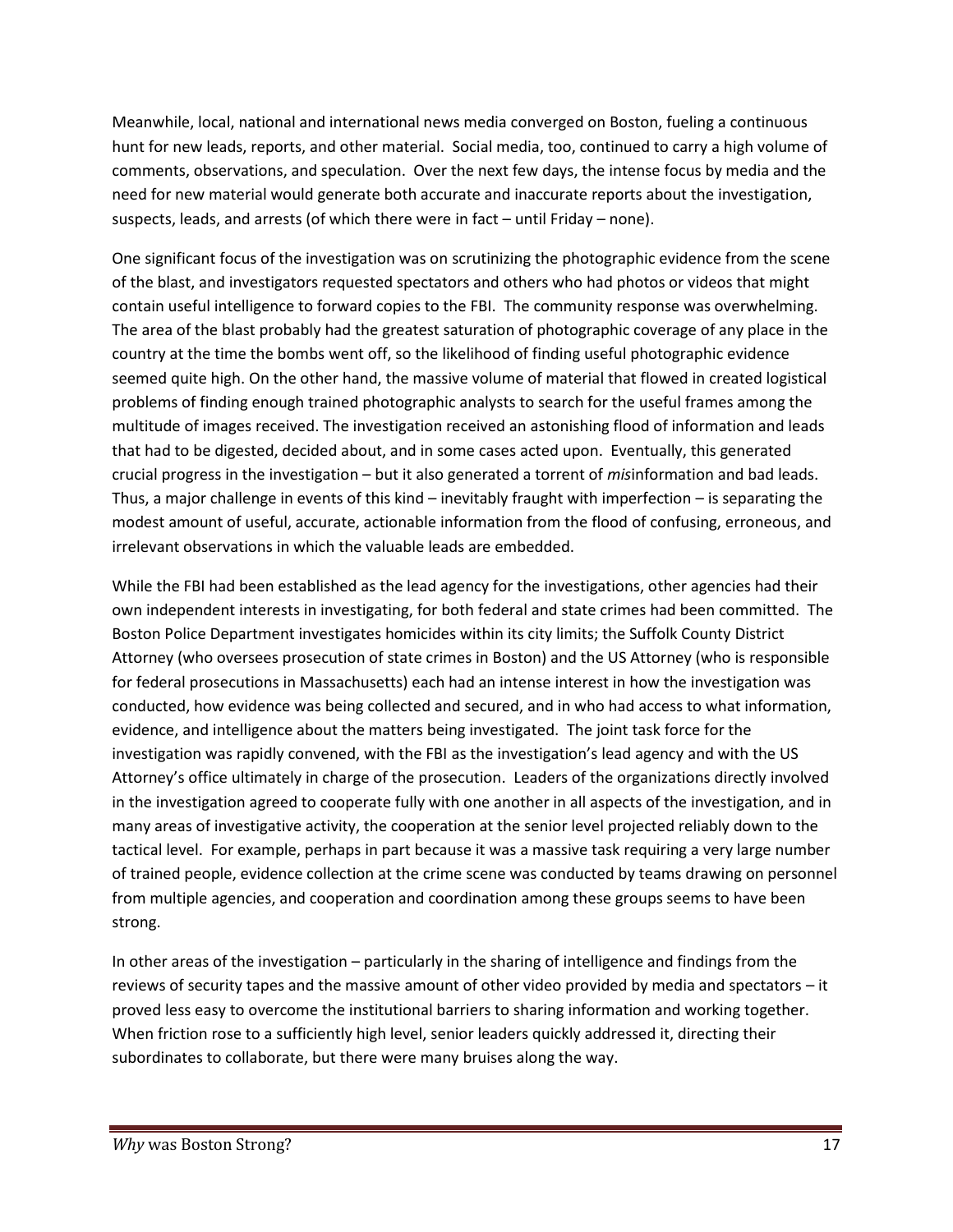Meanwhile, local, national and international news media converged on Boston, fueling a continuous hunt for new leads, reports, and other material. Social media, too, continued to carry a high volume of comments, observations, and speculation. Over the next few days, the intense focus by media and the need for new material would generate both accurate and inaccurate reports about the investigation, suspects, leads, and arrests (of which there were in fact – until Friday – none).

One significant focus of the investigation was on scrutinizing the photographic evidence from the scene of the blast, and investigators requested spectators and others who had photos or videos that might contain useful intelligence to forward copies to the FBI. The community response was overwhelming. The area of the blast probably had the greatest saturation of photographic coverage of any place in the country at the time the bombs went off, so the likelihood of finding useful photographic evidence seemed quite high. On the other hand, the massive volume of material that flowed in created logistical problems of finding enough trained photographic analysts to search for the useful frames among the multitude of images received. The investigation received an astonishing flood of information and leads that had to be digested, decided about, and in some cases acted upon. Eventually, this generated crucial progress in the investigation – but it also generated a torrent of *mis*information and bad leads. Thus, a major challenge in events of this kind – inevitably fraught with imperfection – is separating the modest amount of useful, accurate, actionable information from the flood of confusing, erroneous, and irrelevant observations in which the valuable leads are embedded.

While the FBI had been established as the lead agency for the investigations, other agencies had their own independent interests in investigating, for both federal and state crimes had been committed. The Boston Police Department investigates homicides within its city limits; the Suffolk County District Attorney (who oversees prosecution of state crimes in Boston) and the US Attorney (who is responsible for federal prosecutions in Massachusetts) each had an intense interest in how the investigation was conducted, how evidence was being collected and secured, and in who had access to what information, evidence, and intelligence about the matters being investigated. The joint task force for the investigation was rapidly convened, with the FBI as the investigation's lead agency and with the US Attorney's office ultimately in charge of the prosecution. Leaders of the organizations directly involved in the investigation agreed to cooperate fully with one another in all aspects of the investigation, and in many areas of investigative activity, the cooperation at the senior level projected reliably down to the tactical level. For example, perhaps in part because it was a massive task requiring a very large number of trained people, evidence collection at the crime scene was conducted by teams drawing on personnel from multiple agencies, and cooperation and coordination among these groups seems to have been strong.

In other areas of the investigation – particularly in the sharing of intelligence and findings from the reviews of security tapes and the massive amount of other video provided by media and spectators – it proved less easy to overcome the institutional barriers to sharing information and working together. When friction rose to a sufficiently high level, senior leaders quickly addressed it, directing their subordinates to collaborate, but there were many bruises along the way.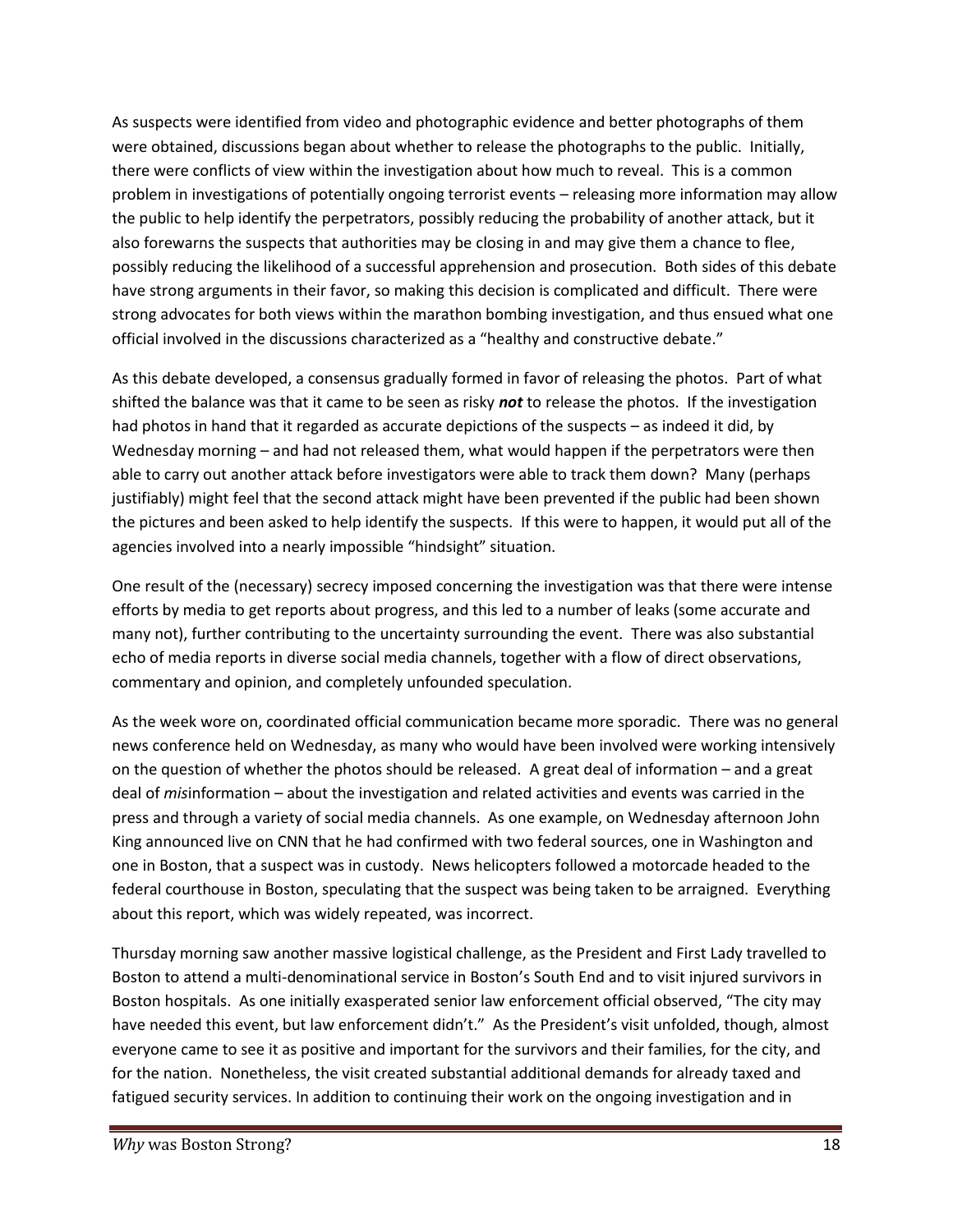As suspects were identified from video and photographic evidence and better photographs of them were obtained, discussions began about whether to release the photographs to the public. Initially, there were conflicts of view within the investigation about how much to reveal. This is a common problem in investigations of potentially ongoing terrorist events – releasing more information may allow the public to help identify the perpetrators, possibly reducing the probability of another attack, but it also forewarns the suspects that authorities may be closing in and may give them a chance to flee, possibly reducing the likelihood of a successful apprehension and prosecution. Both sides of this debate have strong arguments in their favor, so making this decision is complicated and difficult. There were strong advocates for both views within the marathon bombing investigation, and thus ensued what one official involved in the discussions characterized as a "healthy and constructive debate."

As this debate developed, a consensus gradually formed in favor of releasing the photos. Part of what shifted the balance was that it came to be seen as risky *not* to release the photos. If the investigation had photos in hand that it regarded as accurate depictions of the suspects – as indeed it did, by Wednesday morning – and had not released them, what would happen if the perpetrators were then able to carry out another attack before investigators were able to track them down? Many (perhaps justifiably) might feel that the second attack might have been prevented if the public had been shown the pictures and been asked to help identify the suspects. If this were to happen, it would put all of the agencies involved into a nearly impossible "hindsight" situation.

One result of the (necessary) secrecy imposed concerning the investigation was that there were intense efforts by media to get reports about progress, and this led to a number of leaks (some accurate and many not), further contributing to the uncertainty surrounding the event. There was also substantial echo of media reports in diverse social media channels, together with a flow of direct observations, commentary and opinion, and completely unfounded speculation.

As the week wore on, coordinated official communication became more sporadic. There was no general news conference held on Wednesday, as many who would have been involved were working intensively on the question of whether the photos should be released. A great deal of information – and a great deal of *mis*information – about the investigation and related activities and events was carried in the press and through a variety of social media channels. As one example, on Wednesday afternoon John King announced live on CNN that he had confirmed with two federal sources, one in Washington and one in Boston, that a suspect was in custody. News helicopters followed a motorcade headed to the federal courthouse in Boston, speculating that the suspect was being taken to be arraigned. Everything about this report, which was widely repeated, was incorrect.

Thursday morning saw another massive logistical challenge, as the President and First Lady travelled to Boston to attend a multi-denominational service in Boston's South End and to visit injured survivors in Boston hospitals. As one initially exasperated senior law enforcement official observed, "The city may have needed this event, but law enforcement didn't." As the President's visit unfolded, though, almost everyone came to see it as positive and important for the survivors and their families, for the city, and for the nation. Nonetheless, the visit created substantial additional demands for already taxed and fatigued security services. In addition to continuing their work on the ongoing investigation and in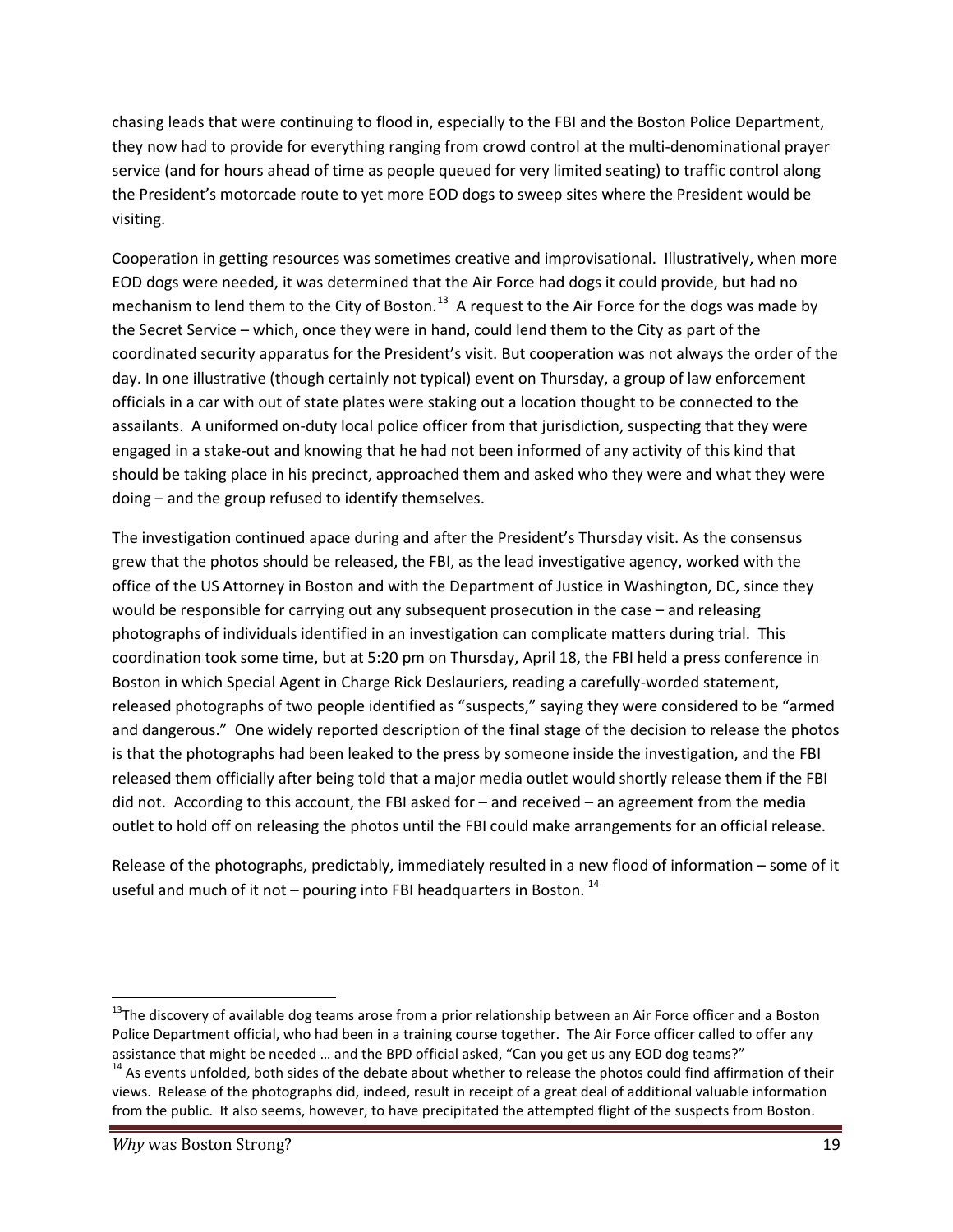chasing leads that were continuing to flood in, especially to the FBI and the Boston Police Department, they now had to provide for everything ranging from crowd control at the multi-denominational prayer service (and for hours ahead of time as people queued for very limited seating) to traffic control along the President's motorcade route to yet more EOD dogs to sweep sites where the President would be visiting.

Cooperation in getting resources was sometimes creative and improvisational. Illustratively, when more EOD dogs were needed, it was determined that the Air Force had dogs it could provide, but had no mechanism to lend them to the City of Boston.<sup>13</sup> A request to the Air Force for the dogs was made by the Secret Service – which, once they were in hand, could lend them to the City as part of the coordinated security apparatus for the President's visit. But cooperation was not always the order of the day. In one illustrative (though certainly not typical) event on Thursday, a group of law enforcement officials in a car with out of state plates were staking out a location thought to be connected to the assailants. A uniformed on-duty local police officer from that jurisdiction, suspecting that they were engaged in a stake-out and knowing that he had not been informed of any activity of this kind that should be taking place in his precinct, approached them and asked who they were and what they were doing – and the group refused to identify themselves.

The investigation continued apace during and after the President's Thursday visit. As the consensus grew that the photos should be released, the FBI, as the lead investigative agency, worked with the office of the US Attorney in Boston and with the Department of Justice in Washington, DC, since they would be responsible for carrying out any subsequent prosecution in the case – and releasing photographs of individuals identified in an investigation can complicate matters during trial. This coordination took some time, but at 5:20 pm on Thursday, April 18, the FBI held a press conference in Boston in which Special Agent in Charge Rick Deslauriers, reading a carefully-worded statement, released photographs of two people identified as "suspects," saying they were considered to be "armed and dangerous." One widely reported description of the final stage of the decision to release the photos is that the photographs had been leaked to the press by someone inside the investigation, and the FBI released them officially after being told that a major media outlet would shortly release them if the FBI did not. According to this account, the FBI asked for – and received – an agreement from the media outlet to hold off on releasing the photos until the FBI could make arrangements for an official release.

Release of the photographs, predictably, immediately resulted in a new flood of information – some of it useful and much of it not  $-$  pouring into FBI headquarters in Boston.<sup>14</sup>

<sup>&</sup>lt;sup>13</sup>The discovery of available dog teams arose from a prior relationship between an Air Force officer and a Boston Police Department official, who had been in a training course together. The Air Force officer called to offer any assistance that might be needed … and the BPD official asked, "Can you get us any EOD dog teams?"

 $14$  As events unfolded, both sides of the debate about whether to release the photos could find affirmation of their views. Release of the photographs did, indeed, result in receipt of a great deal of additional valuable information from the public. It also seems, however, to have precipitated the attempted flight of the suspects from Boston.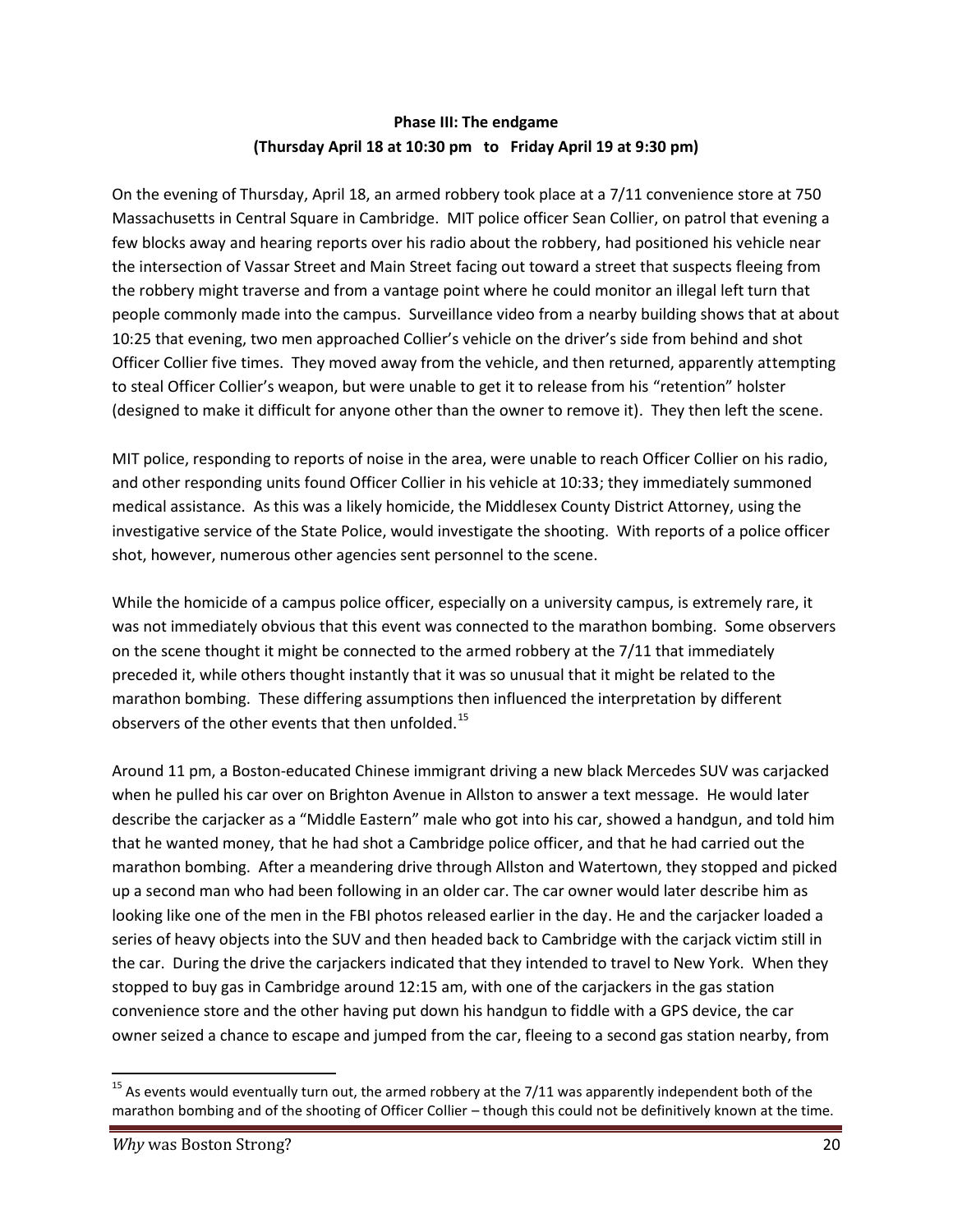#### **Phase III: The endgame (Thursday April 18 at 10:30 pm to Friday April 19 at 9:30 pm)**

On the evening of Thursday, April 18, an armed robbery took place at a 7/11 convenience store at 750 Massachusetts in Central Square in Cambridge. MIT police officer Sean Collier, on patrol that evening a few blocks away and hearing reports over his radio about the robbery, had positioned his vehicle near the intersection of Vassar Street and Main Street facing out toward a street that suspects fleeing from the robbery might traverse and from a vantage point where he could monitor an illegal left turn that people commonly made into the campus. Surveillance video from a nearby building shows that at about 10:25 that evening, two men approached Collier's vehicle on the driver's side from behind and shot Officer Collier five times. They moved away from the vehicle, and then returned, apparently attempting to steal Officer Collier's weapon, but were unable to get it to release from his "retention" holster (designed to make it difficult for anyone other than the owner to remove it). They then left the scene.

MIT police, responding to reports of noise in the area, were unable to reach Officer Collier on his radio, and other responding units found Officer Collier in his vehicle at 10:33; they immediately summoned medical assistance. As this was a likely homicide, the Middlesex County District Attorney, using the investigative service of the State Police, would investigate the shooting. With reports of a police officer shot, however, numerous other agencies sent personnel to the scene.

While the homicide of a campus police officer, especially on a university campus, is extremely rare, it was not immediately obvious that this event was connected to the marathon bombing. Some observers on the scene thought it might be connected to the armed robbery at the 7/11 that immediately preceded it, while others thought instantly that it was so unusual that it might be related to the marathon bombing. These differing assumptions then influenced the interpretation by different observers of the other events that then unfolded.<sup>15</sup>

Around 11 pm, a Boston-educated Chinese immigrant driving a new black Mercedes SUV was carjacked when he pulled his car over on Brighton Avenue in Allston to answer a text message. He would later describe the carjacker as a "Middle Eastern" male who got into his car, showed a handgun, and told him that he wanted money, that he had shot a Cambridge police officer, and that he had carried out the marathon bombing. After a meandering drive through Allston and Watertown, they stopped and picked up a second man who had been following in an older car. The car owner would later describe him as looking like one of the men in the FBI photos released earlier in the day. He and the carjacker loaded a series of heavy objects into the SUV and then headed back to Cambridge with the carjack victim still in the car. During the drive the carjackers indicated that they intended to travel to New York. When they stopped to buy gas in Cambridge around 12:15 am, with one of the carjackers in the gas station convenience store and the other having put down his handgun to fiddle with a GPS device, the car owner seized a chance to escape and jumped from the car, fleeing to a second gas station nearby, from

 $15$  As events would eventually turn out, the armed robbery at the 7/11 was apparently independent both of the marathon bombing and of the shooting of Officer Collier – though this could not be definitively known at the time.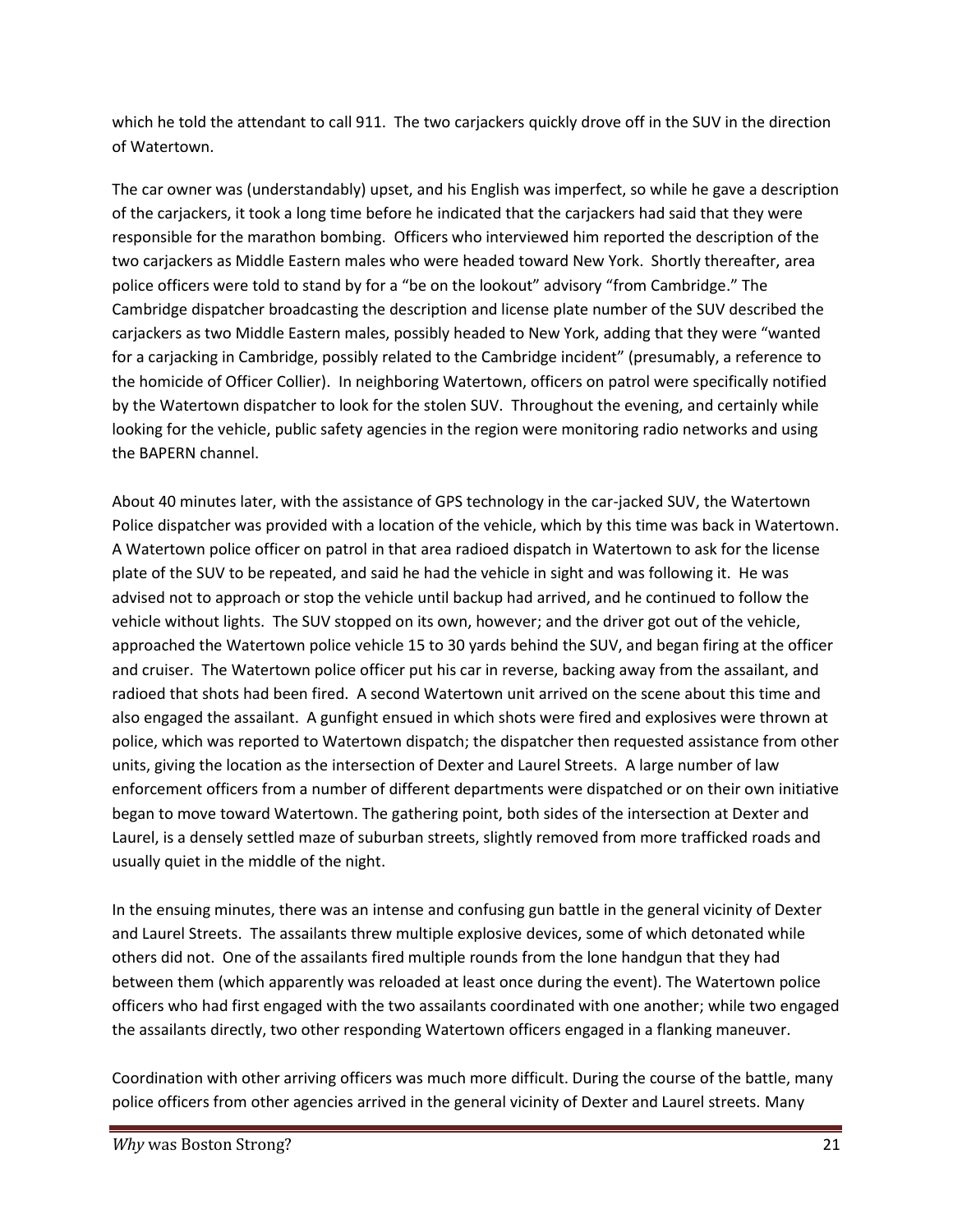which he told the attendant to call 911. The two carjackers quickly drove off in the SUV in the direction of Watertown.

The car owner was (understandably) upset, and his English was imperfect, so while he gave a description of the carjackers, it took a long time before he indicated that the carjackers had said that they were responsible for the marathon bombing. Officers who interviewed him reported the description of the two carjackers as Middle Eastern males who were headed toward New York. Shortly thereafter, area police officers were told to stand by for a "be on the lookout" advisory "from Cambridge." The Cambridge dispatcher broadcasting the description and license plate number of the SUV described the carjackers as two Middle Eastern males, possibly headed to New York, adding that they were "wanted for a carjacking in Cambridge, possibly related to the Cambridge incident" (presumably, a reference to the homicide of Officer Collier). In neighboring Watertown, officers on patrol were specifically notified by the Watertown dispatcher to look for the stolen SUV. Throughout the evening, and certainly while looking for the vehicle, public safety agencies in the region were monitoring radio networks and using the BAPERN channel.

About 40 minutes later, with the assistance of GPS technology in the car-jacked SUV, the Watertown Police dispatcher was provided with a location of the vehicle, which by this time was back in Watertown. A Watertown police officer on patrol in that area radioed dispatch in Watertown to ask for the license plate of the SUV to be repeated, and said he had the vehicle in sight and was following it. He was advised not to approach or stop the vehicle until backup had arrived, and he continued to follow the vehicle without lights. The SUV stopped on its own, however; and the driver got out of the vehicle, approached the Watertown police vehicle 15 to 30 yards behind the SUV, and began firing at the officer and cruiser. The Watertown police officer put his car in reverse, backing away from the assailant, and radioed that shots had been fired. A second Watertown unit arrived on the scene about this time and also engaged the assailant. A gunfight ensued in which shots were fired and explosives were thrown at police, which was reported to Watertown dispatch; the dispatcher then requested assistance from other units, giving the location as the intersection of Dexter and Laurel Streets. A large number of law enforcement officers from a number of different departments were dispatched or on their own initiative began to move toward Watertown. The gathering point, both sides of the intersection at Dexter and Laurel, is a densely settled maze of suburban streets, slightly removed from more trafficked roads and usually quiet in the middle of the night.

In the ensuing minutes, there was an intense and confusing gun battle in the general vicinity of Dexter and Laurel Streets. The assailants threw multiple explosive devices, some of which detonated while others did not. One of the assailants fired multiple rounds from the lone handgun that they had between them (which apparently was reloaded at least once during the event). The Watertown police officers who had first engaged with the two assailants coordinated with one another; while two engaged the assailants directly, two other responding Watertown officers engaged in a flanking maneuver.

Coordination with other arriving officers was much more difficult. During the course of the battle, many police officers from other agencies arrived in the general vicinity of Dexter and Laurel streets. Many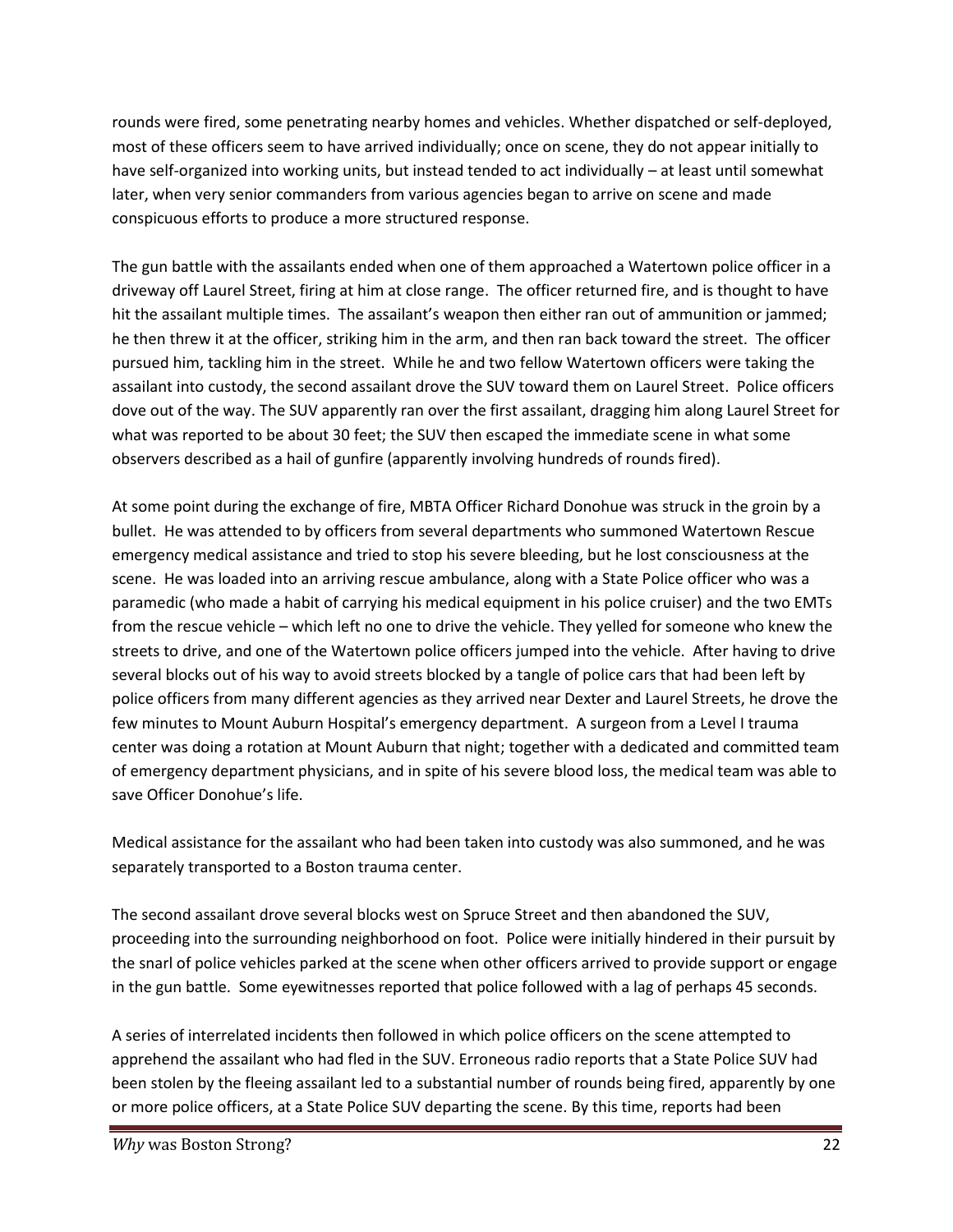rounds were fired, some penetrating nearby homes and vehicles. Whether dispatched or self-deployed, most of these officers seem to have arrived individually; once on scene, they do not appear initially to have self-organized into working units, but instead tended to act individually – at least until somewhat later, when very senior commanders from various agencies began to arrive on scene and made conspicuous efforts to produce a more structured response.

The gun battle with the assailants ended when one of them approached a Watertown police officer in a driveway off Laurel Street, firing at him at close range. The officer returned fire, and is thought to have hit the assailant multiple times. The assailant's weapon then either ran out of ammunition or jammed; he then threw it at the officer, striking him in the arm, and then ran back toward the street. The officer pursued him, tackling him in the street. While he and two fellow Watertown officers were taking the assailant into custody, the second assailant drove the SUV toward them on Laurel Street. Police officers dove out of the way. The SUV apparently ran over the first assailant, dragging him along Laurel Street for what was reported to be about 30 feet; the SUV then escaped the immediate scene in what some observers described as a hail of gunfire (apparently involving hundreds of rounds fired).

At some point during the exchange of fire, MBTA Officer Richard Donohue was struck in the groin by a bullet. He was attended to by officers from several departments who summoned Watertown Rescue emergency medical assistance and tried to stop his severe bleeding, but he lost consciousness at the scene. He was loaded into an arriving rescue ambulance, along with a State Police officer who was a paramedic (who made a habit of carrying his medical equipment in his police cruiser) and the two EMTs from the rescue vehicle – which left no one to drive the vehicle. They yelled for someone who knew the streets to drive, and one of the Watertown police officers jumped into the vehicle. After having to drive several blocks out of his way to avoid streets blocked by a tangle of police cars that had been left by police officers from many different agencies as they arrived near Dexter and Laurel Streets, he drove the few minutes to Mount Auburn Hospital's emergency department. A surgeon from a Level I trauma center was doing a rotation at Mount Auburn that night; together with a dedicated and committed team of emergency department physicians, and in spite of his severe blood loss, the medical team was able to save Officer Donohue's life.

Medical assistance for the assailant who had been taken into custody was also summoned, and he was separately transported to a Boston trauma center.

The second assailant drove several blocks west on Spruce Street and then abandoned the SUV, proceeding into the surrounding neighborhood on foot. Police were initially hindered in their pursuit by the snarl of police vehicles parked at the scene when other officers arrived to provide support or engage in the gun battle. Some eyewitnesses reported that police followed with a lag of perhaps 45 seconds.

A series of interrelated incidents then followed in which police officers on the scene attempted to apprehend the assailant who had fled in the SUV. Erroneous radio reports that a State Police SUV had been stolen by the fleeing assailant led to a substantial number of rounds being fired, apparently by one or more police officers, at a State Police SUV departing the scene. By this time, reports had been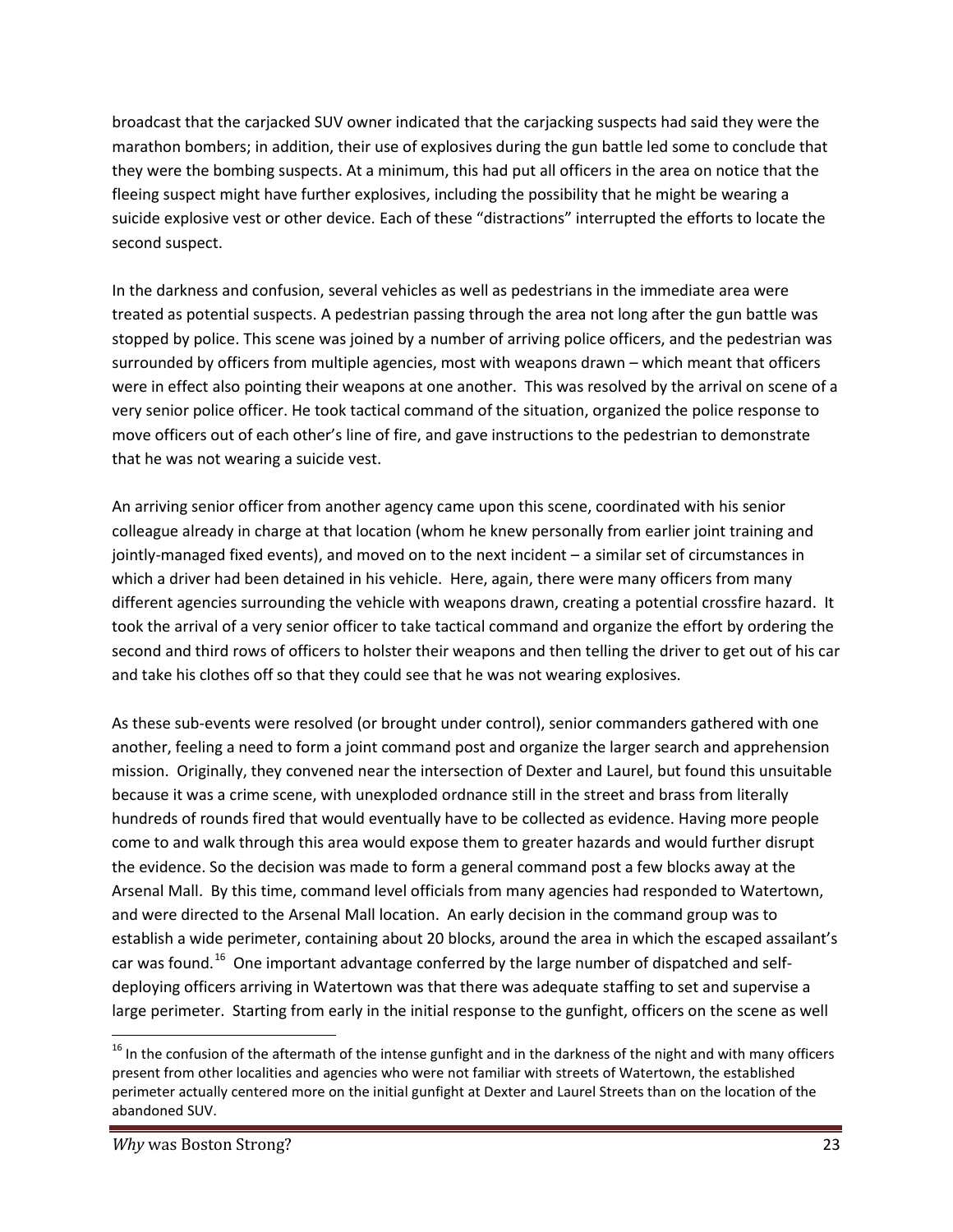broadcast that the carjacked SUV owner indicated that the carjacking suspects had said they were the marathon bombers; in addition, their use of explosives during the gun battle led some to conclude that they were the bombing suspects. At a minimum, this had put all officers in the area on notice that the fleeing suspect might have further explosives, including the possibility that he might be wearing a suicide explosive vest or other device. Each of these "distractions" interrupted the efforts to locate the second suspect.

In the darkness and confusion, several vehicles as well as pedestrians in the immediate area were treated as potential suspects. A pedestrian passing through the area not long after the gun battle was stopped by police. This scene was joined by a number of arriving police officers, and the pedestrian was surrounded by officers from multiple agencies, most with weapons drawn – which meant that officers were in effect also pointing their weapons at one another. This was resolved by the arrival on scene of a very senior police officer. He took tactical command of the situation, organized the police response to move officers out of each other's line of fire, and gave instructions to the pedestrian to demonstrate that he was not wearing a suicide vest.

An arriving senior officer from another agency came upon this scene, coordinated with his senior colleague already in charge at that location (whom he knew personally from earlier joint training and jointly-managed fixed events), and moved on to the next incident – a similar set of circumstances in which a driver had been detained in his vehicle. Here, again, there were many officers from many different agencies surrounding the vehicle with weapons drawn, creating a potential crossfire hazard. It took the arrival of a very senior officer to take tactical command and organize the effort by ordering the second and third rows of officers to holster their weapons and then telling the driver to get out of his car and take his clothes off so that they could see that he was not wearing explosives.

As these sub-events were resolved (or brought under control), senior commanders gathered with one another, feeling a need to form a joint command post and organize the larger search and apprehension mission. Originally, they convened near the intersection of Dexter and Laurel, but found this unsuitable because it was a crime scene, with unexploded ordnance still in the street and brass from literally hundreds of rounds fired that would eventually have to be collected as evidence. Having more people come to and walk through this area would expose them to greater hazards and would further disrupt the evidence. So the decision was made to form a general command post a few blocks away at the Arsenal Mall. By this time, command level officials from manyagencies had responded to Watertown, and were directed to the Arsenal Mall location. An early decision in the command group was to establish a wide perimeter, containing about 20 blocks, around the area in which the escaped assailant's car was found.<sup>16</sup> One important advantage conferred by the large number of dispatched and selfdeploying officers arriving in Watertown was that there was adequate staffing to set and supervise a large perimeter. Starting from early in the initial response to the gunfight, officers on the scene as well

<sup>&</sup>lt;sup>16</sup> In the confusion of the aftermath of the intense gunfight and in the darkness of the night and with many officers present from other localities and agencies who were not familiar with streets of Watertown, the established perimeter actually centered more on the initial gunfight at Dexter and Laurel Streets than on the location of the abandoned SUV.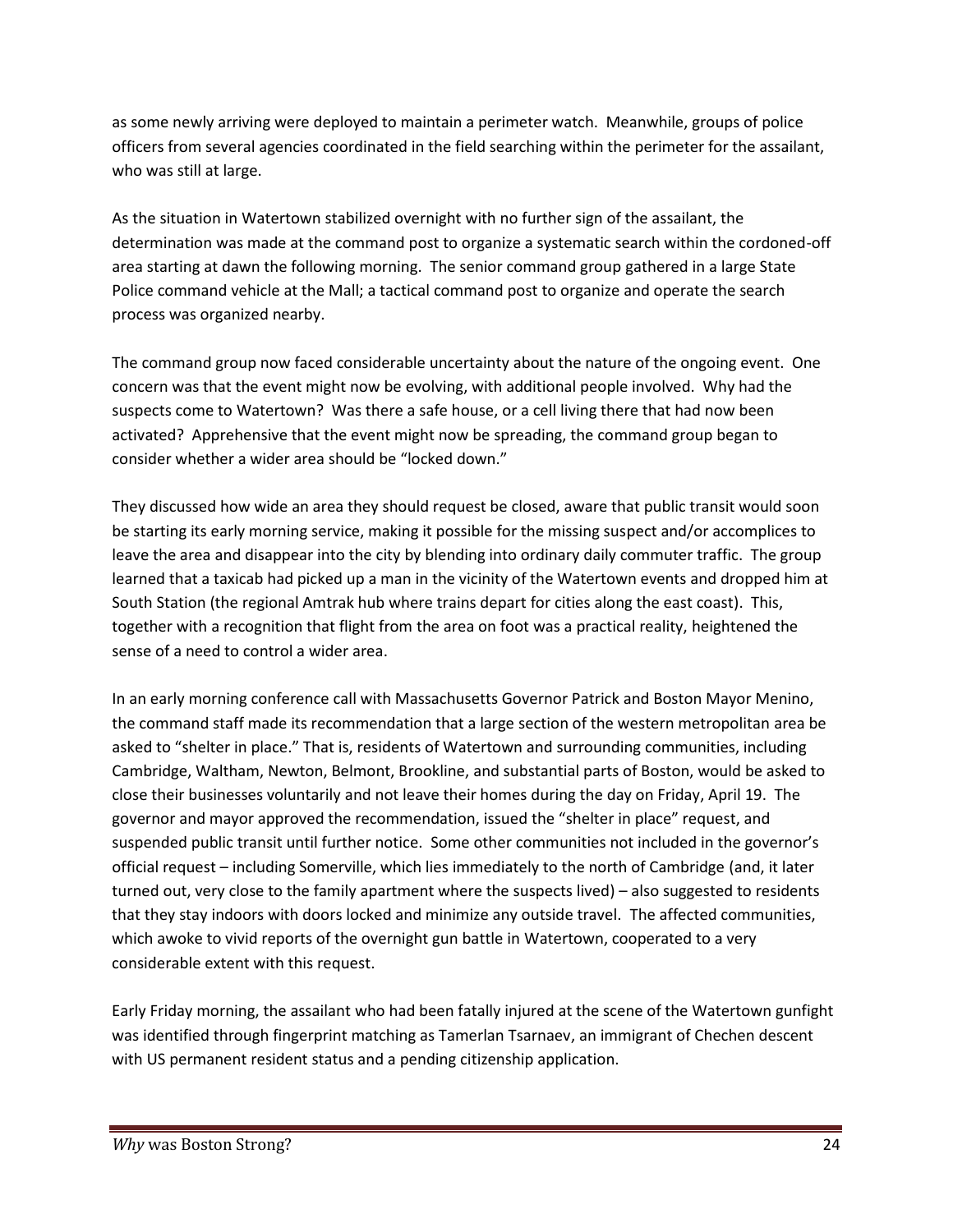as some newly arriving were deployed to maintain a perimeter watch. Meanwhile, groups of police officers from several agencies coordinated in the field searching within the perimeter for the assailant, who was still at large.

As the situation in Watertown stabilized overnight with no further sign of the assailant, the determination was made at the command post to organize a systematic search within the cordoned-off area starting at dawn the following morning. The senior command group gathered in a large State Police command vehicle at the Mall; a tactical command post to organize and operate the search process was organized nearby.

The command group now faced considerable uncertainty about the nature of the ongoing event. One concern was that the event might now be evolving, with additional people involved. Why had the suspects come to Watertown? Was there a safe house, or a cell living there that had now been activated? Apprehensive that the event might now be spreading, the command group began to consider whether a wider area should be "locked down."

They discussed how wide an area they should request be closed, aware that public transit would soon be starting its early morning service, making it possible for the missing suspect and/or accomplices to leave the area and disappear into the city by blending into ordinary daily commuter traffic. The group learned that a taxicab had picked up a man in the vicinity of the Watertown events and dropped him at South Station (the regional Amtrak hub where trains depart for cities along the east coast). This, together with a recognition that flight from the area on foot was a practical reality, heightened the sense of a need to control a wider area.

In an early morning conference call with Massachusetts Governor Patrick and Boston Mayor Menino, the command staff made its recommendation that a large section of the western metropolitan area be asked to "shelter in place." That is, residents of Watertown and surrounding communities, including Cambridge, Waltham, Newton, Belmont, Brookline, and substantial parts of Boston, would be asked to close their businesses voluntarily and not leave their homes during the day on Friday, April 19. The governor and mayor approved the recommendation, issued the "shelter in place" request, and suspended public transit until further notice. Some other communities not included in the governor's official request – including Somerville, which lies immediately to the north of Cambridge (and, it later turned out, very close to the family apartment where the suspects lived) – also suggested to residents that they stay indoors with doors locked and minimize any outside travel. The affected communities, which awoke to vivid reports of the overnight gun battle in Watertown, cooperated to a very considerable extent with this request.

Early Friday morning, the assailant who had been fatally injured at the scene of the Watertown gunfight was identified through fingerprint matching as Tamerlan Tsarnaev, an immigrant of Chechen descent with US permanent resident status and a pending citizenship application.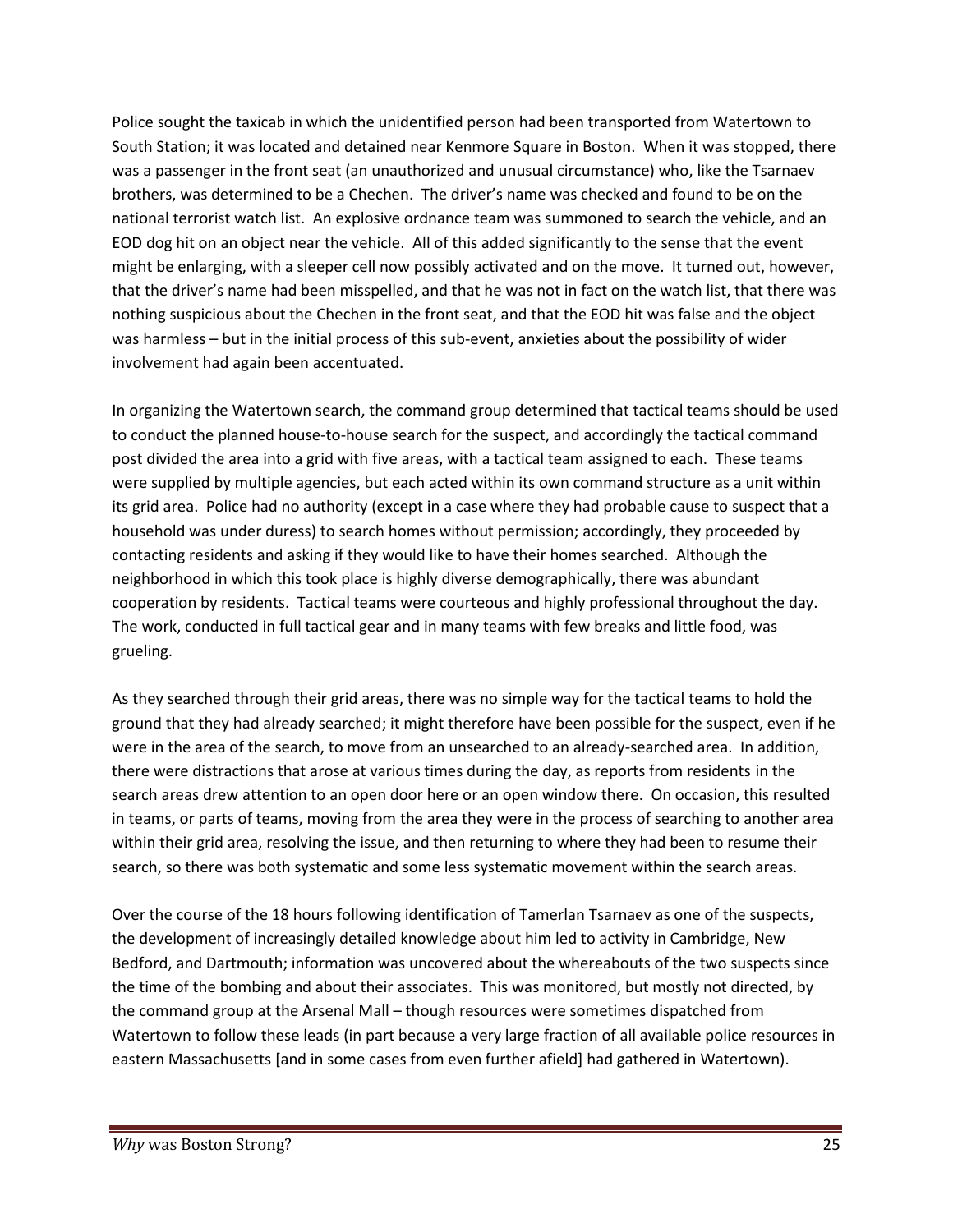Police sought the taxicab in which the unidentified person had been transported from Watertown to South Station; it was located and detained near Kenmore Square in Boston. When it was stopped, there was a passenger in the front seat (an unauthorized and unusual circumstance) who, like the Tsarnaev brothers, was determined to be a Chechen. The driver's name was checked and found to be on the national terrorist watch list. An explosive ordnance team was summoned to search the vehicle, and an EOD dog hit on an object near the vehicle. All of this added significantly to the sense that the event might be enlarging, with a sleeper cell now possibly activated and on the move. It turned out, however, that the driver's name had been misspelled, and that he was not in fact on the watch list, that there was nothing suspicious about the Chechen in the front seat, and that the EOD hit was false and the object was harmless – but in the initial process of this sub-event, anxieties about the possibility of wider involvement had again been accentuated.

In organizing the Watertown search, the command group determined that tactical teams should be used to conduct the planned house-to-house search for the suspect, and accordingly the tactical command post divided the area into a grid with five areas, with a tactical team assigned to each. These teams were supplied by multiple agencies, but each acted within its own command structure as a unit within its grid area. Police had no authority (except in a case where they had probable cause to suspect that a household was under duress) to search homes without permission; accordingly, they proceeded by contacting residents and asking if they would like to have their homes searched. Although the neighborhood in which this took place is highly diverse demographically, there was abundant cooperation by residents. Tactical teams were courteous and highly professional throughout the day. The work, conducted in full tactical gear and in many teams with few breaks and little food, was grueling.

As they searched through their grid areas, there was no simple way for the tactical teams to hold the ground that they had already searched; it might therefore have been possible for the suspect, even if he were in the area of the search, to move from an unsearched to an already-searched area. In addition, there were distractions that arose at various times during the day, as reports from residents in the search areas drew attention to an open door here or an open window there. On occasion, this resulted in teams, or parts of teams, moving from the area they were in the process of searching to another area within their grid area, resolving the issue, and then returning to where they had been to resume their search, so there was both systematic and some less systematic movement within the search areas.

Over the course of the 18 hours following identification of Tamerlan Tsarnaev as one of the suspects, the development of increasingly detailed knowledge about him led to activity in Cambridge, New Bedford, and Dartmouth; information was uncovered about the whereabouts of the two suspects since the time of the bombing and about their associates. This was monitored, but mostly not directed, by the command group at the Arsenal Mall – though resources were sometimes dispatched from Watertown to follow these leads (in part because a very large fraction of all available police resources in eastern Massachusetts [and in some cases from even further afield] had gathered in Watertown).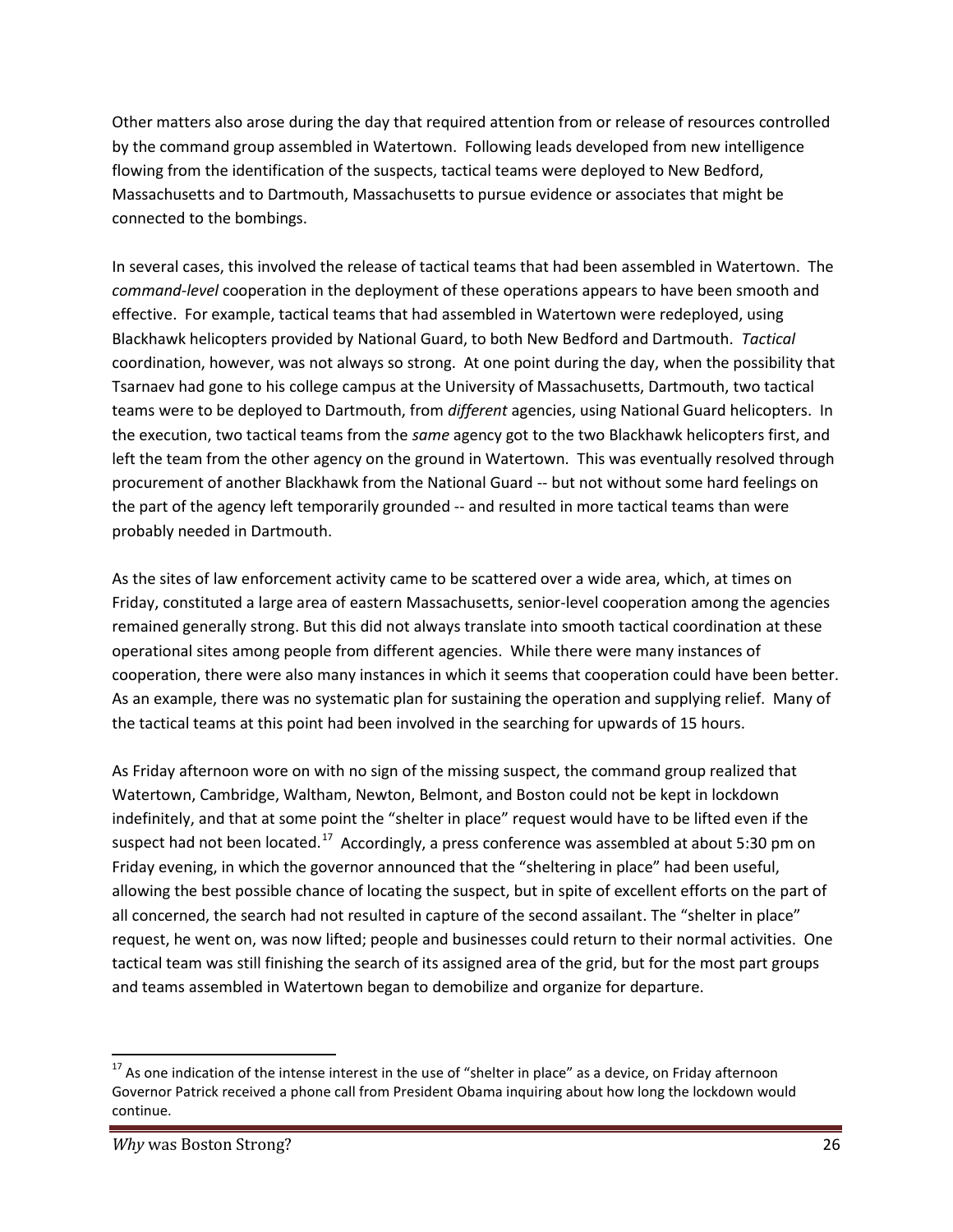Other matters also arose during the day that required attention from or release of resources controlled by the command group assembled in Watertown. Following leads developed from new intelligence flowing from the identification of the suspects, tactical teams were deployed to New Bedford, Massachusetts and to Dartmouth, Massachusetts to pursue evidence or associates that might be connected to the bombings.

In several cases, this involved the release of tactical teams that had been assembled in Watertown. The *command-level* cooperation in the deployment of these operations appears to have been smooth and effective. For example, tactical teams that had assembled in Watertown were redeployed, using Blackhawk helicopters provided by National Guard, to both New Bedford and Dartmouth. *Tactical* coordination, however, was not always so strong. At one point during the day, when the possibility that Tsarnaev had gone to his college campus at the University of Massachusetts, Dartmouth, two tactical teams were to be deployed to Dartmouth, from *different* agencies, using National Guard helicopters. In the execution, two tactical teams from the *same* agency got to the two Blackhawk helicopters first, and left the team from the other agency on the ground in Watertown. This was eventually resolved through procurement of another Blackhawk from the National Guard -- but not without some hard feelings on the part of the agency left temporarily grounded -- and resulted in more tactical teams than were probably needed in Dartmouth.

As the sites of law enforcement activity came to be scattered over a wide area, which, at times on Friday, constituted a large area of eastern Massachusetts, senior-level cooperation among the agencies remained generally strong. But this did not always translate into smooth tactical coordination at these operational sites among people from different agencies. While there were many instances of cooperation, there were also many instances in which it seems that cooperation could have been better. As an example, there was no systematic plan for sustaining the operation and supplying relief. Many of the tactical teams at this point had been involved in the searching for upwards of 15 hours.

As Friday afternoon wore on with no sign of the missing suspect, the command group realized that Watertown, Cambridge, Waltham, Newton, Belmont, and Boston could not be kept in lockdown indefinitely, and that at some point the "shelter in place" request would have to be lifted even if the suspect had not been located.<sup>17</sup> Accordingly, a press conference was assembled at about 5:30 pm on Friday evening, in which the governor announced that the "sheltering in place" had been useful, allowing the best possible chance of locating the suspect, but in spite of excellent efforts on the part of all concerned, the search had not resulted in capture of the second assailant. The "shelter in place" request, he went on, was now lifted; people and businesses could return to their normal activities. One tactical team was still finishing the search of its assigned area of the grid, but for the most part groups and teams assembled in Watertown began to demobilize and organize for departure.

 $17$  As one indication of the intense interest in the use of "shelter in place" as a device, on Friday afternoon Governor Patrick received a phone call from President Obama inquiring about how long the lockdown would continue.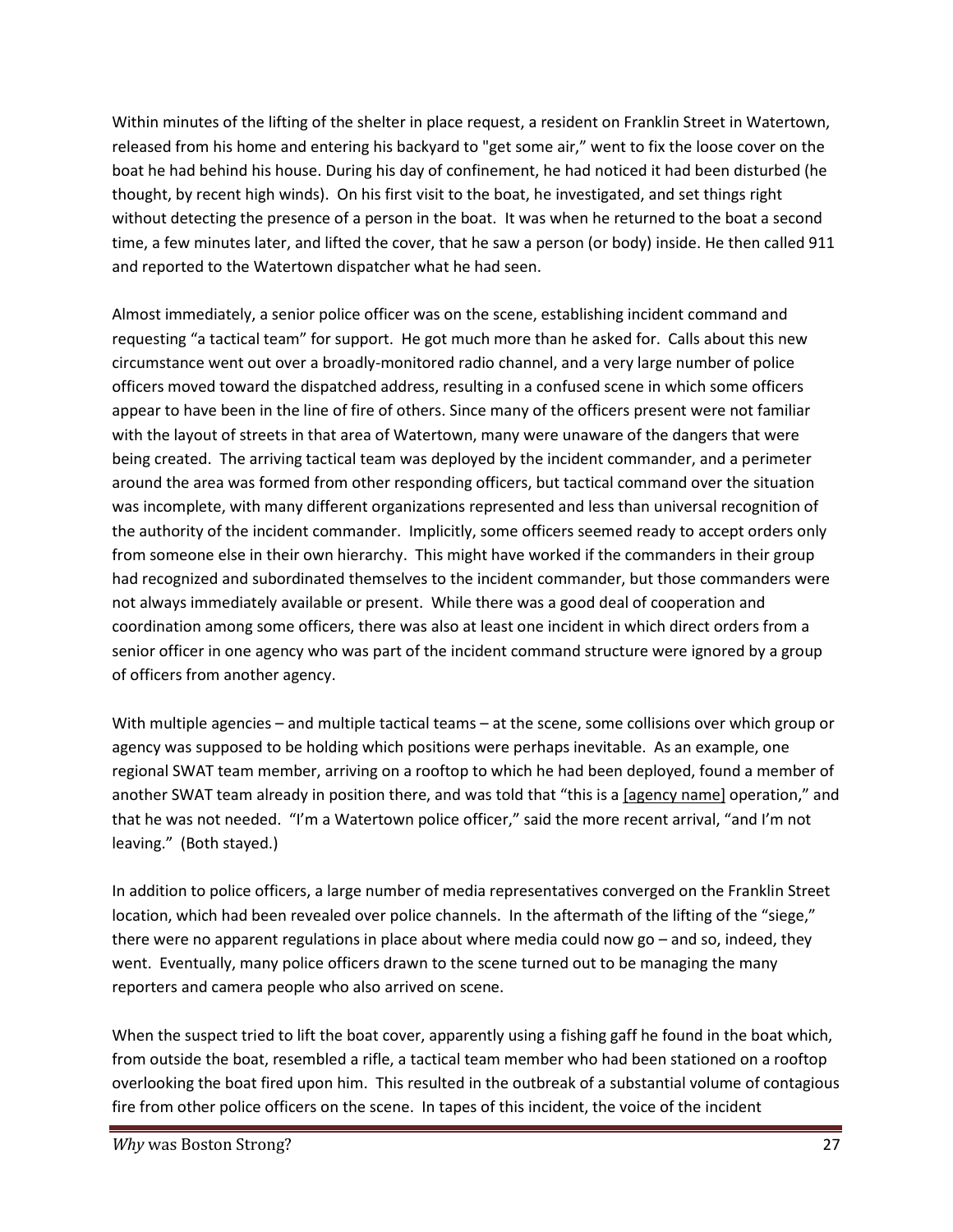Within minutes of the lifting of the shelter in place request, a resident on Franklin Street in Watertown, released from his home and entering his backyard to "get some air," went to fix the loose cover on the boat he had behind his house. During his day of confinement, he had noticed it had been disturbed (he thought, by recent high winds). On his first visit to the boat, he investigated, and set things right without detecting the presence of a person in the boat. It was when he returned to the boat a second time, a few minutes later, and lifted the cover, that he saw a person (or body) inside. He then called 911 and reported to the Watertown dispatcher what he had seen.

Almost immediately, a senior police officer was on the scene, establishing incident command and requesting "a tactical team" for support. He got much more than he asked for. Calls about this new circumstance went out over a broadly-monitored radio channel, and a very large number of police officers moved toward the dispatched address, resulting in a confused scene in which some officers appear to have been in the line of fire of others. Since many of the officers present were not familiar with the layout of streets in that area of Watertown, many were unaware of the dangers that were being created. The arriving tactical team was deployed by the incident commander, and a perimeter around the area was formed from other responding officers, but tactical command over the situation was incomplete, with many different organizations represented and less than universal recognition of the authority of the incident commander. Implicitly, some officers seemed ready to accept orders only from someone else in their own hierarchy. This might have worked if the commanders in their group had recognized and subordinated themselves to the incident commander, but those commanders were not always immediately available or present. While there was a good deal of cooperation and coordination among some officers, there was also at least one incident in which direct orders from a senior officer in one agency who was part of the incident command structure were ignored by a group of officers from another agency.

With multiple agencies – and multiple tactical teams – at the scene, some collisions over which group or agency was supposed to be holding which positions were perhaps inevitable. As an example, one regional SWAT team member, arriving on a rooftop to which he had been deployed, found a member of another SWAT team already in position there, and was told that "this is a [agency name] operation," and that he was not needed. "I'm a Watertown police officer," said the more recent arrival, "and I'm not leaving." (Both stayed.)

In addition to police officers, a large number of media representatives converged on the Franklin Street location, which had been revealed over police channels. In the aftermath of the lifting of the "siege," there were no apparent regulations in place about where media could now go – and so, indeed, they went. Eventually, many police officers drawn to the scene turned out to be managing the many reporters and camera people who also arrived on scene.

When the suspect tried to lift the boat cover, apparently using a fishing gaff he found in the boat which, from outside the boat, resembled a rifle, a tactical team member who had been stationed on a rooftop overlooking the boat fired upon him. This resulted in the outbreak of a substantial volume of contagious fire from other police officers on the scene. In tapes of this incident, the voice of the incident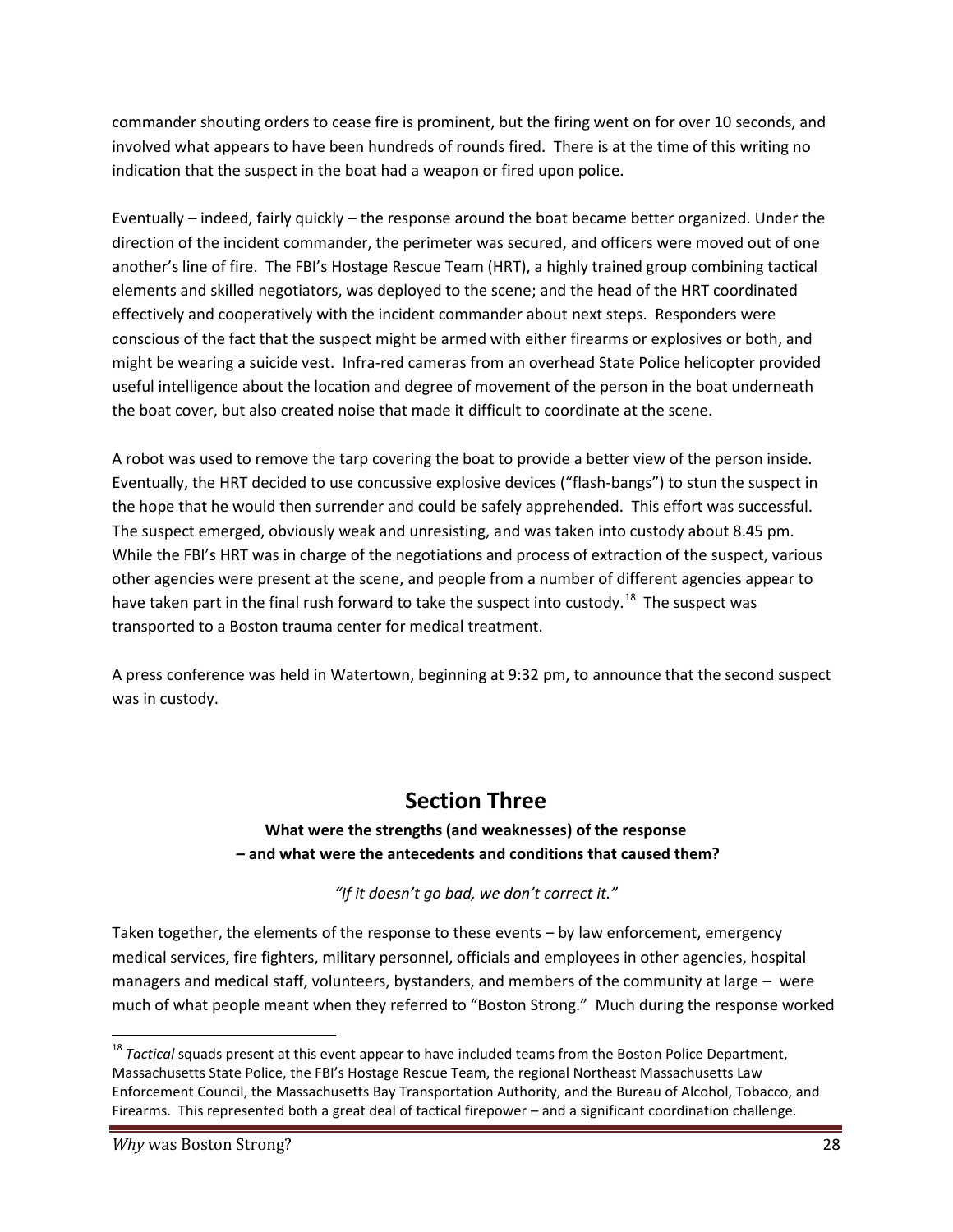commander shouting orders to cease fire is prominent, but the firing went on for over 10 seconds, and involved what appears to have been hundreds of rounds fired. There is at the time of this writing no indication that the suspect in the boat had a weapon or fired upon police.

Eventually – indeed, fairly quickly – the response around the boat became better organized. Under the direction of the incident commander, the perimeter was secured, and officers were moved out of one another's line of fire. The FBI's Hostage Rescue Team (HRT), a highly trained group combining tactical elements and skilled negotiators, was deployed to the scene; and the head of the HRT coordinated effectively and cooperatively with the incident commander about next steps. Responders were conscious of the fact that the suspect might be armed with either firearms or explosives or both, and might be wearing a suicide vest. Infra-red cameras from an overhead State Police helicopter provided useful intelligence about the location and degree of movement of the person in the boat underneath the boat cover, but also created noise that made it difficult to coordinate at the scene.

A robot was used to remove the tarp covering the boat to provide a better view of the person inside. Eventually, the HRT decided to use concussive explosive devices ("flash-bangs") to stun the suspect in the hope that he would then surrender and could be safely apprehended. This effort was successful. The suspect emerged, obviously weak and unresisting, and was taken into custody about 8.45 pm. While the FBI's HRT was in charge of the negotiations and process of extraction of the suspect, various other agencies were present at the scene, and people from a number of different agencies appear to have taken part in the final rush forward to take the suspect into custody.<sup>18</sup> The suspect was transported to a Boston trauma center for medical treatment.

A press conference was held in Watertown, beginning at 9:32 pm, to announce that the second suspect was in custody.

# **Section Three**

#### **What were the strengths (and weaknesses) of the response – and what were the antecedents and conditions that caused them?**

*"If it doesn't go bad, we don't correct it."*

Taken together, the elements of the response to these events – by law enforcement, emergency medical services, fire fighters, military personnel, officials and employees in other agencies, hospital managers and medical staff, volunteers, bystanders, and members of the community at large – were much of what people meant when they referred to "Boston Strong." Much during the response worked

<sup>&</sup>lt;sup>18</sup> *Tactical* squads present at this event appear to have included teams from the Boston Police Department, Massachusetts State Police, the FBI's Hostage Rescue Team, the regional Northeast Massachusetts Law Enforcement Council, the Massachusetts Bay Transportation Authority, and the Bureau of Alcohol, Tobacco, and Firearms. This represented both a great deal of tactical firepower – and a significant coordination challenge.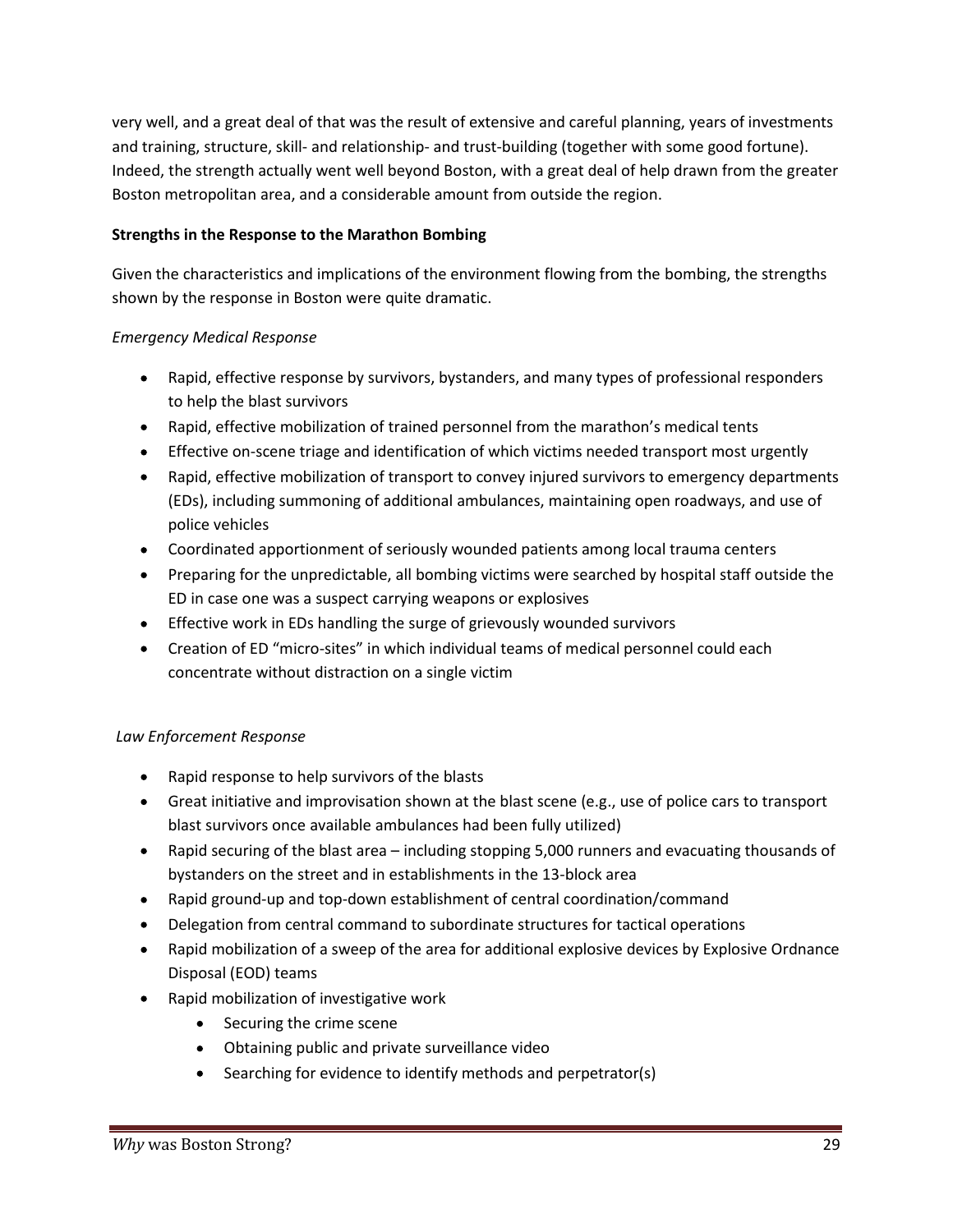very well, and a great deal of that was the result of extensive and careful planning, years of investments and training, structure, skill- and relationship- and trust-building (together with some good fortune). Indeed, the strength actually went well beyond Boston, with a great deal of help drawn from the greater Boston metropolitan area, and a considerable amount from outside the region.

#### **Strengths in the Response to the Marathon Bombing**

Given the characteristics and implications of the environment flowing from the bombing, the strengths shown by the response in Boston were quite dramatic.

#### *Emergency Medical Response*

- Rapid, effective response by survivors, bystanders, and many types of professional responders to help the blast survivors
- Rapid, effective mobilization of trained personnel from the marathon's medical tents
- Effective on-scene triage and identification of which victims needed transport most urgently
- Rapid, effective mobilization of transport to convey injured survivors to emergency departments (EDs), including summoning of additional ambulances, maintaining open roadways, and use of police vehicles
- Coordinated apportionment of seriously wounded patients among local trauma centers
- Preparing for the unpredictable, all bombing victims were searched by hospital staff outside the ED in case one was a suspect carrying weapons or explosives
- Effective work in EDs handling the surge of grievously wounded survivors
- Creation of ED "micro-sites" in which individual teams of medical personnel could each concentrate without distraction on a single victim

#### *Law Enforcement Response*

- Rapid response to help survivors of the blasts
- Great initiative and improvisation shown at the blast scene (e.g., use of police cars to transport blast survivors once available ambulances had been fully utilized)
- Rapid securing of the blast area including stopping 5,000 runners and evacuating thousands of bystanders on the street and in establishments in the 13-block area
- Rapid ground-up and top-down establishment of central coordination/command
- Delegation from central command to subordinate structures for tactical operations  $\bullet$
- Rapid mobilization of a sweep of the area for additional explosive devices by Explosive Ordnance  $\bullet$ Disposal (EOD) teams
- Rapid mobilization of investigative work
	- Securing the crime scene
	- Obtaining public and private surveillance video
	- Searching for evidence to identify methods and perpetrator(s)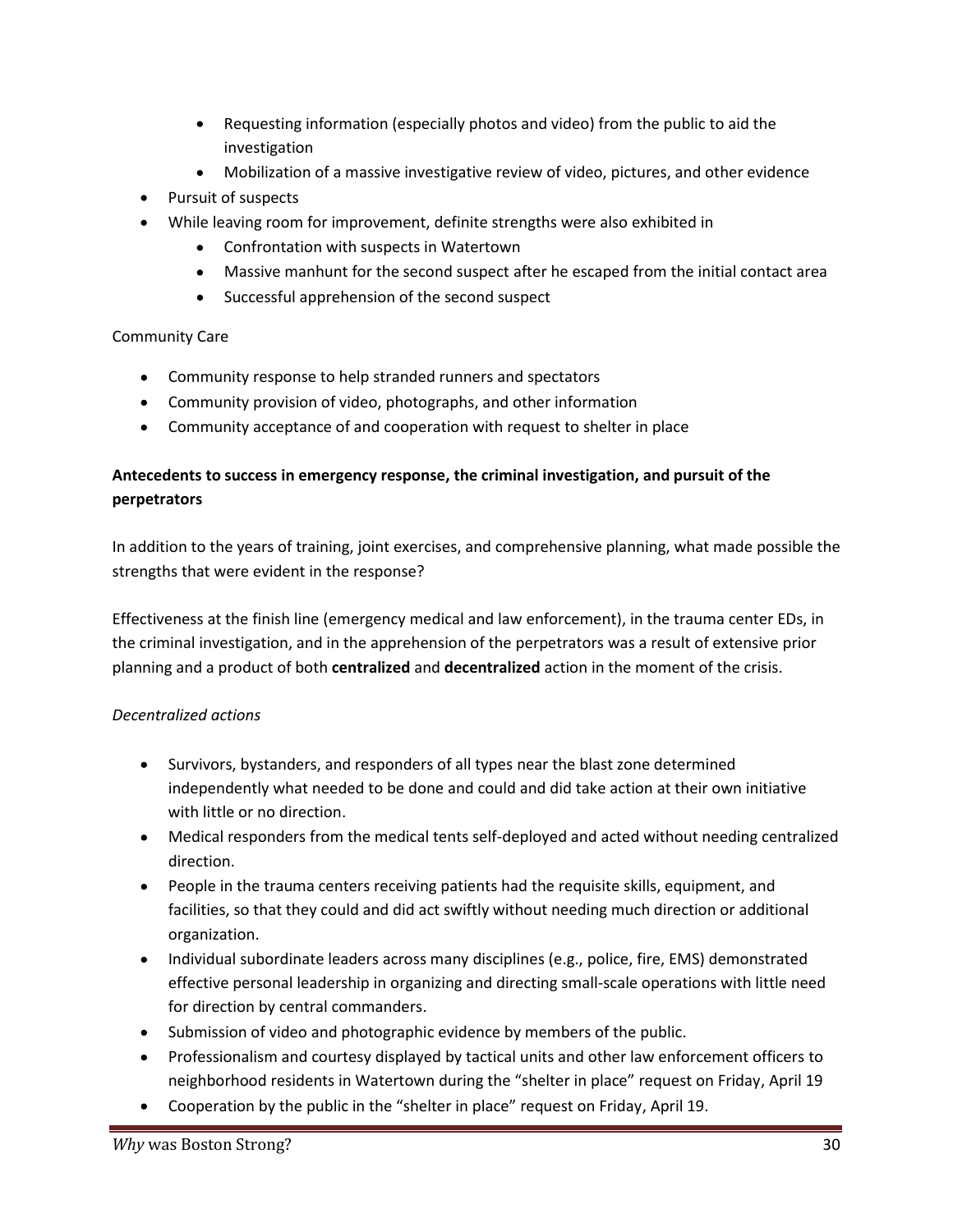- Requesting information (especially photos and video) from the public to aid the investigation
- Mobilization of a massive investigative review of video, pictures, and other evidence  $\bullet$
- Pursuit of suspects
- While leaving room for improvement, definite strengths were also exhibited in
	- Confrontation with suspects in Watertown
	- Massive manhunt for the second suspect after he escaped from the initial contact area
	- Successful apprehension of the second suspect

#### Community Care

- Community response to help stranded runners and spectators
- Community provision of video, photographs, and other information
- Community acceptance of and cooperation with request to shelter in place

#### **Antecedents to success in emergency response, the criminal investigation, and pursuit of the perpetrators**

In addition to the years of training, joint exercises, and comprehensive planning, what made possible the strengths that were evident in the response?

Effectiveness at the finish line (emergency medical and law enforcement), in the trauma center EDs, in the criminal investigation, and in the apprehension of the perpetrators was a result of extensive prior planning and a product of both **centralized** and **decentralized** action in the moment of the crisis.

#### *Decentralized actions*

- Survivors, bystanders, and responders of all types near the blast zone determined independently what needed to be done and could and did take action at their own initiative with little or no direction.
- Medical responders from the medical tents self-deployed and acted without needing centralized direction.
- People in the trauma centers receiving patients had the requisite skills, equipment, and facilities, so that they could and did act swiftly without needing much direction or additional organization.
- Individual subordinate leaders across many disciplines (e.g., police, fire, EMS) demonstrated effective personal leadership in organizing and directing small-scale operations with little need for direction by central commanders.
- Submission of video and photographic evidence by members of the public.
- Professionalism and courtesy displayed by tactical units and other law enforcement officers to neighborhood residents in Watertown during the "shelter in place" request on Friday, April 19
- Cooperation by the public in the "shelter in place" request on Friday, April 19.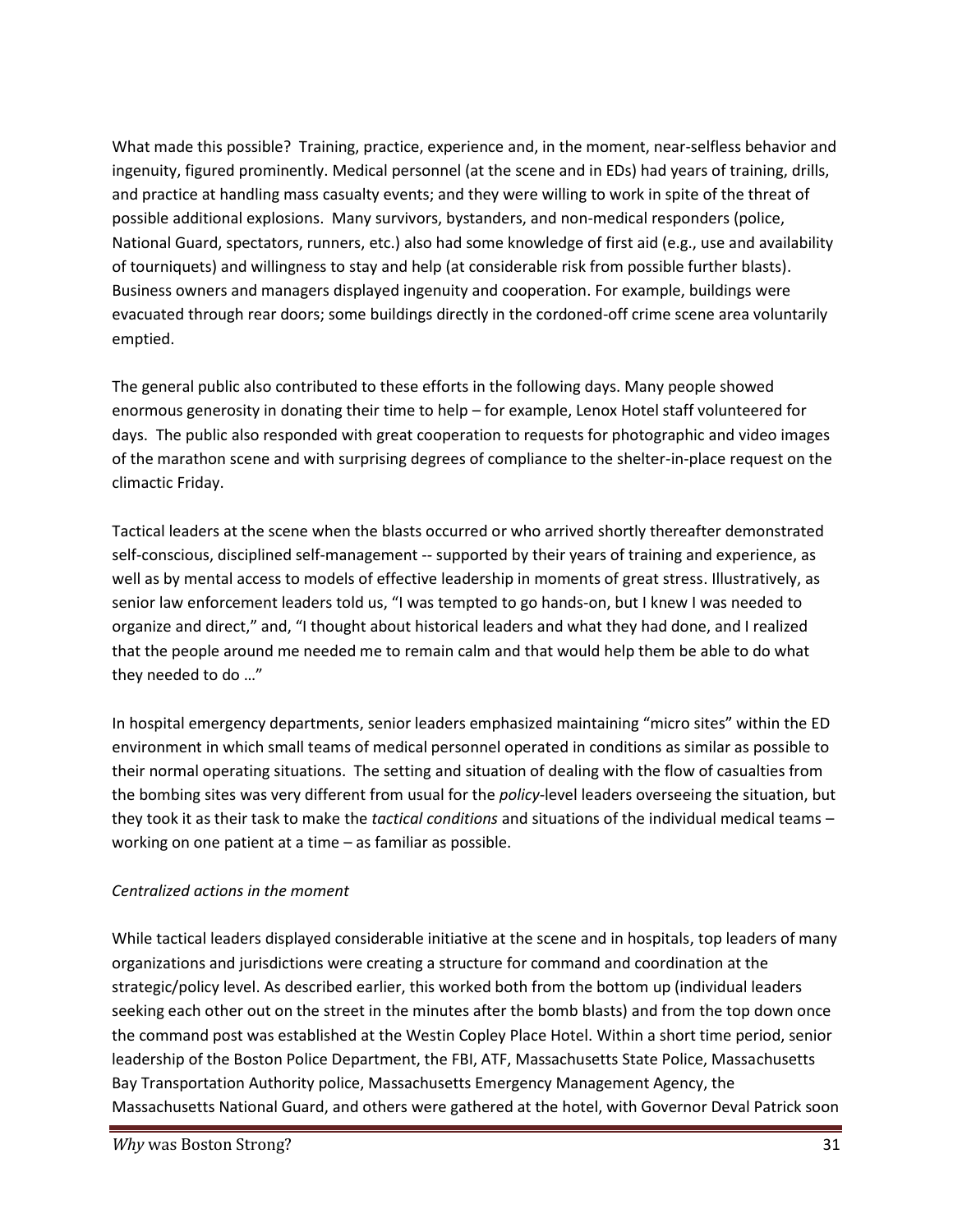What made this possible? Training, practice, experience and, in the moment, near-selfless behavior and ingenuity, figured prominently. Medical personnel (at the scene and in EDs) had years of training, drills, and practice at handling mass casualty events; and they were willing to work in spite of the threat of possible additional explosions. Many survivors, bystanders, and non-medical responders (police, National Guard, spectators, runners, etc.) also had some knowledge of first aid (e.g., use and availability of tourniquets) and willingness to stay and help (at considerable risk from possible further blasts). Business owners and managers displayed ingenuity and cooperation. For example, buildings were evacuated through rear doors; some buildings directly in the cordoned-off crime scene area voluntarily emptied.

The general public also contributed to these efforts in the following days. Many people showed enormous generosity in donating their time to help – for example, Lenox Hotel staff volunteered for days. The public also responded with great cooperation to requests for photographic and video images of the marathon scene and with surprising degrees of compliance to the shelter-in-place request on the climactic Friday.

Tactical leaders at the scene when the blasts occurred or who arrived shortly thereafter demonstrated self-conscious, disciplined self-management -- supported by their years of training and experience, as well as by mental access to models of effective leadership in moments of great stress. Illustratively, as senior law enforcement leaders told us, "I was tempted to go hands-on, but I knew I was needed to organize and direct," and, "I thought about historical leaders and what they had done, and I realized that the people around me needed me to remain calm and that would help them be able to do what they needed to do …"

In hospital emergency departments, senior leaders emphasized maintaining "micro sites" within the ED environment in which small teams of medical personnel operated in conditions as similar as possible to their normal operating situations. The setting and situation of dealing with the flow of casualties from the bombing sites was very different from usual for the *policy*-level leaders overseeing the situation, but they took it as their task to make the *tactical conditions* and situations of the individual medical teams – working on one patient at a time – as familiar as possible.

#### *Centralized actions in the moment*

While tactical leaders displayed considerable initiative at the scene and in hospitals, top leaders of many organizations and jurisdictions were creating a structure for command and coordination at the strategic/policy level. As described earlier, this worked both from the bottom up (individual leaders seeking each other out on the street in the minutes after the bomb blasts) and from the top down once the command post was established at the Westin Copley Place Hotel. Within a short time period, senior leadership of the Boston Police Department, the FBI, ATF, Massachusetts State Police, Massachusetts Bay Transportation Authority police, Massachusetts Emergency Management Agency, the Massachusetts National Guard, and others were gathered at the hotel, with Governor Deval Patrick soon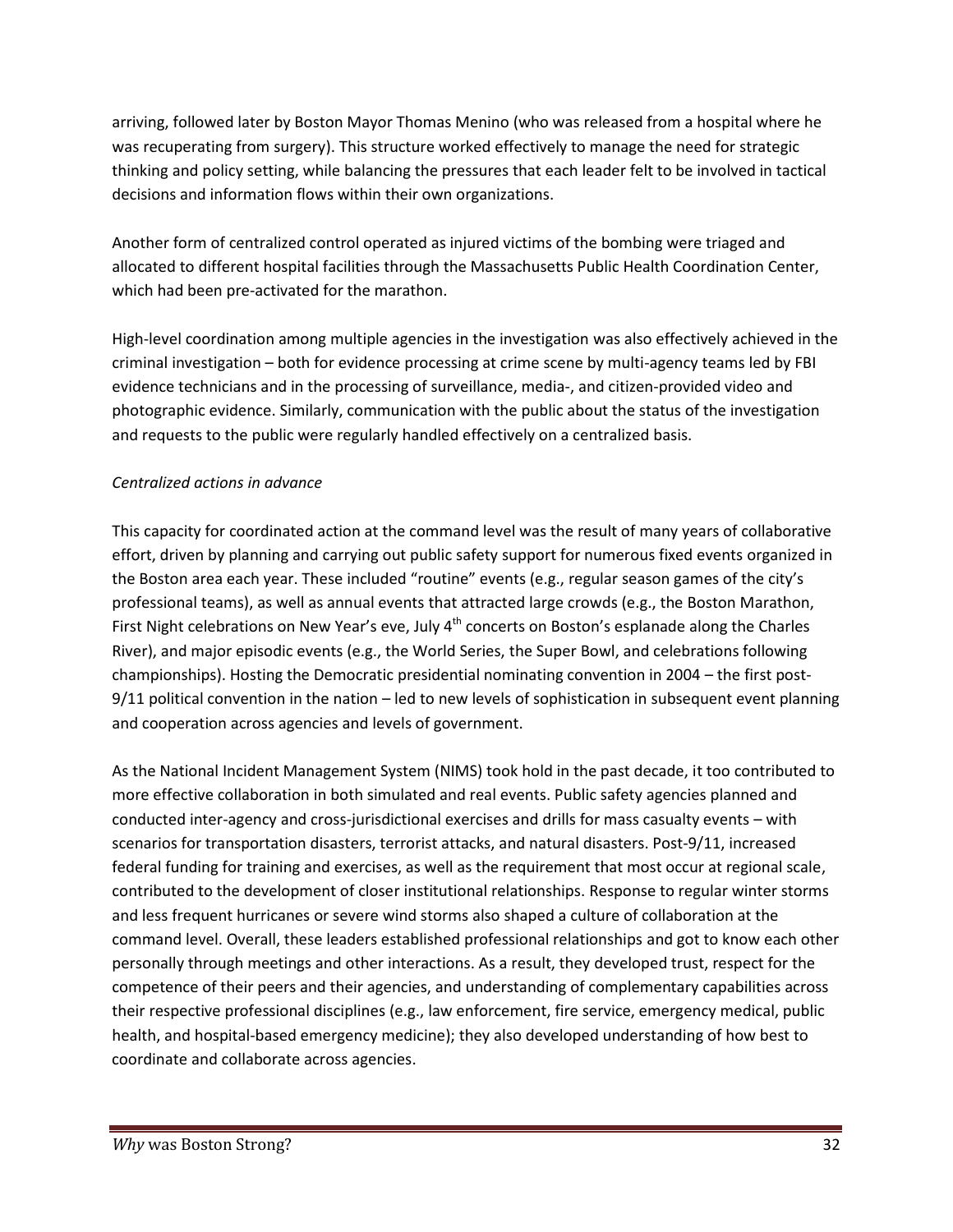arriving, followed later by Boston Mayor Thomas Menino (who was released from a hospital where he was recuperating from surgery). This structure worked effectively to manage the need for strategic thinking and policy setting, while balancing the pressures that each leader felt to be involved in tactical decisions and information flows within their own organizations.

Another form of centralized control operated as injured victims of the bombing were triaged and allocated to different hospital facilities through the Massachusetts Public Health Coordination Center, which had been pre-activated for the marathon.

High-level coordination among multiple agencies in the investigation was also effectively achieved in the criminal investigation – both for evidence processing at crime scene by multi-agency teams led by FBI evidence technicians and in the processing of surveillance, media-, and citizen-provided video and photographic evidence. Similarly, communication with the public about the status of the investigation and requests to the public were regularly handled effectively on a centralized basis.

#### *Centralized actions in advance*

This capacity for coordinated action at the command level was the result of many years of collaborative effort, driven by planning and carrying out public safety support for numerous fixed events organized in the Boston area each year. These included "routine" events (e.g., regular season games of the city's professional teams), as well as annual events that attracted large crowds (e.g., the Boston Marathon, First Night celebrations on New Year's eve, July  $4<sup>th</sup>$  concerts on Boston's esplanade along the Charles River), and major episodic events (e.g., the World Series, the Super Bowl, and celebrations following championships). Hosting the Democratic presidential nominating convention in 2004 – the first post- 9/11 political convention in the nation – led to new levels of sophistication in subsequent event planning and cooperation across agencies and levels of government.

As the National Incident Management System (NIMS) took hold in the past decade, it too contributed to more effective collaboration in both simulated and real events. Public safety agencies planned and conducted inter-agency and cross-jurisdictional exercises and drills for mass casualty events – with scenarios for transportation disasters, terrorist attacks, and natural disasters. Post-9/11, increased federal funding for training and exercises, as well as the requirement that most occur at regional scale, contributed to the development of closer institutional relationships. Response to regular winter storms and less frequent hurricanes or severe wind storms also shaped a culture of collaboration at the command level. Overall, these leaders established professional relationships and got to know each other personally through meetings and other interactions. As a result, they developed trust, respect for the competence of their peers and their agencies, and understanding of complementary capabilities across their respective professional disciplines (e.g., law enforcement, fire service, emergency medical, public health, and hospital-based emergency medicine); they also developed understanding of how best to coordinate and collaborate across agencies.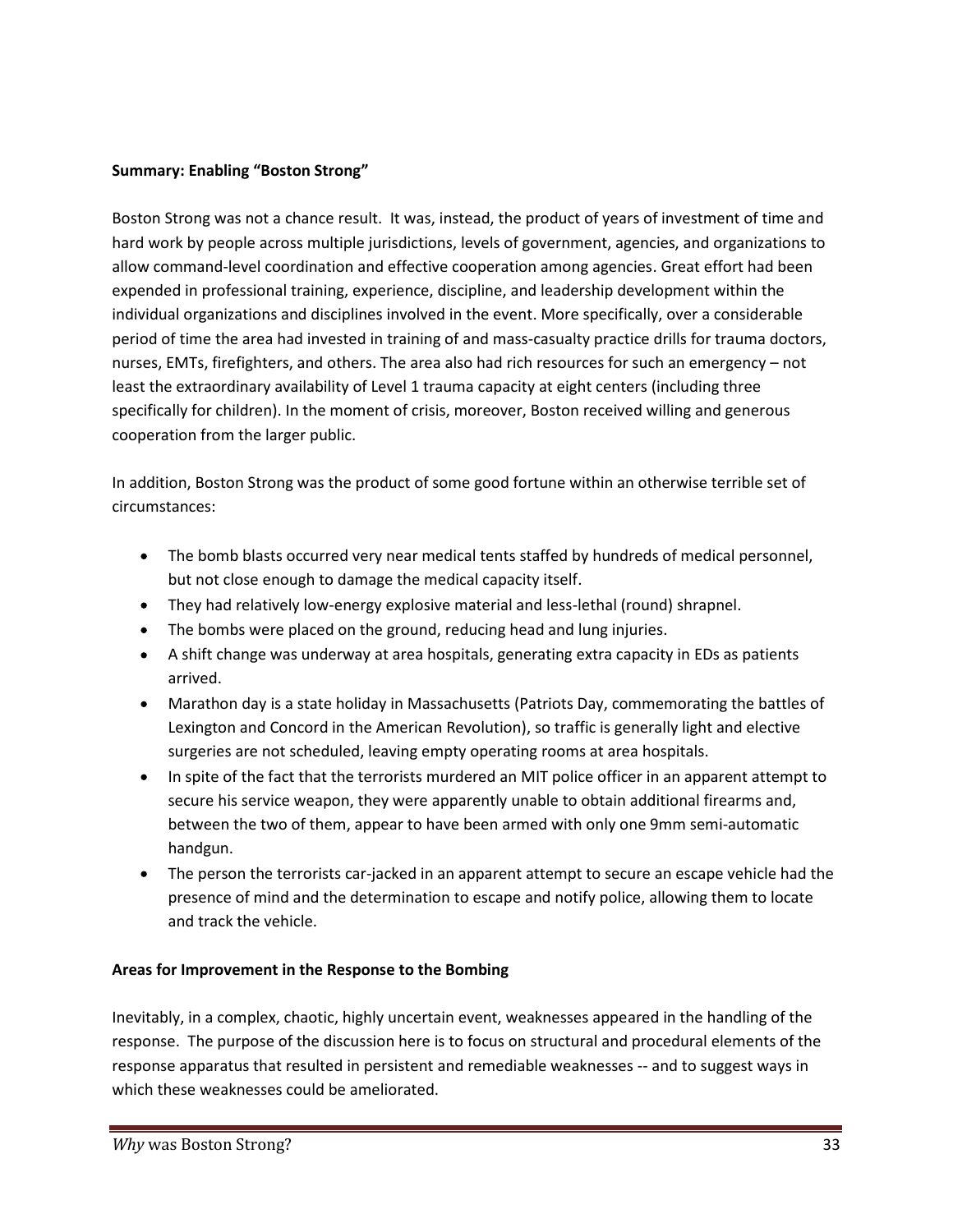#### **Summary: Enabling "Boston Strong"**

Boston Strong was not a chance result. It was, instead, the product of years of investment of time and hard work by people across multiple jurisdictions, levels of government, agencies, and organizations to allow command-level coordination and effective cooperation among agencies. Great effort had been expended in professional training, experience, discipline, and leadership development within the individual organizations and disciplines involved in the event. More specifically, over a considerable period of time the area had invested in training of and mass-casualty practice drills for trauma doctors, nurses, EMTs, firefighters, and others. The area also had rich resources for such an emergency – not least the extraordinary availability of Level 1 trauma capacity at eight centers (including three specifically for children). In the moment of crisis, moreover, Boston received willing and generous cooperation from the larger public.

In addition, Boston Strong was the product of some good fortune within an otherwise terrible set of circumstances:

- The bomb blasts occurred very near medical tents staffed by hundreds of medical personnel, but not close enough to damage the medical capacity itself.
- They had relatively low-energy explosive material and less-lethal (round) shrapnel.
- The bombs were placed on the ground, reducing head and lung injuries.
- A shift change was underway at area hospitals, generating extra capacity in EDs as patients arrived.
- Marathon day is a state holiday in Massachusetts (Patriots Day, commemorating the battles of Lexington and Concord in the American Revolution), so traffic is generally light and elective surgeries are not scheduled, leaving empty operating rooms at area hospitals.
- In spite of the fact that the terrorists murdered an MIT police officer in an apparent attempt to secure his service weapon, they were apparently unable to obtain additional firearms and, between the two of them, appear to have been armed with only one 9mm semi-automatic handgun.
- The person the terrorists car-jacked in an apparent attempt to secure an escape vehicle had the presence of mind and the determination to escape and notify police, allowing them to locate and track the vehicle.

#### **Areas for Improvement in the Response to the Bombing**

Inevitably, in a complex, chaotic, highly uncertain event, weaknesses appeared in the handling of the response. The purpose of the discussion here is to focus on structural and procedural elements of the response apparatus that resulted in persistent and remediable weaknesses -- and to suggest ways in which these weaknesses could be ameliorated.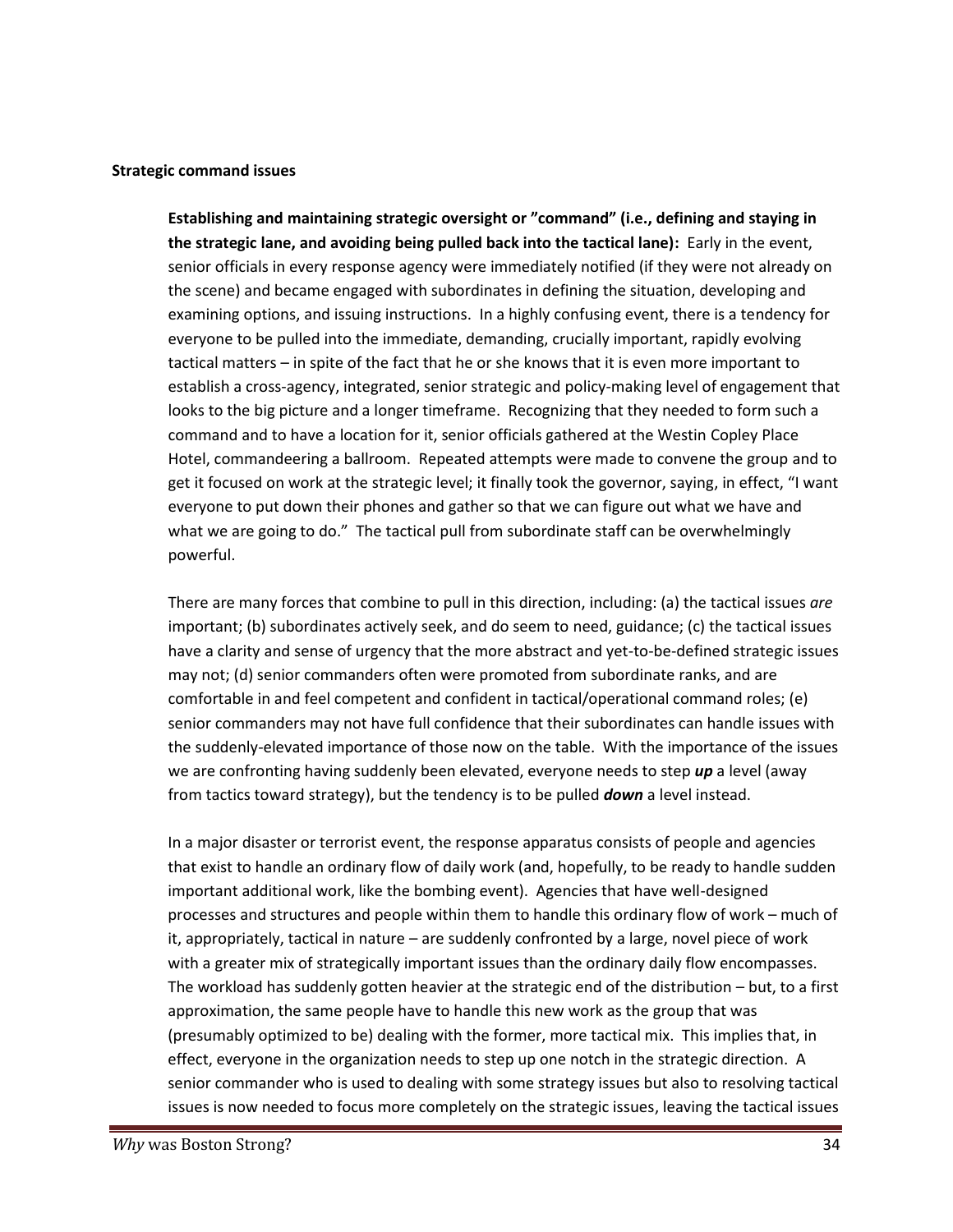#### **Strategic command issues**

**Establishing and maintaining strategic oversight or "command" (i.e., defining and staying in the strategic lane, and avoiding being pulled back into the tactical lane):** Early in the event, senior officials in every response agency were immediately notified (if they were not already on the scene) and became engaged with subordinates in defining the situation, developing and examining options, and issuing instructions. In a highly confusing event, there is a tendency for everyone to be pulled into the immediate, demanding, crucially important, rapidly evolving tactical matters – in spite of the fact that he or she knows that it is even more important to establish a cross-agency, integrated, senior strategic and policy-making level of engagement that looks to the big picture and a longer timeframe. Recognizing that they needed to form such a command and to have a location for it, senior officials gathered at the Westin Copley Place Hotel, commandeering a ballroom. Repeated attempts were made to convene the group and to get it focused on work at the strategic level; it finally took the governor, saying, in effect, "I want everyone to put down their phones and gather so that we can figure out what we have and what we are going to do." The tactical pull from subordinate staff can be overwhelmingly powerful.

There are many forces that combine to pull in this direction, including: (a) the tactical issues *are* important; (b) subordinates actively seek, and do seem to need, guidance; (c) the tactical issues have a clarity and sense of urgency that the more abstract and yet-to-be-defined strategic issues may not; (d) senior commanders often were promoted from subordinate ranks, and are comfortable in and feel competent and confident in tactical/operational command roles; (e) senior commanders may not have full confidence that their subordinates can handle issues with the suddenly-elevated importance of those now on the table. With the importance of the issues we are confronting having suddenly been elevated, everyone needs to step *up* a level (away from tactics toward strategy), but the tendency is to be pulled *down* a level instead.

In a major disaster or terrorist event, the response apparatus consists of people and agencies that exist to handle an ordinary flow of daily work (and, hopefully, to be ready to handle sudden important additional work, like the bombing event). Agencies that have well-designed processes and structures and people within them to handle this ordinary flow of work – much of it, appropriately, tactical in nature – are suddenly confronted by a large, novel piece of work with a greater mix of strategically important issues than the ordinary daily flow encompasses. The workload has suddenly gotten heavier at the strategic end of the distribution – but, to a first approximation, the same people have to handle this new work as the group that was (presumably optimized to be) dealing with the former, more tactical mix. This implies that, in effect, everyone in the organization needs to step up one notch in the strategic direction. A senior commander who is used to dealing with some strategy issues but also to resolving tactical issues is now needed to focus more completely on the strategic issues, leaving the tactical issues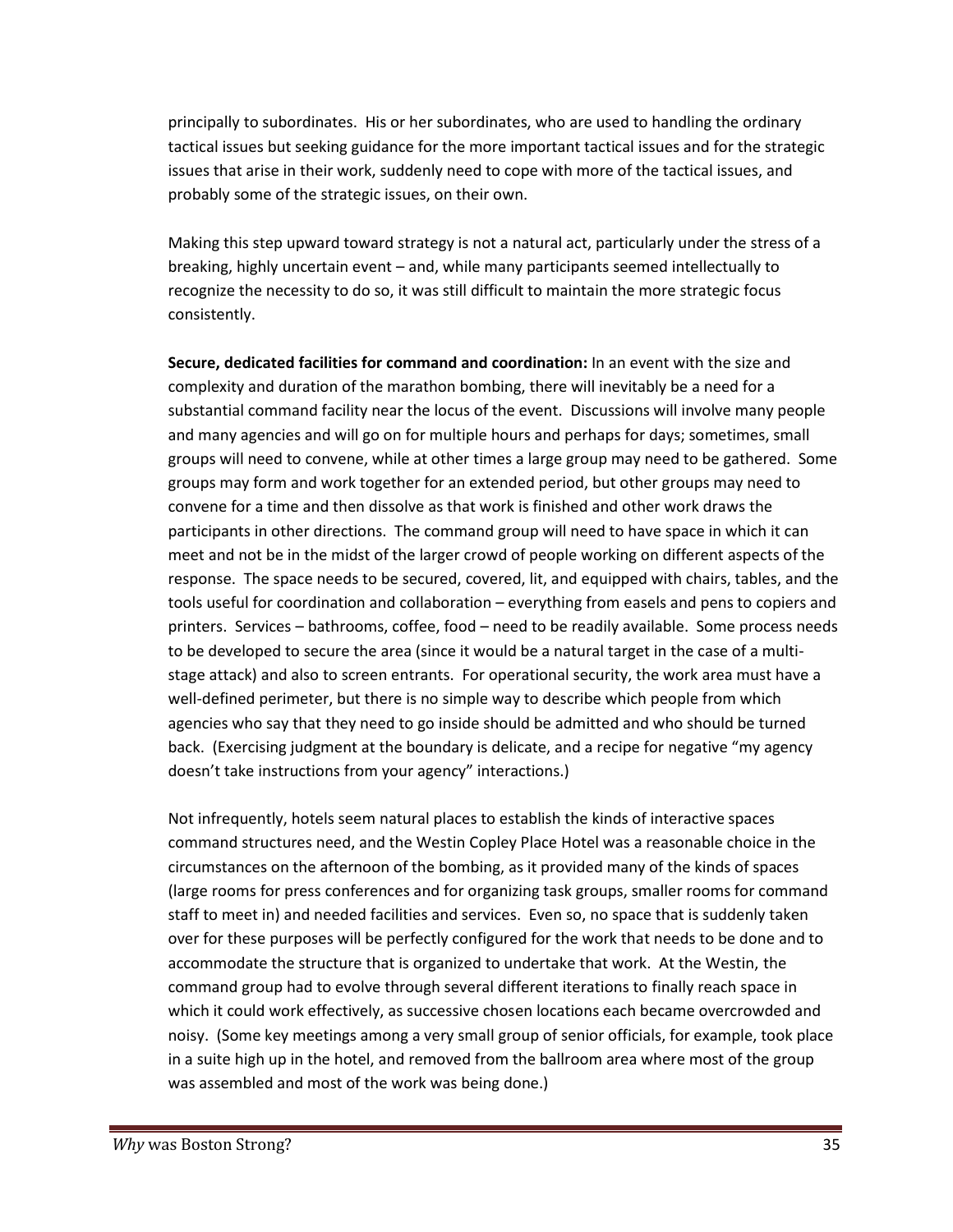principally to subordinates. His or her subordinates, who are used to handling the ordinary tactical issues but seeking guidance for the more important tactical issues and for the strategic issues that arise in their work, suddenly need to cope with more of the tactical issues, and probably some of the strategic issues, on their own.

Making this step upward toward strategy is not a natural act, particularly under the stress of a breaking, highly uncertain event – and, while many participants seemed intellectually to recognize the necessity to do so, it was still difficult to maintain the more strategic focus consistently.

**Secure, dedicated facilities for command and coordination:** In an event with the size and complexity and duration of the marathon bombing, there will inevitably be a need for a substantial command facility near the locus of the event. Discussions will involve many people and many agencies and will go on for multiple hours and perhaps for days; sometimes, small groups will need to convene, while at other times a large group may need to be gathered. Some groups may form and work together for an extended period, but other groups may need to convene for a time and then dissolve as that work is finished and other work draws the participants in other directions. The command group will need to have space in which it can meet and not be in the midst of the larger crowd of people working on different aspects of the response. The space needs to be secured, covered, lit, and equipped with chairs, tables, and the tools useful for coordination and collaboration – everything from easels and pens to copiers and printers. Services – bathrooms, coffee, food – need to be readily available. Some process needs to be developed to secure the area (since it would be a natural target in the case of a multi stage attack) and also to screen entrants. For operational security, the work area must have a well-defined perimeter, but there is no simple way to describe which people from which agencies who say that they need to go inside should be admitted and who should be turned back. (Exercising judgment at the boundary is delicate, and a recipe for negative "my agency doesn't take instructions from your agency" interactions.)

Not infrequently, hotels seem natural places to establish the kinds of interactive spaces command structures need, and the Westin Copley Place Hotel was a reasonable choice in the circumstances on the afternoon of the bombing, as it provided many of the kinds of spaces (large rooms for press conferences and for organizing task groups, smaller rooms for command staff to meet in) and needed facilities and services. Even so, no space that is suddenly taken over for these purposes will be perfectly configured for the work that needs to be done and to accommodate the structure that is organized to undertake that work. At the Westin, the command group had to evolve through several different iterations to finally reach space in which it could work effectively, as successive chosen locations each became overcrowded and noisy. (Some key meetings among a very small group of senior officials, for example, took place in a suite high up in the hotel, and removed from the ballroom area where most of the group was assembled and most of the work was being done.)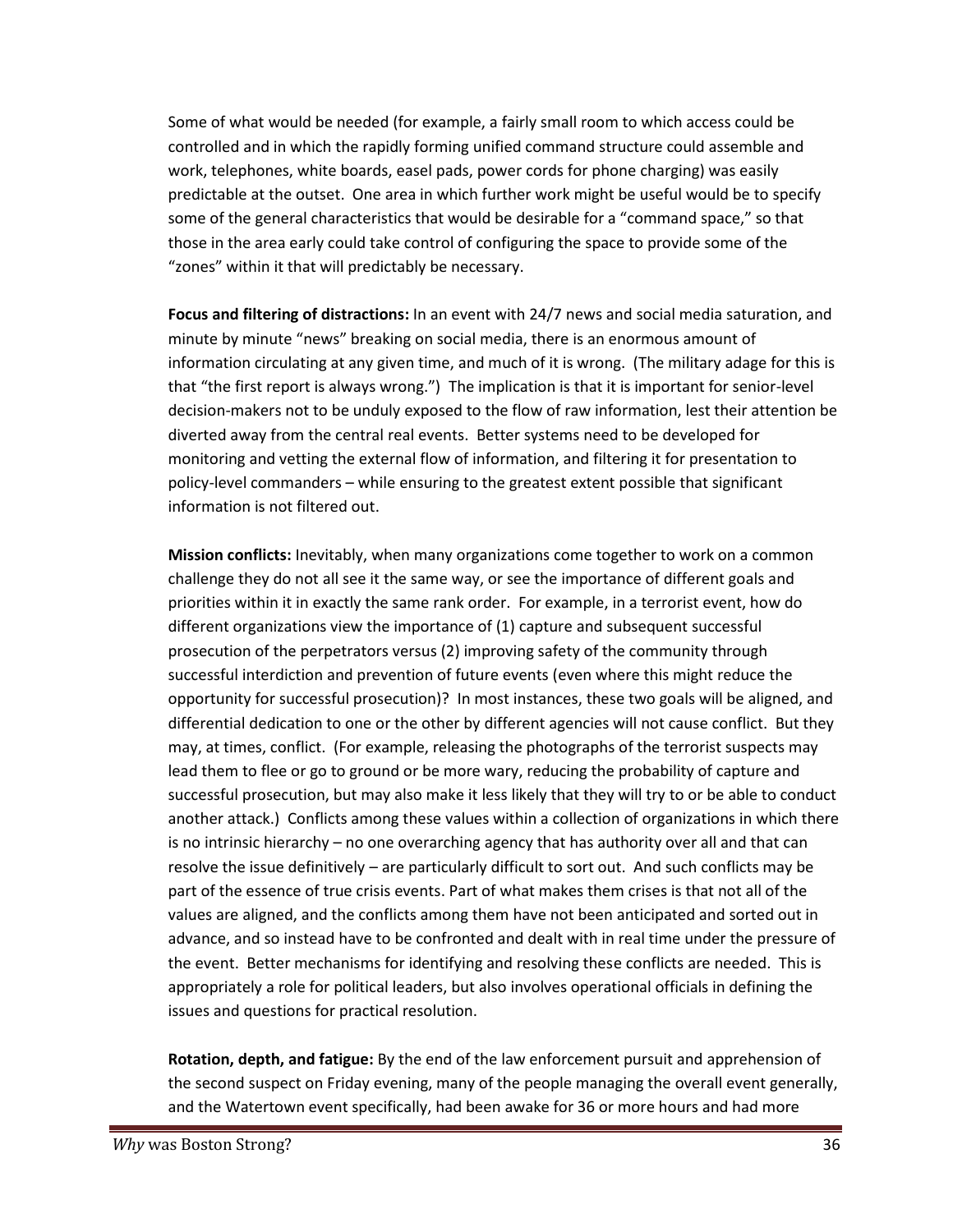Some of what would be needed (for example, a fairly small room to which access could be controlled and in which the rapidly forming unified command structure could assemble and work, telephones, white boards, easel pads, power cords for phone charging) was easily predictable at the outset. One area in which further work might be useful would be to specify some of the general characteristics that would be desirable for a "command space," so that those in the area early could take control of configuring the space to provide some of the "zones" within it that will predictably be necessary.

**Focus and filtering of distractions:** In an event with 24/7 news and social media saturation, and minute by minute "news" breaking on social media, there is an enormous amount of information circulating at any given time, and much of it is wrong. (The military adage for this is that "the first report is always wrong.") The implication is that it is important for senior-level decision-makers not to be unduly exposed to the flow of raw information, lest their attention be diverted away from the central real events. Better systems need to be developed for monitoring and vetting the external flow of information, and filtering it for presentation to policy-level commanders – while ensuring to the greatest extent possible that significant information is not filtered out.

**Mission conflicts:** Inevitably, when many organizations come together to work on a common challenge they do not all see it the same way, or see the importance of different goals and priorities within it in exactly the same rank order. For example, in a terrorist event, how do different organizations view the importance of (1) capture and subsequent successful prosecution of the perpetrators versus (2) improving safety of the community through successful interdiction and prevention of future events (even where this might reduce the opportunity for successful prosecution)? In most instances, these two goals will be aligned, and differential dedication to one or the other by different agencies will not cause conflict. But they may, at times, conflict. (For example, releasing the photographs of the terrorist suspects may lead them to flee or go to ground or be more wary, reducing the probability of capture and successful prosecution, but may also make it less likely that they will try to or be able to conduct another attack.) Conflicts among these values within a collection of organizations in which there is no intrinsic hierarchy – no one overarching agency that has authority over all and that can resolve the issue definitively – are particularly difficult to sort out. And such conflicts may be part of the essence of true crisis events. Part of what makes them crises is that not all of the values are aligned, and the conflicts among them have not been anticipated and sorted out in advance, and so instead have to be confronted and dealt with in real time under the pressure of the event. Better mechanisms for identifying and resolving these conflicts are needed. This is appropriately a role for political leaders, but also involves operational officials in defining the issues and questions for practical resolution.

**Rotation, depth, and fatigue:** By the end of the law enforcement pursuit and apprehension of the second suspect on Friday evening, many of the people managing the overall event generally, and the Watertown event specifically, had been awake for 36 or more hours and had more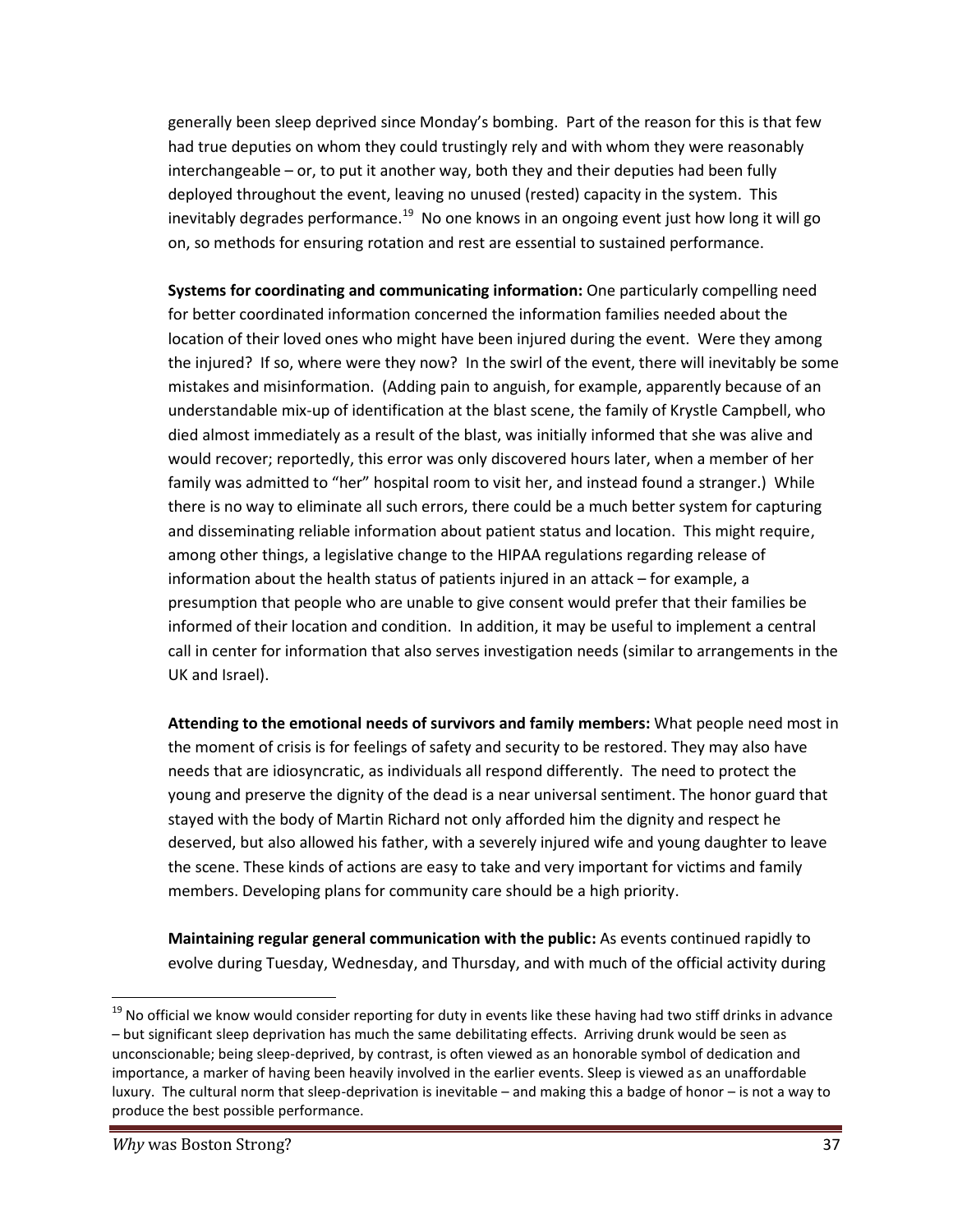generally been sleep deprived since Monday's bombing. Part of the reason for this is that few had true deputies on whom they could trustingly rely and with whom they were reasonably interchangeable – or, to put it another way, both they and their deputies had been fully deployed throughout the event, leaving no unused (rested) capacity in the system. This inevitably degrades performance.<sup>19</sup> No one knows in an ongoing event just how long it will go on, so methods for ensuring rotation and rest are essential to sustained performance.

**Systems for coordinating and communicating information:** One particularly compelling need for better coordinated information concerned the information families needed about the location of their loved ones who might have been injured during the event. Were they among the injured? If so, where were they now? In the swirl of the event, there will inevitably be some mistakes and misinformation. (Adding pain to anguish, for example, apparently because of an understandable mix-up of identification at the blast scene, the family of Krystle Campbell, who died almost immediately as a result of the blast, was initially informed that she was alive and would recover; reportedly, this error was only discovered hours later, when a member of her family was admitted to "her" hospital room to visit her, and instead found a stranger.) While there is no way to eliminate all such errors, there could be a much better system for capturing and disseminating reliable information about patient status and location. This might require, among other things, a legislative change to the HIPAA regulations regarding release of information about the health status of patients injured in an attack – for example, a presumption that people who are unable to give consent would prefer that their families be informed of their location and condition. In addition, it may be useful to implement a central call in center for information that also serves investigation needs (similar to arrangements in the UK and Israel).

**Attending to the emotional needs of survivors and family members:** What people need most in the moment of crisis is for feelings of safety and security to be restored. They may also have needs that are idiosyncratic, as individuals all respond differently. The need to protect the young and preserve the dignity of the dead is a near universal sentiment. The honor guard that stayed with the body of Martin Richard not only afforded him the dignity and respect he deserved, but also allowed his father, with a severely injured wife and young daughter to leave the scene. These kinds of actions are easy to take and very important for victims and family members. Developing plans for community care should be a high priority.

**Maintaining regular general communication with the public:** As events continued rapidly to evolve during Tuesday, Wednesday, and Thursday, and with much of the official activity during

<sup>&</sup>lt;sup>19</sup> No official we know would consider reporting for duty in events like these having had two stiff drinks in advance – but significant sleep deprivation has much the same debilitating effects. Arriving drunk would be seen as unconscionable; being sleep-deprived, by contrast, is often viewed as an honorable symbol of dedication and importance, a marker of having been heavily involved in the earlier events. Sleep is viewed as an unaffordable luxury. The cultural norm that sleep-deprivation is inevitable – and making this a badge of honor – is not a way to produce the best possible performance.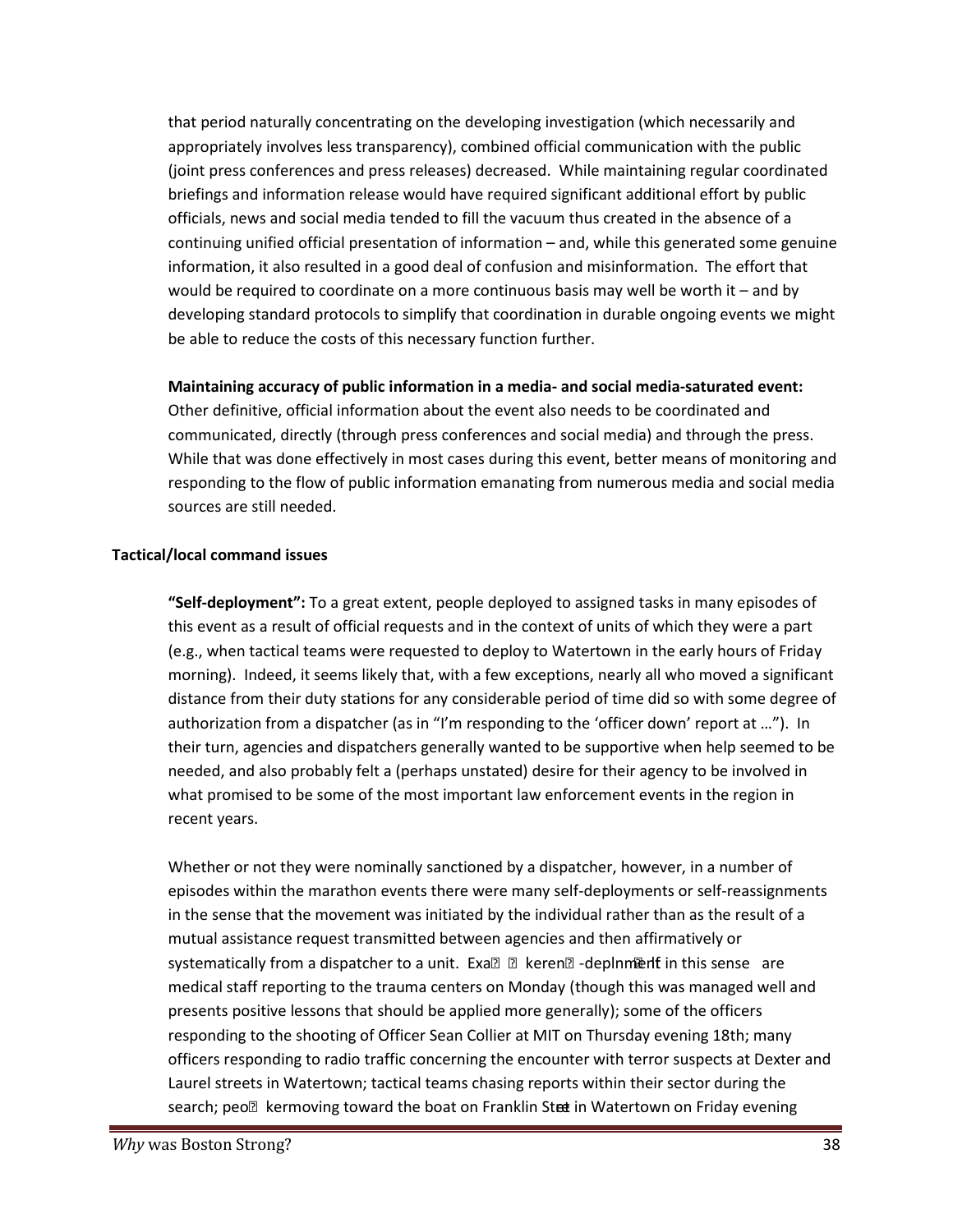that period naturally concentrating on the developing investigation (which necessarily and appropriately involves less transparency), combined official communication with the public (joint press conferences and press releases) decreased. While maintaining regular coordinated briefings and information release would have required significant additional effort by public officials, news and social media tended to fill the vacuum thus created in the absence of a continuing unified official presentation of information – and, while this generated some genuine information, it also resulted in a good deal of confusion and misinformation. The effort that would be required to coordinate on a more continuous basis may well be worth it – and by developing standard protocols to simplify that coordination in durable ongoing events we might be able to reduce the costs of this necessary function further.

**Maintaining accuracy of public information in a media- and social media-saturated event:**

Other definitive, official information about the event also needs to be coordinated and communicated, directly (through press conferences and social media) and through the press. While that was done effectively in most cases during this event, better means of monitoring and responding to the flow of public information emanating from numerous media and social media sources are still needed.

#### **Tactical/local command issues**

**"Self-deployment":** To a great extent, people deployed to assigned tasks in many episodes of this event as a result of official requests and in the context of units of which they were a part (e.g., when tactical teams were requested to deploy to Watertown in the early hours of Friday morning). Indeed, it seems likely that, with a few exceptions, nearly all who moved a significant distance from their duty stations for any considerable period of time did so with some degree of authorization from a dispatcher (as in "I'm responding to the 'officer down' report at ..."). In their turn, agencies and dispatchers generally wanted to be supportive when help seemed to be needed, and also probably felt a (perhaps unstated) desire for their agency to be involved in what promised to be some of the most important law enforcement events in the region in recent years.

Whether or not they were nominally sanctioned by a dispatcher, however, in a number of episodes within the marathon events there were many self-deployments or self-reassignments in the sense that the movement was initiated by the individual rather than as the result of a mutual assistance request transmitted between agencies and then affirmatively or systematically from a dispatcher to a unit. Exa@ Aleren@-deplnment in this sense are medical staff reporting to the trauma centers on Monday (though this was managed well and presents positive lessons that should be applied more generally); some of the officers responding to the shooting of Officer Sean Collier at MIT on Thursday evening 18th; many officers responding to radio traffic concerning the encounter with terror suspects at Dexter and Laurel streets in Watertown; tactical teams chasing reports within their sector during the search; peo kermoving toward the boat on Franklin Steet in Watertown on Friday evening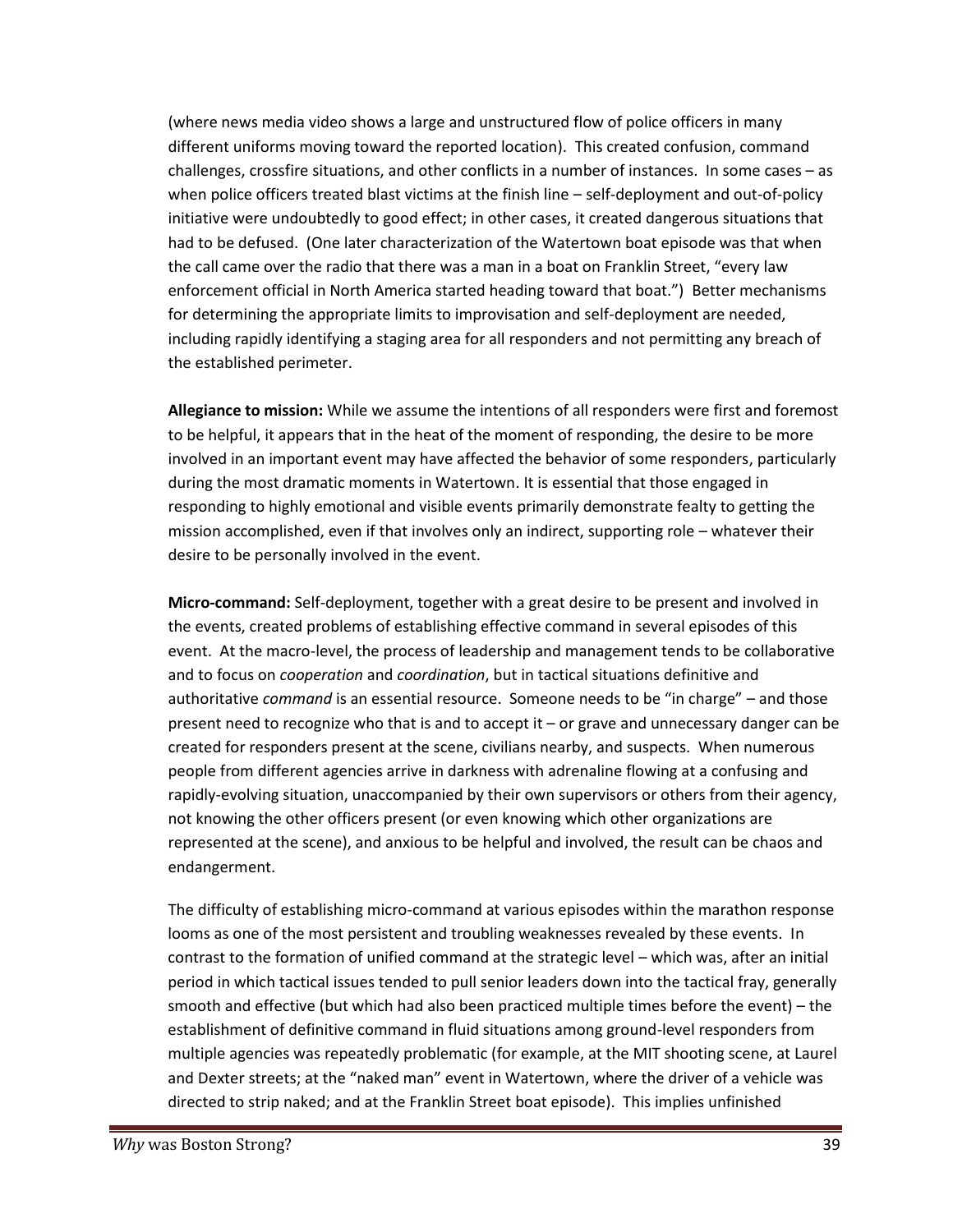(where news media video shows a large and unstructured flow of police officers in many different uniforms moving toward the reported location). This created confusion, command challenges, crossfire situations, and other conflicts in a number of instances. In some cases – as when police officers treated blast victims at the finish line – self-deployment and out-of-policy initiative were undoubtedly to good effect; in other cases, it created dangerous situations that had to be defused. (One later characterization of the Watertown boat episode was that when the call came over the radio that there was a man in a boat on Franklin Street, "every law enforcement official in North America started heading toward that boat.") Better mechanisms for determining the appropriate limits to improvisation and self-deployment are needed, including rapidly identifying a staging area for all responders and not permitting any breach of the established perimeter.

**Allegiance to mission:** While we assume the intentions of all responders were first and foremost to be helpful, it appears that in the heat of the moment of responding, the desire to be more involved in an important event may have affected the behavior of some responders, particularly during the most dramatic moments in Watertown. It is essential that those engaged in responding to highly emotional and visible events primarily demonstrate fealty to getting the mission accomplished, even if that involves only an indirect, supporting role – whatever their desire to be personally involved in the event.

**Micro-command:** Self-deployment, together with a great desire to be present and involved in the events, created problems of establishing effective command in several episodes of this event. At the macro-level, the process of leadership and management tends to be collaborative and to focus on *cooperation* and *coordination*, but in tactical situations definitive and authoritative *command* is an essential resource. Someone needs to be "in charge" – and those present need to recognize who that is and to accept it – or grave and unnecessary danger can be created for responders present at the scene, civilians nearby, and suspects. When numerous people from different agencies arrive in darkness with adrenaline flowing at a confusing and rapidly-evolving situation, unaccompanied by their own supervisors or others from their agency, not knowing the other officers present (or even knowing which other organizations are represented at the scene), and anxious to be helpful and involved, the result can be chaos and endangerment.

The difficulty of establishing micro-command at various episodes within the marathon response looms as one of the most persistent and troubling weaknesses revealed by these events. In contrast to the formation of unified command at the strategic level – which was, after an initial period in which tactical issues tended to pull senior leaders down into the tactical fray, generally smooth and effective (but which had also been practiced multiple times before the event) – the establishment of definitive command in fluid situations among ground-level responders from multiple agencies was repeatedly problematic (for example, at the MIT shooting scene, at Laurel and Dexter streets; at the "naked man" event in Watertown, where the driver of a vehicle was directed to strip naked; and at the Franklin Street boat episode). This implies unfinished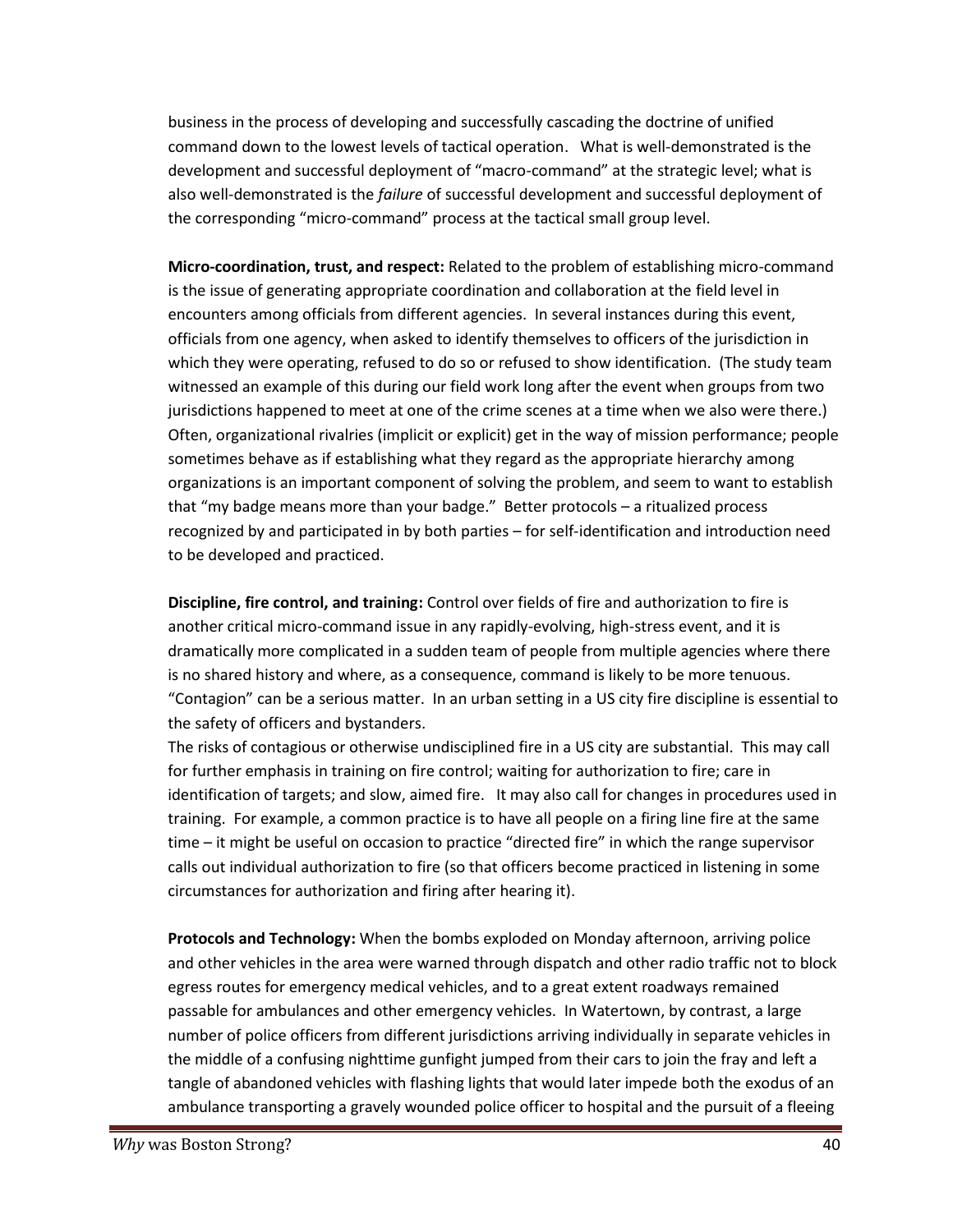business in the process of developing and successfully cascading the doctrine of unified command down to the lowest levels of tactical operation. What is well-demonstrated is the development and successful deployment of "macro-command" at the strategic level; what is also well-demonstrated is the *failure* of successful development and successful deployment of the corresponding "micro-command" process at the tactical small group level.

**Micro-coordination, trust, and respect:** Related to the problem of establishing micro-command is the issue of generating appropriate coordination and collaboration at the field level in encounters among officials from different agencies. In several instances during this event, officials from one agency, when asked to identify themselves to officers of the jurisdiction in which they were operating, refused to do so or refused to show identification. (The study team witnessed an example of this during our field work long after the event when groups from two jurisdictions happened to meet at one of the crime scenes at a time when we also were there.) Often, organizational rivalries (implicit or explicit) get in the way of mission performance; people sometimes behave as if establishing what they regard as the appropriate hierarchy among organizations is an important component of solving the problem, and seem to want to establish that "my badge means more than your badge." Better protocols – a ritualized process recognized by and participated in by both parties – for self-identification and introduction need to be developed and practiced.

**Discipline, fire control, and training:** Control over fields of fire and authorization to fire is another critical micro-command issue in any rapidly-evolving, high-stress event, and it is dramatically more complicated in a sudden team of people from multiple agencies where there is no shared history and where, as a consequence, command is likely to be more tenuous. "Contagion" can be a serious matter. In an urban setting in a US city fire discipline is essential to the safety of officers and bystanders.

The risks of contagious or otherwise undisciplined fire in a US city are substantial. This may call for further emphasis in training on fire control; waiting for authorization to fire; care in identification of targets; and slow, aimed fire. It may also call for changes in procedures used in training. For example, a common practice is to have all people on a firing line fire at the same time – it might be useful on occasion to practice "directed fire" in which the range supervisor calls out individual authorization to fire (so that officers become practiced in listening in some circumstances for authorization and firing after hearing it).

**Protocols and Technology:** When the bombs exploded on Monday afternoon, arriving police and other vehicles in the area were warned through dispatch and other radio traffic not to block egress routes for emergency medical vehicles, and to a great extent roadways remained passable for ambulances and other emergency vehicles. In Watertown, by contrast, a large number of police officers from different jurisdictions arriving individually in separate vehicles in the middle of a confusing nighttime gunfight jumped from their cars to join the fray and left a tangle of abandoned vehicles with flashing lights that would later impede both the exodus of an ambulance transporting a gravely wounded police officer to hospital and the pursuit of a fleeing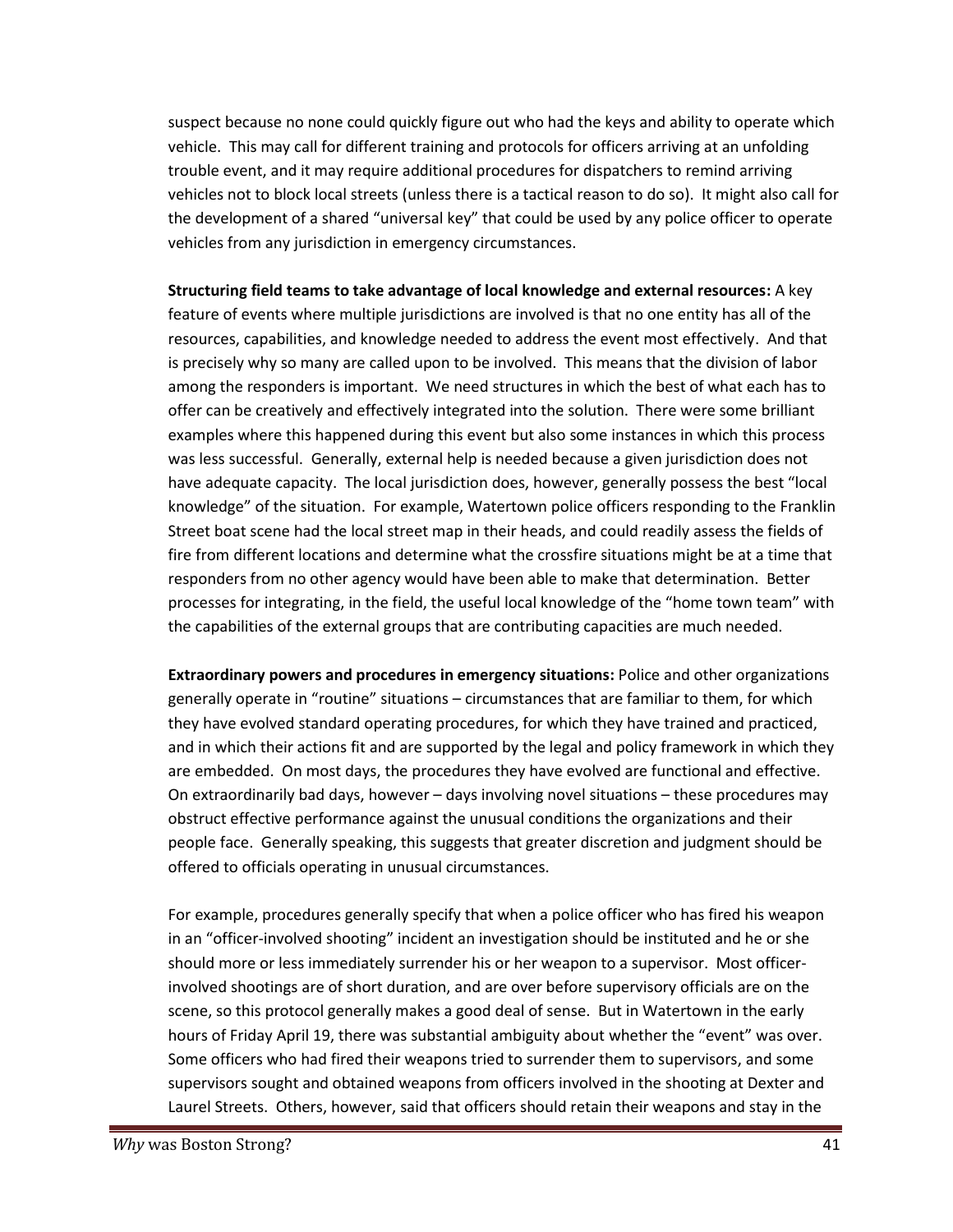suspect because no none could quickly figure out who had the keys and ability to operate which vehicle. This may call for different training and protocols for officers arriving at an unfolding trouble event, and it may require additional procedures for dispatchers to remind arriving vehicles not to block local streets (unless there is a tactical reason to do so). It might also call for the development of a shared "universal key" that could be used by any police officer to operate vehicles from any jurisdiction in emergency circumstances.

**Structuring field teams to take advantage of local knowledge and external resources:** A key feature of events where multiple jurisdictions are involved is that no one entity has all of the resources, capabilities, and knowledge needed to address the event most effectively. And that is precisely why so many are called upon to be involved. This means that the division of labor among the responders is important. We need structures in which the best of what each has to offer can be creatively and effectively integrated into the solution. There were some brilliant examples where this happened during this event but also some instances in which this process was less successful. Generally, external help is needed because a given jurisdiction does not have adequate capacity. The local jurisdiction does, however, generally possess the best "local knowledge" of the situation. For example, Watertown police officers responding to the Franklin Street boat scene had the local street map in their heads, and could readily assess the fields of fire from different locations and determine what the crossfire situations might be at a time that responders from no other agency would have been able to make that determination. Better processes for integrating, in the field, the useful local knowledge of the "home town team" with the capabilities of the external groups that are contributing capacities are much needed.

**Extraordinary powers and procedures in emergency situations:** Police and other organizations generally operate in "routine" situations – circumstances that are familiar to them, for which they have evolved standard operating procedures, for which they have trained and practiced, and in which their actions fit and are supported by the legal and policy framework in which they are embedded. On most days, the procedures they have evolved are functional and effective. On extraordinarily bad days, however – days involving novel situations – these procedures may obstruct effective performance against the unusual conditions the organizations and their people face. Generally speaking, this suggests that greater discretion and judgment should be offered to officials operating in unusual circumstances.

For example, procedures generally specify that when a police officer who has fired his weapon in an "officer-involved shooting" incident an investigation should be instituted and he or she should more or less immediately surrender his or her weapon to a supervisor. Most officerinvolved shootings are of short duration, and are over before supervisory officials are on the scene, so this protocol generally makes a good deal of sense. But in Watertown in the early hours of Friday April 19, there was substantial ambiguity about whether the "event" was over. Some officers who had fired their weapons tried to surrender them to supervisors, and some supervisors sought and obtained weapons from officers involved in the shooting at Dexter and Laurel Streets. Others, however, said that officers should retain their weapons and stay in the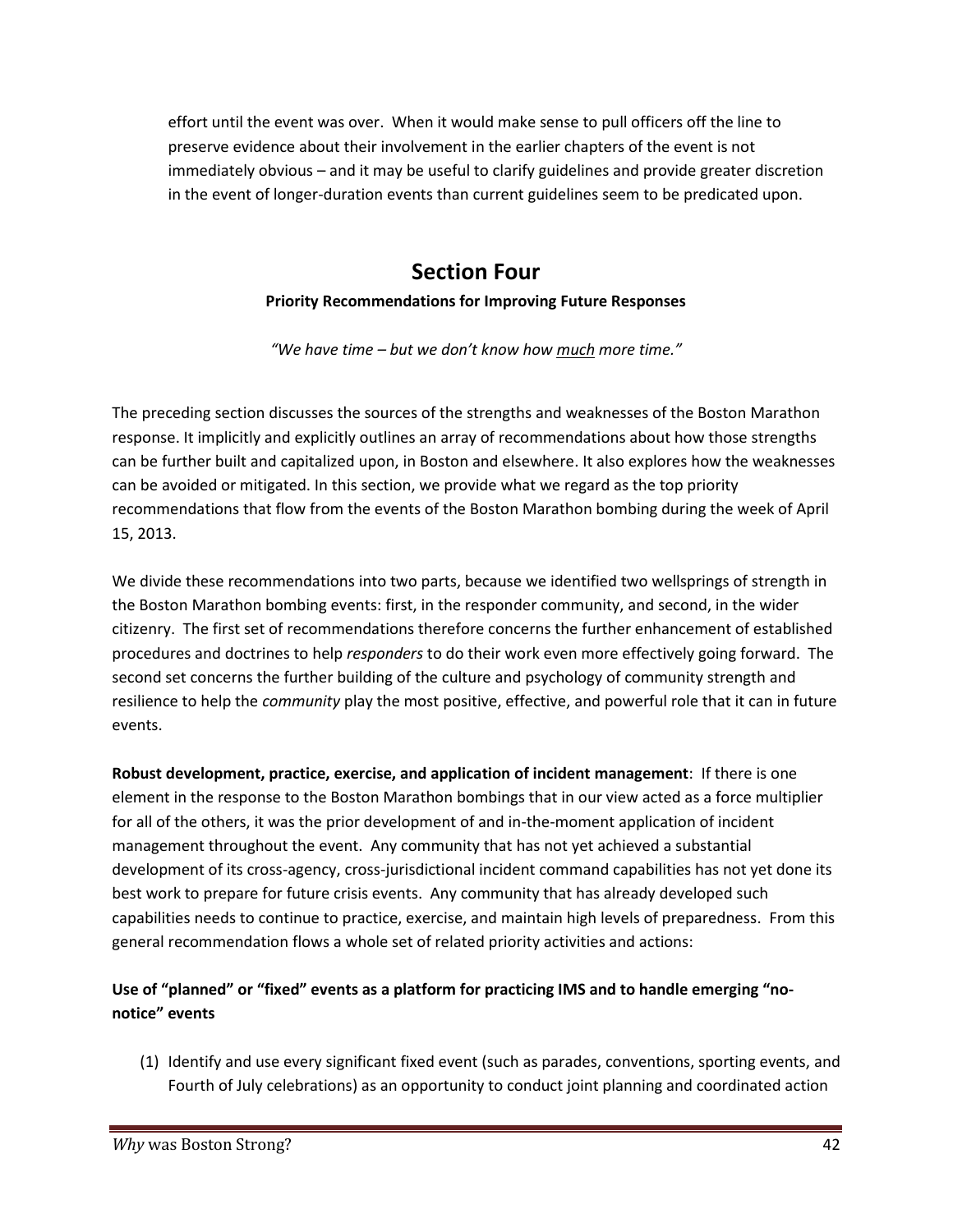effort until the event was over. When it would make sense to pull officers off the line to preserve evidence about their involvement in the earlier chapters of the event is not immediately obvious – and it may be useful to clarify guidelines and provide greater discretion in the event of longer-duration events than current guidelines seem to be predicated upon.

# **Section Four**

#### **Priority Recommendations for Improving Future Responses**

*"We have time – but we don't know how much more time."*

The preceding section discusses the sources of the strengths and weaknesses of the Boston Marathon response. It implicitly and explicitly outlines an array of recommendations about how those strengths can be further built and capitalized upon, in Boston and elsewhere. It also explores how the weaknesses can be avoided or mitigated. In this section, we provide what we regard as the top priority recommendations that flow from the events of the Boston Marathon bombing during the week of April 15, 2013.

We divide these recommendations into two parts, because we identified two wellsprings of strength in the Boston Marathon bombing events: first, in the responder community, and second, in the wider citizenry. The first set of recommendations therefore concerns the further enhancement of established procedures and doctrines to help *responders* to do their work even more effectively going forward. The second set concerns the further building of the culture and psychology of community strength and resilience to help the *community* play the most positive, effective, and powerful role that it can in future events.

**Robust development, practice, exercise, and application of incident management:** If there is one element in the response to the Boston Marathon bombings that in our view acted as a force multiplier for all of the others, it was the prior development of and in-the-moment application of incident management throughout the event. Any community that has not yet achieved a substantial development of its cross-agency, cross-jurisdictional incident command capabilities has not yet done its best work to prepare for future crisis events. Any community that has already developed such capabilities needs to continue to practice, exercise, and maintain high levels of preparedness. From this general recommendation flows a whole set of related priority activities and actions:

#### **Use of "planned" or "fixed" events as a platform for practicing IMS and to handle emerging "no notice" events**

(1) Identify and use every significant fixed event (such as parades, conventions, sporting events, and Fourth of July celebrations) as an opportunity to conduct joint planning and coordinated action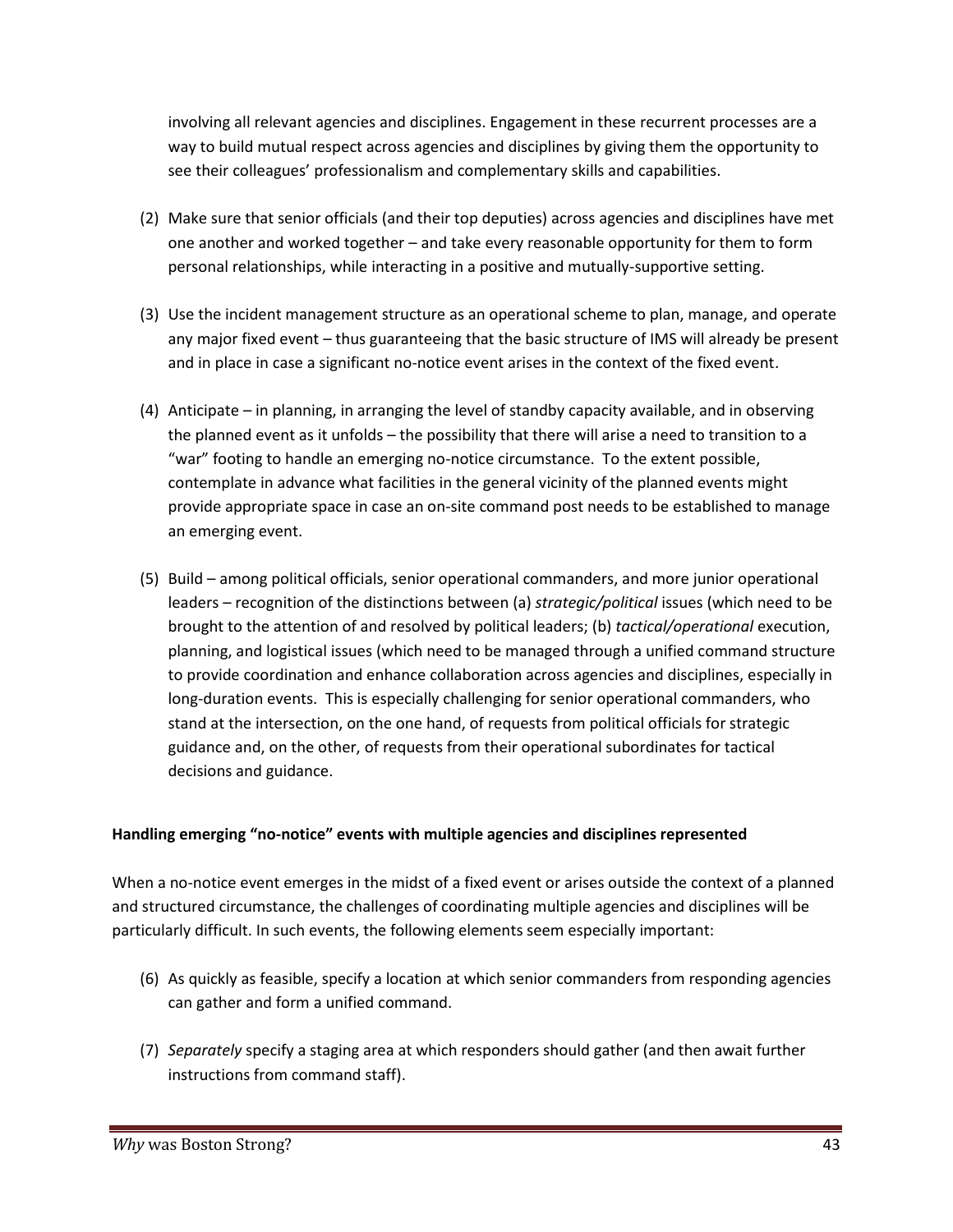involving all relevant agencies and disciplines. Engagement in these recurrent processes are a way to build mutual respect across agencies and disciplines by giving them the opportunity to see their colleagues' professionalism and complementary skills and capabilities.

- (2) Make sure that senior officials (and their top deputies) across agencies and disciplines have met one another and worked together – and take every reasonable opportunity for them to form personal relationships, while interacting in a positive and mutually-supportive setting.
- (3) Use the incident management structure as an operational scheme to plan, manage, and operate any major fixed event – thus guaranteeing that the basic structure of IMS will already be present and in place in case a significant no-notice event arises in the context of the fixed event.
- (4) Anticipate in planning, in arranging the level of standby capacity available, and in observing the planned event as it unfolds – the possibility that there will arise a need to transition to a "war" footing to handle an emerging no-notice circumstance. To the extent possible, contemplate in advance what facilities in the general vicinity of the planned events might provide appropriate space in case an on-site command post needs to be established to manage an emerging event.
- (5) Build among political officials, senior operational commanders, and more junior operational leaders – recognition of the distinctions between (a) *strategic/political* issues (which need to be brought to the attention of and resolved by political leaders; (b) *tactical/operational* execution, planning, and logistical issues (which need to be managed through a unified command structure to provide coordination and enhance collaboration across agencies and disciplines, especially in long-duration events. This is especially challenging for senior operational commanders, who stand at the intersection, on the one hand, of requests from political officials for strategic guidance and, on the other, of requests from their operational subordinates for tactical decisions and guidance.

#### **Handling emerging "no-notice" events with multiple agencies and disciplines represented**

When a no-notice event emerges in the midst of a fixed event or arises outside the context of a planned and structured circumstance, the challenges of coordinating multiple agencies and disciplines will be particularly difficult. In such events, the following elements seem especially important:

- (6) As quickly as feasible, specify a location at which senior commanders from responding agencies can gather and form a unified command.
- (7) *Separately* specify a staging area at which responders should gather (and then await further instructions from command staff).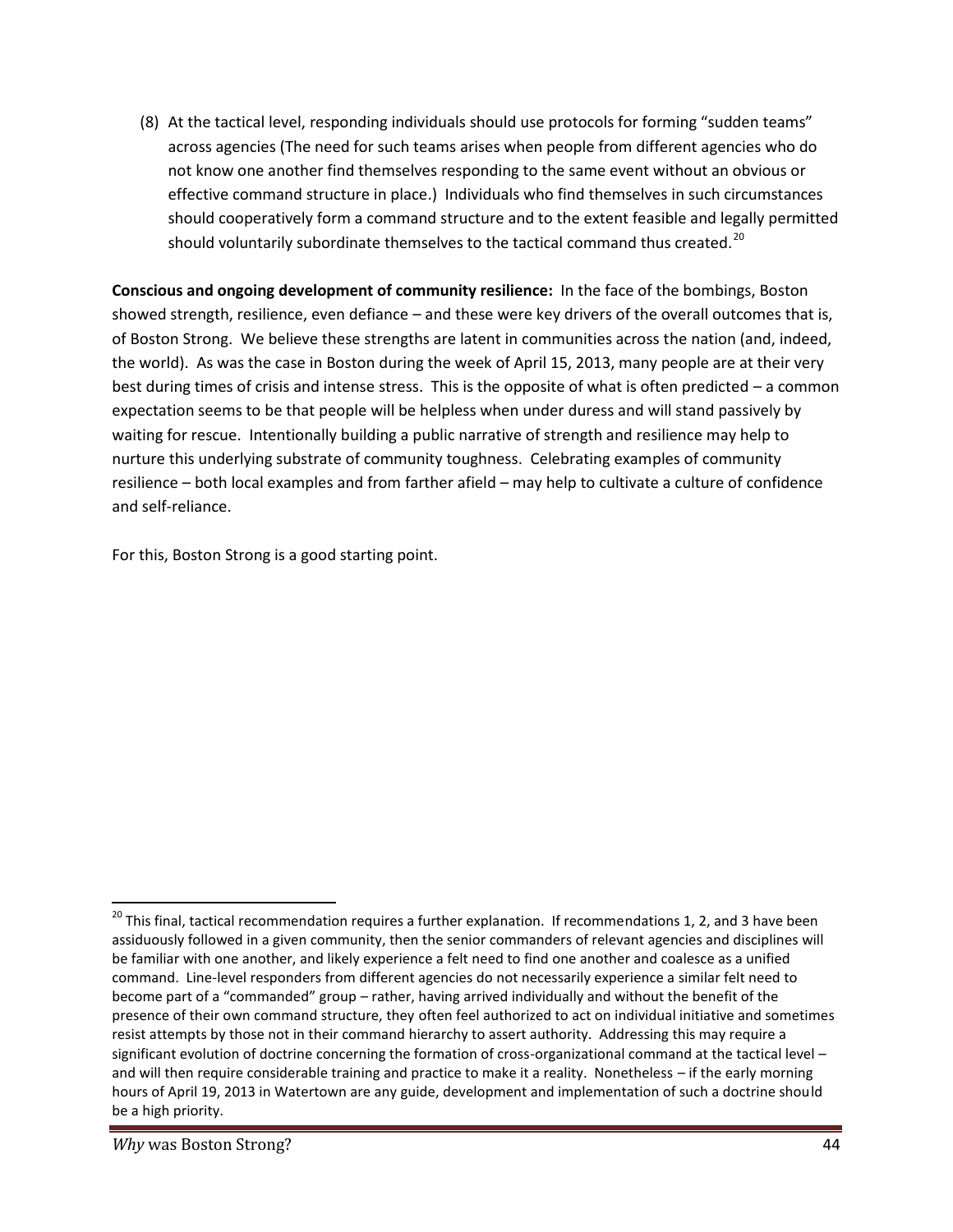(8) At the tactical level, responding individuals should use protocols for forming "sudden teams" across agencies (The need for such teams arises when people from different agencies who do not know one another find themselves responding to the same event without an obvious or effective command structure in place.) Individuals who find themselves in such circumstances should cooperatively form a command structure and to the extent feasible and legally permitted should voluntarily subordinate themselves to the tactical command thus created.<sup>20</sup>

**Conscious and ongoing development of community resilience:** In the face of the bombings, Boston showed strength, resilience, even defiance – and these were key drivers of the overall outcomes that is, of Boston Strong. We believe these strengths are latent in communities across the nation (and, indeed, the world). As was the case in Boston during the week of April 15, 2013, many people are at their very best during times of crisis and intense stress. This is the opposite of what is often predicted – a common expectation seems to be that people will be helpless when under duress and will stand passively by waiting for rescue. Intentionally building a public narrative of strength and resilience may help to nurture this underlying substrate of community toughness. Celebrating examples of community resilience – both local examples and from farther afield – may help to cultivate a culture of confidence and self-reliance.

For this, Boston Strong is a good starting point.

<sup>&</sup>lt;sup>20</sup> This final, tactical recommendation requires a further explanation. If recommendations 1, 2, and 3 have been assiduously followed in a given community, then the senior commanders of relevant agencies and disciplines will be familiar with one another, and likely experience a felt need to find one another and coalesce as a unified command. Line-level responders from different agencies do not necessarily experience a similar felt need to become part of a "commanded" group – rather, having arrived individually and without the benefit of the presence of their own command structure, they often feel authorized to act on individual initiative and sometimes resist attempts by those not in their command hierarchy to assert authority. Addressing this may require a significant evolution of doctrine concerning the formation of cross-organizational command at the tactical level – and will then require considerable training and practice to make it a reality. Nonetheless – if the early morning hours of April 19, 2013 in Watertown are any guide, development and implementation of such a doctrine should be a high priority.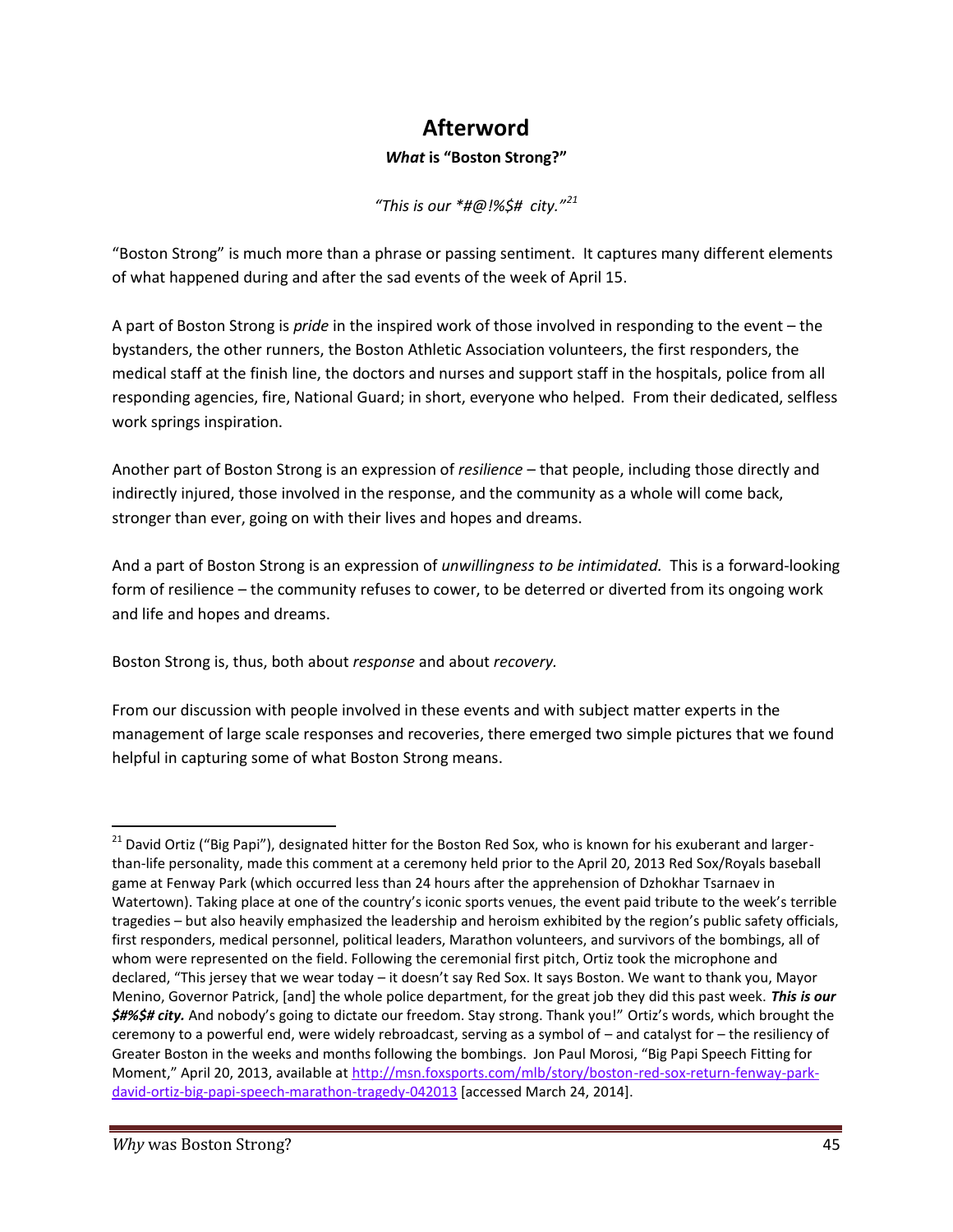# **Afterword**

#### *What* **is "Boston Strong?"**

*"This is our \*#@!%\$# city."<sup>21</sup>*

"Boston Strong" is much more than a phrase or passing sentiment. It captures many different elements of what happened during and after the sad events of the week of April 15.

A part of Boston Strong is *pride* in the inspired work of those involved in responding to the event – the bystanders, the other runners, the Boston Athletic Association volunteers, the first responders, the medical staff at the finish line, the doctors and nurses and support staff in the hospitals, police from all responding agencies, fire, National Guard; in short, everyone who helped. From their dedicated, selfless work springs inspiration.

Another part of Boston Strong is an expression of *resilience* – that people, including those directly and indirectly injured, those involved in the response, and the community as a whole will come back, stronger than ever, going on with their lives and hopes and dreams.

And a part of Boston Strong is an expression of *unwillingness to be intimidated.* This is a forward-looking form of resilience – the community refuses to cower, to be deterred or diverted from its ongoing work and life and hopes and dreams.

Boston Strong is, thus, both about *response* and about *recovery.*

From our discussion with people involved in these events and with subject matter experts in the management of large scale responses and recoveries, there emerged two simple pictures that we found helpful in capturing some of what Boston Strong means.

<sup>&</sup>lt;sup>21</sup> David Ortiz ("Big Papi"), designated hitter for the Boston Red Sox, who is known for his exuberant and largerthan-life personality, made this comment at a ceremony held prior to the April 20, 2013 Red Sox/Royals baseball game at Fenway Park (which occurred less than 24 hours after the apprehension of Dzhokhar Tsarnaev in Watertown). Taking place at one of the country's iconic sports venues, the event paid tribute to the week's terrible tragedies – but also heavily emphasized the leadership and heroism exhibited by the region's public safety officials, first responders, medical personnel, political leaders, Marathon volunteers, and survivors of the bombings, all of whom were represented on the field. Following the ceremonial first pitch, Ortiz took the microphone and declared, "This jersey that we wear today – it doesn't say Red Sox. It says Boston. We want to thank you, Mayor Menino, Governor Patrick, [and] the whole police department, for the great job they did this past week. *This is our \$#%\$# city.* And nobody's going to dictate our freedom. Stay strong. Thank you!" Ortiz's words, which brought the ceremony to a powerful end, were widely rebroadcast, serving as a symbol of – and catalyst for – the resiliency of Greater Boston in the weeks and months following the bombings. Jon Paul Morosi, "Big Papi Speech Fitting for Moment," April 20, 2013, available at http://msn.foxsports.com/mlb/story/boston-red-sox-return-fenway-parkdavid-ortiz-big-papi-speech-marathon-tragedy-042013 [accessed March 24, 2014].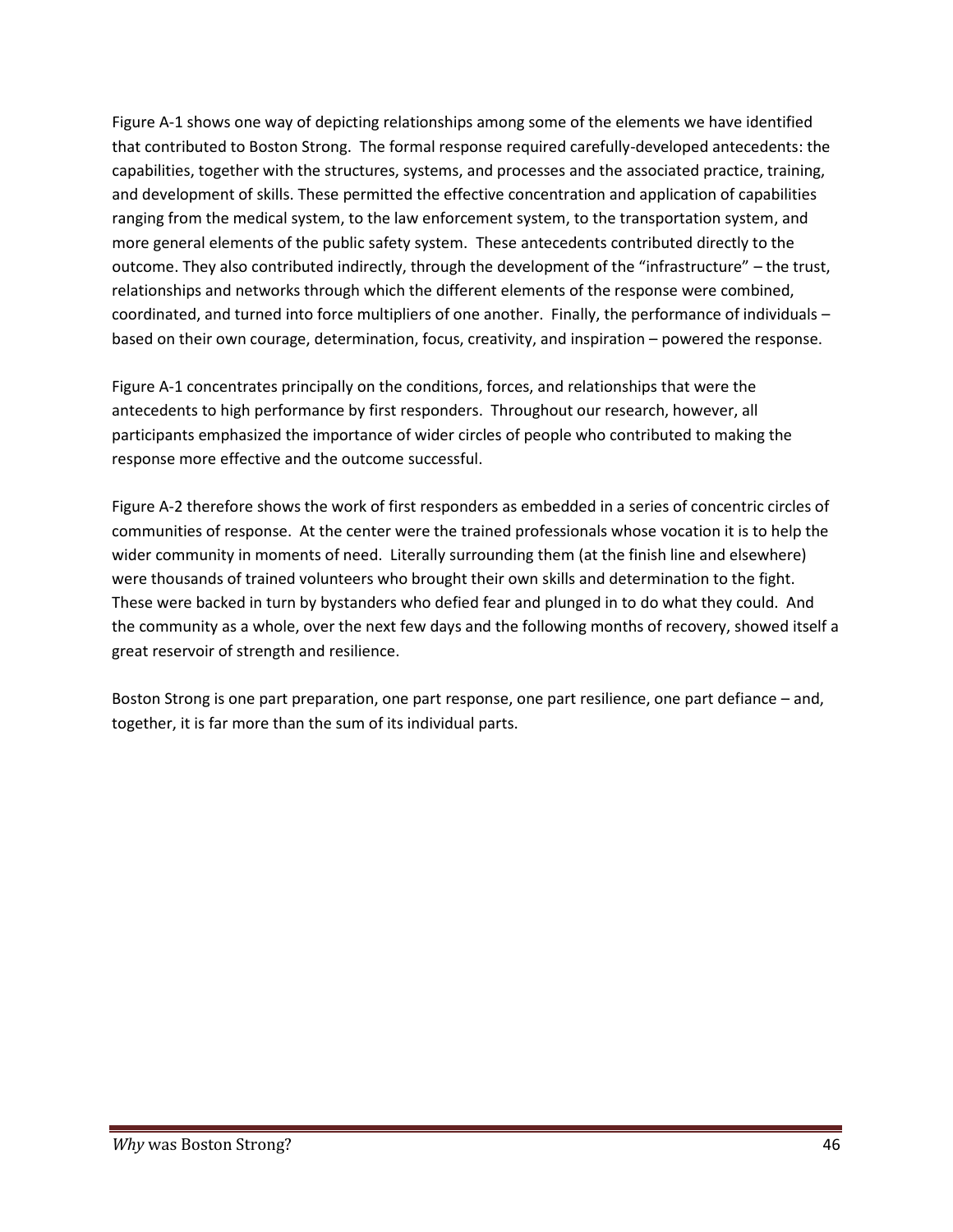Figure A-1 shows one way of depicting relationships among some of the elements we have identified that contributed to Boston Strong. The formal response required carefully-developed antecedents: the capabilities, together with the structures, systems, and processes and the associated practice, training, and development of skills. These permitted the effective concentration and application of capabilities ranging from the medical system, to the law enforcement system, to the transportation system, and more general elements of the public safety system. These antecedents contributed directly to the outcome. They also contributed indirectly, through the development of the "infrastructure" – the trust, relationships and networks through which the different elements of the response were combined, coordinated, and turned into force multipliers of one another. Finally, the performance of individuals – based on their own courage, determination, focus, creativity, and inspiration – powered the response.

Figure A-1 concentrates principally on the conditions, forces, and relationships that were the antecedents to high performance by first responders. Throughout our research, however, all participants emphasized the importance of wider circles of people who contributed to making the response more effective and the outcome successful.

Figure A-2 therefore shows the work of first responders as embedded in a series of concentric circles of communities of response. At the center were the trained professionals whose vocation it is to help the wider community in moments of need. Literally surrounding them (at the finish line and elsewhere) were thousands of trained volunteers who brought their own skills and determination to the fight. These were backed in turn by bystanders who defied fear and plunged in to do what they could. And the community as a whole, over the next few days and the following months of recovery, showed itself a great reservoir of strength and resilience.

Boston Strong is one part preparation, one part response, one part resilience, one part defiance – and, together, it is far more than the sum of its individual parts.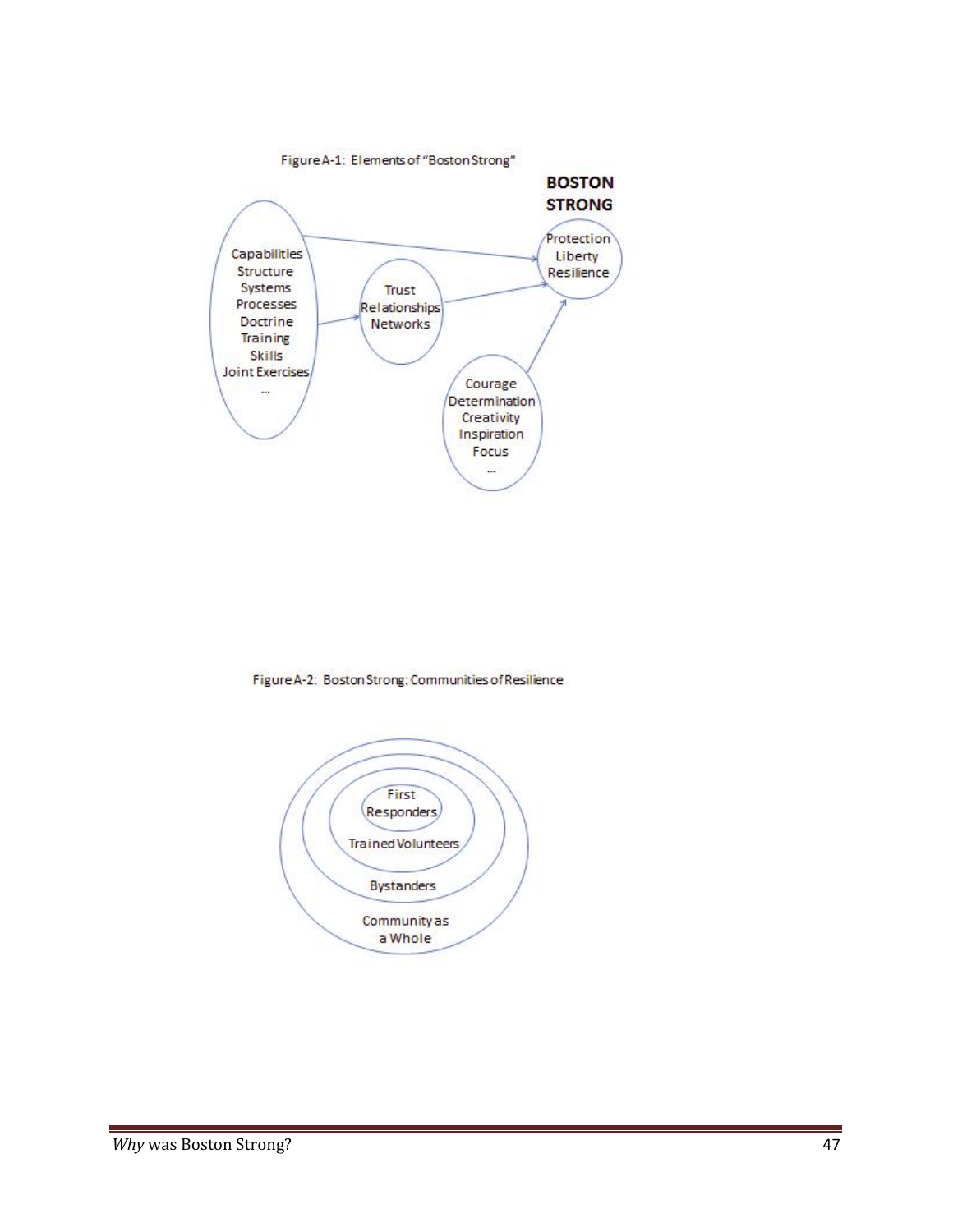

Figure A-2: Boston Strong: Communities of Resilience

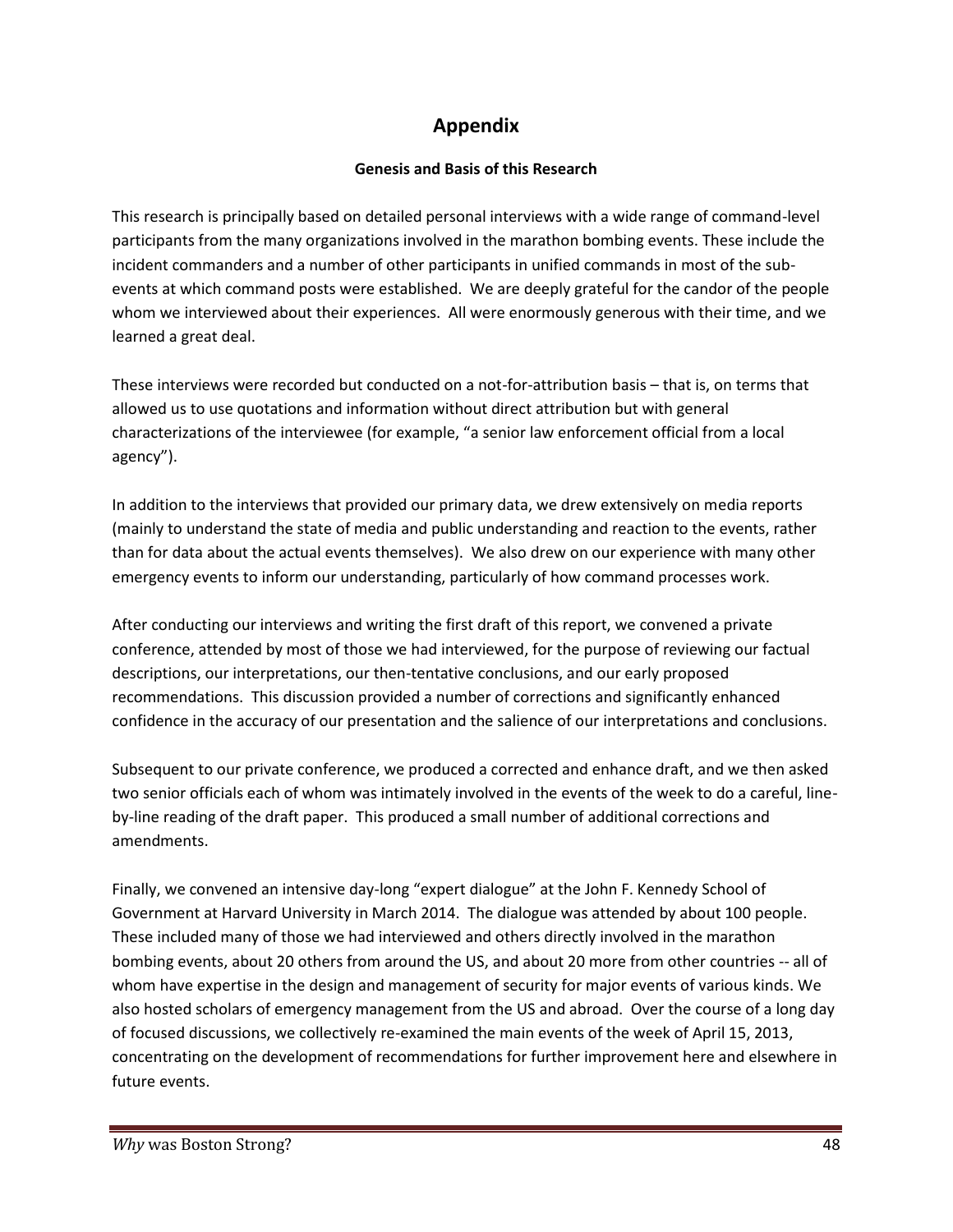#### **Appendix**

#### **Genesis and Basis of this Research**

This research is principally based on detailed personal interviews with a wide range of command-level participants from the many organizations involved in the marathon bombing events. These include the incident commanders and a number of other participants in unified commands in most of the sub events at which command posts were established. We are deeply grateful for the candor of the people whom we interviewed about their experiences. All were enormously generous with their time, and we learned a great deal.

These interviews were recorded but conducted on a not-for-attribution basis – that is, on terms that allowed us to use quotations and information without direct attribution but with general characterizations of the interviewee (for example, "a senior law enforcement official from a local agency").

In addition to the interviews that provided our primary data, we drew extensively on media reports (mainly to understand the state of media and public understanding and reaction to the events, rather than for data about the actual events themselves). We also drew on our experience with many other emergency events to inform our understanding, particularly of how command processes work.

After conducting our interviews and writing the first draft of this report, we convened a private conference, attended by most of those we had interviewed, for the purpose of reviewing our factual descriptions, our interpretations, our then-tentative conclusions, and our early proposed recommendations. This discussion provided a number of corrections and significantly enhanced confidence in the accuracy of our presentation and the salience of our interpretations and conclusions.

Subsequent to our private conference, we produced a corrected and enhance draft, and we then asked two senior officials each of whom was intimately involved in the events of the week to do a careful, line by-line reading of the draft paper. This produced a small number of additional corrections and amendments.

Finally, we convened an intensive day-long "expert dialogue" at the John F. Kennedy School of Government at Harvard University in March 2014. The dialogue was attended by about 100 people. These included many of those we had interviewed and others directly involved in the marathon bombing events, about 20 others from around the US, and about 20 more from other countries -- all of whom have expertise in the design and management of security for major events of various kinds. We also hosted scholars of emergency management from the US and abroad. Over the course of a long day of focused discussions, we collectively re-examined the main events of the week of April 15, 2013, concentrating on the development of recommendations for further improvement here and elsewhere in future events.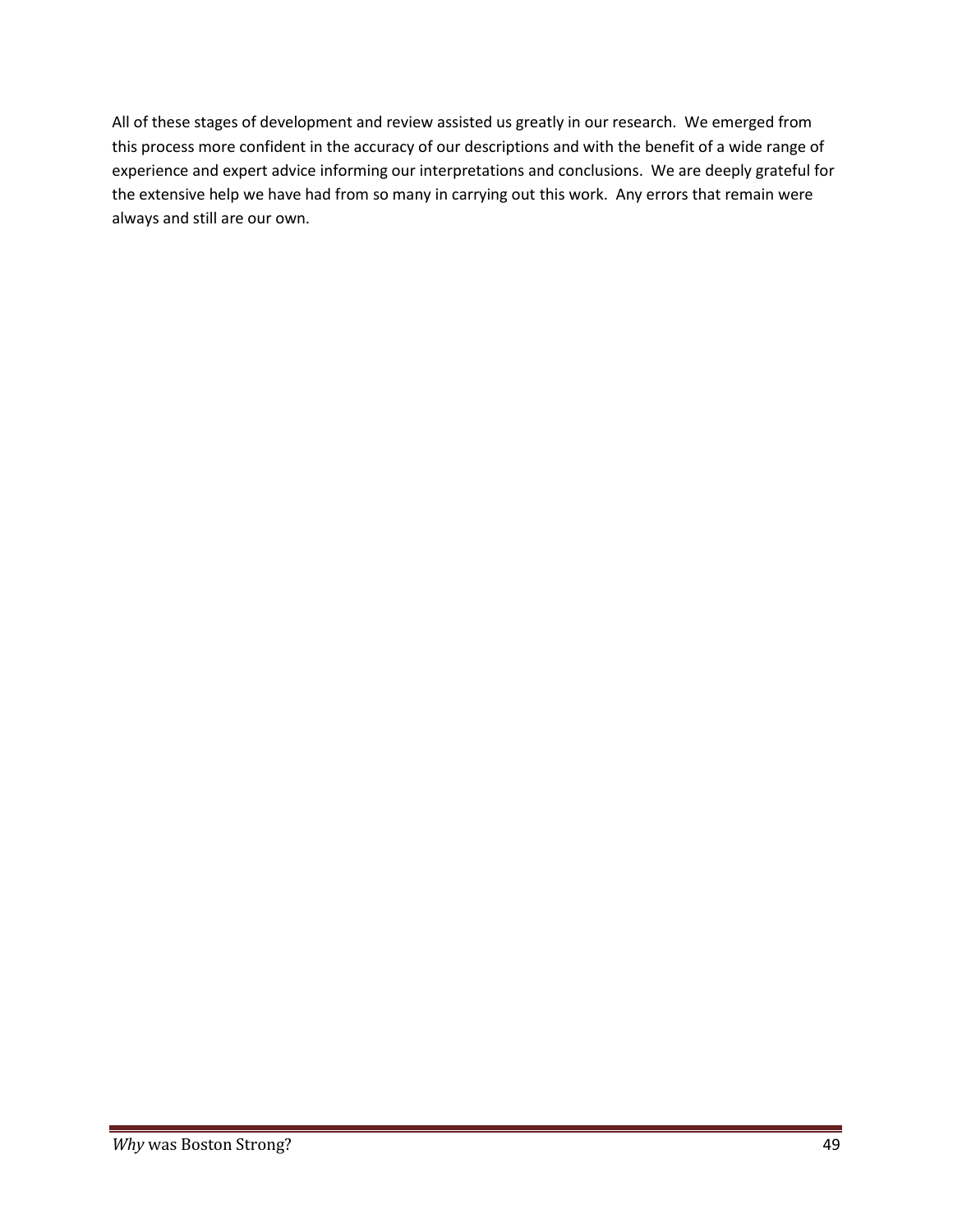All of these stages of development and review assisted us greatly in our research. We emerged from this process more confident in the accuracy of our descriptions and with the benefit of a wide range of experience and expert advice informing our interpretations and conclusions. We are deeply grateful for the extensive help we have had from so many in carrying out this work. Any errors that remain were always and still are our own.